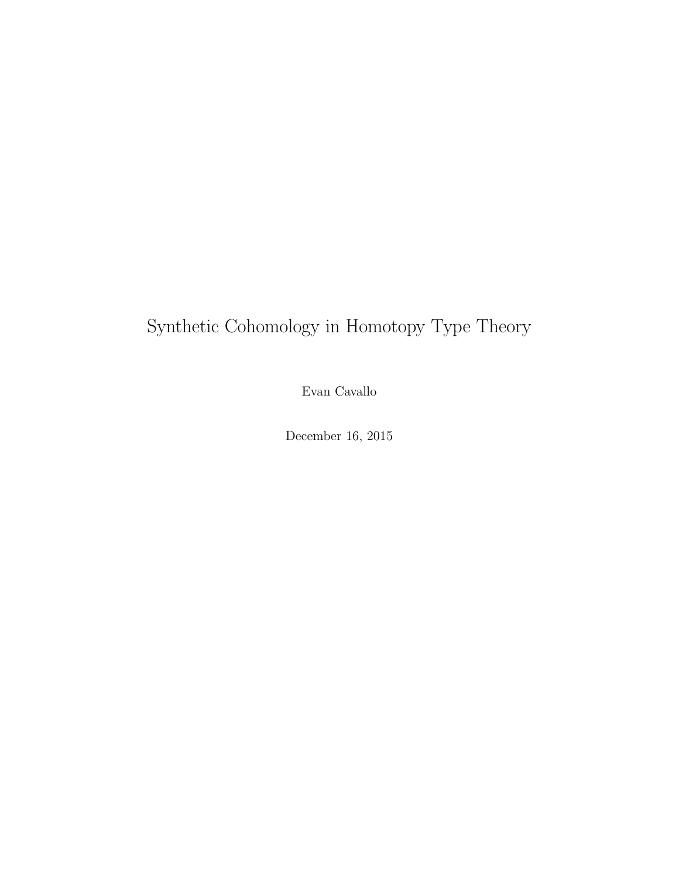# Synthetic Cohomology in Homotopy Type Theory

Evan Cavallo

December 16, 2015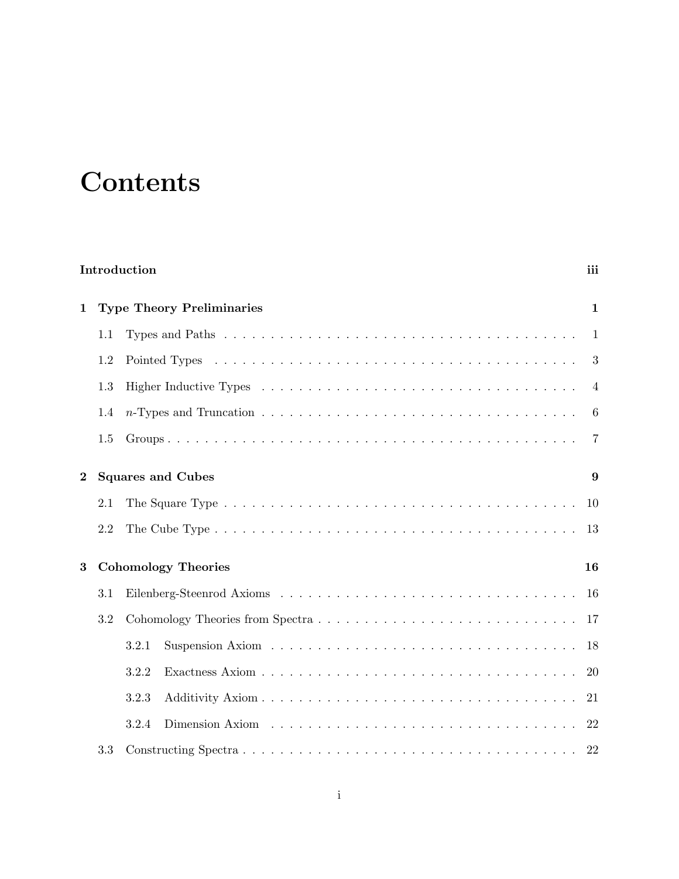# **Contents**

|                                      | Introduction<br>iii                              |                            |     |  |  |  |
|--------------------------------------|--------------------------------------------------|----------------------------|-----|--|--|--|
| $\mathbf 1$                          | <b>Type Theory Preliminaries</b><br>$\mathbf{1}$ |                            |     |  |  |  |
|                                      | 1.1                                              |                            | 1   |  |  |  |
|                                      | 1.2                                              |                            | 3   |  |  |  |
|                                      | 1.3                                              |                            | 4   |  |  |  |
|                                      | 1.4                                              |                            | 6   |  |  |  |
|                                      | 1.5                                              |                            | 7   |  |  |  |
| <b>Squares and Cubes</b><br>$\bf{2}$ |                                                  |                            | 9   |  |  |  |
|                                      | 2.1                                              |                            | 10  |  |  |  |
|                                      | 2.2                                              |                            | 13  |  |  |  |
| 3                                    |                                                  | <b>Cohomology Theories</b> |     |  |  |  |
|                                      | 3.1                                              |                            | -16 |  |  |  |
|                                      | 3.2                                              |                            | -17 |  |  |  |
|                                      |                                                  | 3.2.1                      | 18  |  |  |  |
|                                      |                                                  | 3.2.2                      | 20  |  |  |  |
|                                      |                                                  | 3.2.3                      | 21  |  |  |  |
|                                      |                                                  | 3.2.4                      | 22  |  |  |  |
|                                      | 3.3                                              |                            | 22  |  |  |  |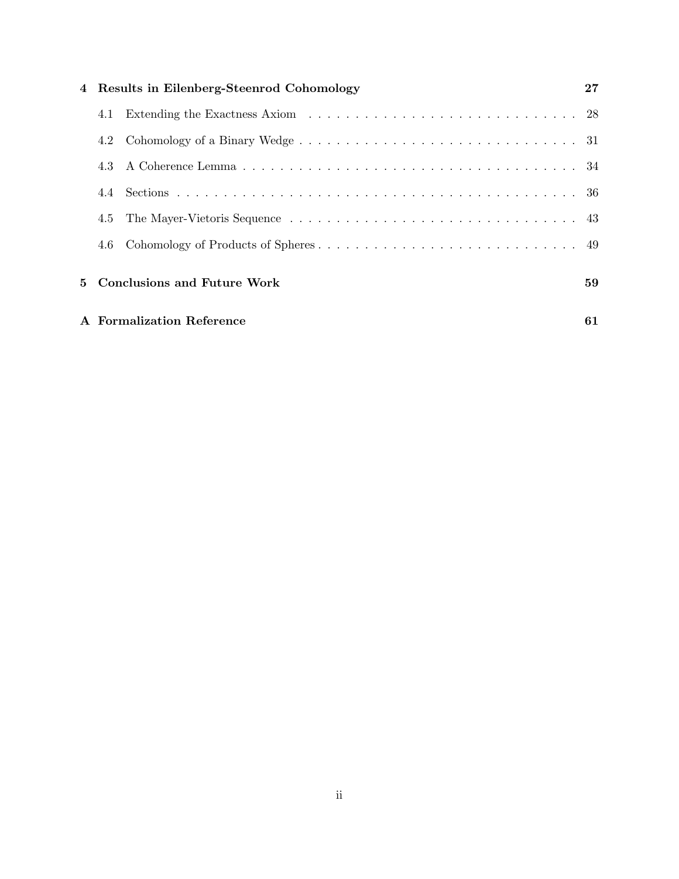| 4 Results in Eilenberg-Steenrod Cohomology |                               |    |  |
|--------------------------------------------|-------------------------------|----|--|
| 4.1                                        |                               |    |  |
| 4.2                                        |                               |    |  |
|                                            |                               |    |  |
|                                            |                               |    |  |
| 4.5                                        |                               |    |  |
| 4.6                                        |                               |    |  |
|                                            | 5 Conclusions and Future Work | 59 |  |
| A Formalization Reference<br>61            |                               |    |  |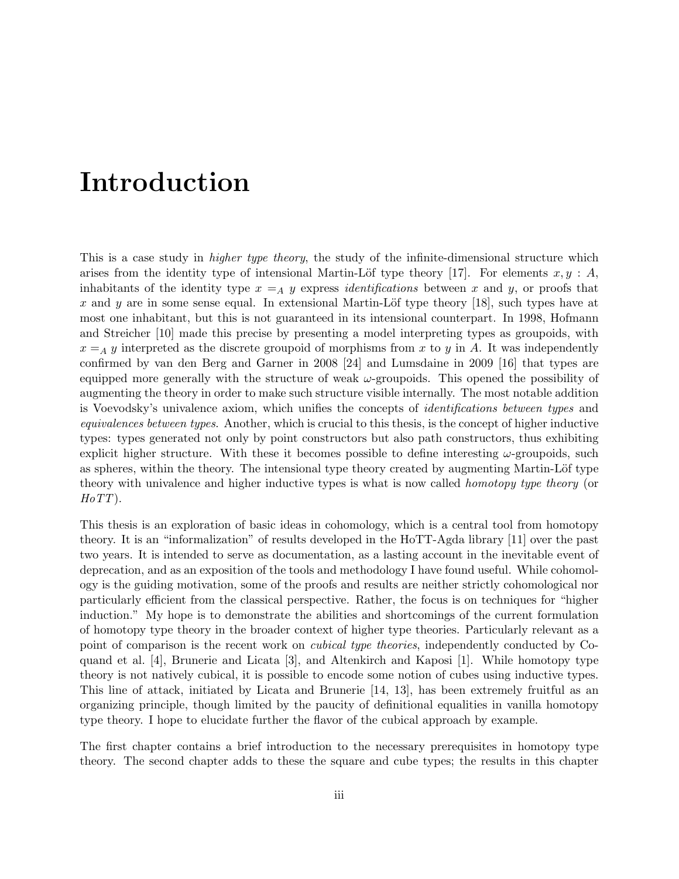# Introduction

This is a case study in *higher type theory*, the study of the infinite-dimensional structure which arises from the identity type of intensional Martin-Löf type theory [17]. For elements  $x, y : A$ , inhabitants of the identity type  $x =_A y$  express *identifications* between x and y, or proofs that x and y are in some sense equal. In extensional Martin-Löf type theory  $[18]$ , such types have at most one inhabitant, but this is not guaranteed in its intensional counterpart. In 1998, Hofmann and Streicher [10] made this precise by presenting a model interpreting types as groupoids, with  $x = A$  y interpreted as the discrete groupoid of morphisms from x to y in A. It was independently confirmed by van den Berg and Garner in 2008 [24] and Lumsdaine in 2009 [16] that types are equipped more generally with the structure of weak  $\omega$ -groupoids. This opened the possibility of augmenting the theory in order to make such structure visible internally. The most notable addition is Voevodsky's univalence axiom, which unifies the concepts of identifications between types and equivalences between types. Another, which is crucial to this thesis, is the concept of higher inductive types: types generated not only by point constructors but also path constructors, thus exhibiting explicit higher structure. With these it becomes possible to define interesting  $\omega$ -groupoids, such as spheres, within the theory. The intensional type theory created by augmenting Martin-Löf type theory with univalence and higher inductive types is what is now called homotopy type theory (or  $H\sigma TT$ ).

This thesis is an exploration of basic ideas in cohomology, which is a central tool from homotopy theory. It is an "informalization" of results developed in the HoTT-Agda library [11] over the past two years. It is intended to serve as documentation, as a lasting account in the inevitable event of deprecation, and as an exposition of the tools and methodology I have found useful. While cohomology is the guiding motivation, some of the proofs and results are neither strictly cohomological nor particularly efficient from the classical perspective. Rather, the focus is on techniques for "higher induction." My hope is to demonstrate the abilities and shortcomings of the current formulation of homotopy type theory in the broader context of higher type theories. Particularly relevant as a point of comparison is the recent work on cubical type theories, independently conducted by Coquand et al. [4], Brunerie and Licata [3], and Altenkirch and Kaposi [1]. While homotopy type theory is not natively cubical, it is possible to encode some notion of cubes using inductive types. This line of attack, initiated by Licata and Brunerie [14, 13], has been extremely fruitful as an organizing principle, though limited by the paucity of definitional equalities in vanilla homotopy type theory. I hope to elucidate further the flavor of the cubical approach by example.

The first chapter contains a brief introduction to the necessary prerequisites in homotopy type theory. The second chapter adds to these the square and cube types; the results in this chapter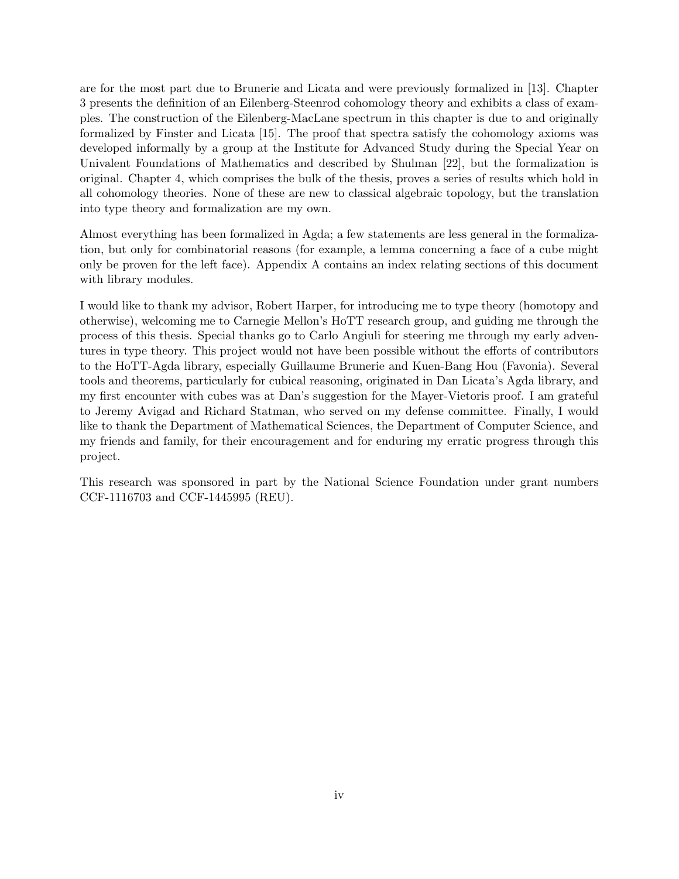are for the most part due to Brunerie and Licata and were previously formalized in [13]. Chapter 3 presents the definition of an Eilenberg-Steenrod cohomology theory and exhibits a class of examples. The construction of the Eilenberg-MacLane spectrum in this chapter is due to and originally formalized by Finster and Licata [15]. The proof that spectra satisfy the cohomology axioms was developed informally by a group at the Institute for Advanced Study during the Special Year on Univalent Foundations of Mathematics and described by Shulman [22], but the formalization is original. Chapter 4, which comprises the bulk of the thesis, proves a series of results which hold in all cohomology theories. None of these are new to classical algebraic topology, but the translation into type theory and formalization are my own.

Almost everything has been formalized in Agda; a few statements are less general in the formalization, but only for combinatorial reasons (for example, a lemma concerning a face of a cube might only be proven for the left face). Appendix A contains an index relating sections of this document with library modules.

I would like to thank my advisor, Robert Harper, for introducing me to type theory (homotopy and otherwise), welcoming me to Carnegie Mellon's HoTT research group, and guiding me through the process of this thesis. Special thanks go to Carlo Angiuli for steering me through my early adventures in type theory. This project would not have been possible without the efforts of contributors to the HoTT-Agda library, especially Guillaume Brunerie and Kuen-Bang Hou (Favonia). Several tools and theorems, particularly for cubical reasoning, originated in Dan Licata's Agda library, and my first encounter with cubes was at Dan's suggestion for the Mayer-Vietoris proof. I am grateful to Jeremy Avigad and Richard Statman, who served on my defense committee. Finally, I would like to thank the Department of Mathematical Sciences, the Department of Computer Science, and my friends and family, for their encouragement and for enduring my erratic progress through this project.

This research was sponsored in part by the National Science Foundation under grant numbers CCF-1116703 and CCF-1445995 (REU).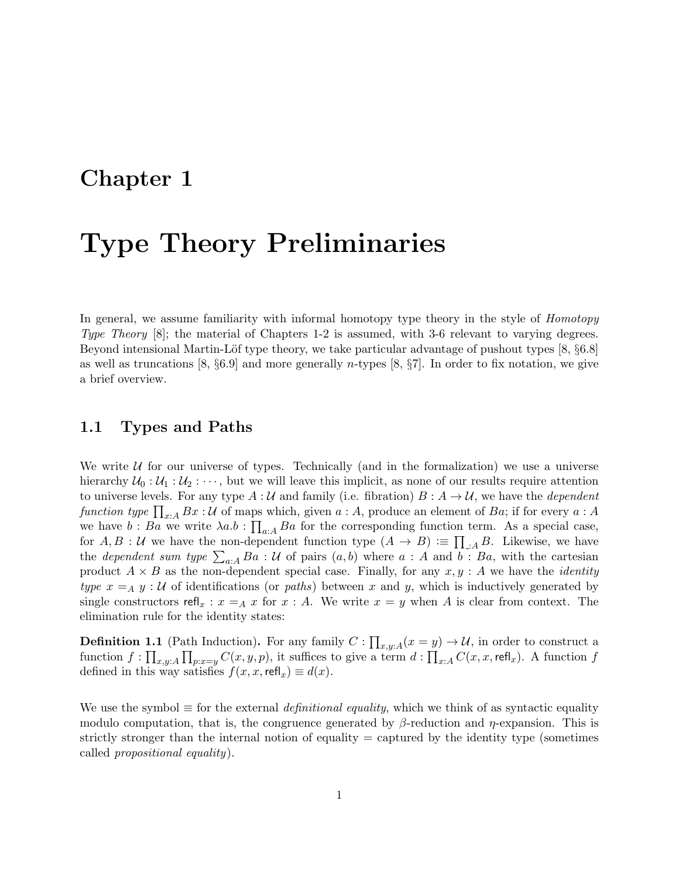# Chapter 1

# Type Theory Preliminaries

In general, we assume familiarity with informal homotopy type theory in the style of *Homotopy* Type Theory [8]; the material of Chapters 1-2 is assumed, with 3-6 relevant to varying degrees. Beyond intensional Martin-Löf type theory, we take particular advantage of pushout types [8,  $\S6.8$ ] as well as truncations [8,  $\S 6.9$ ] and more generally *n*-types [8,  $\S 7$ ]. In order to fix notation, we give a brief overview.

### 1.1 Types and Paths

We write  $U$  for our universe of types. Technically (and in the formalization) we use a universe hierarchy  $U_0: U_1: U_2: \cdots$ , but we will leave this implicit, as none of our results require attention to universe levels. For any type  $A : U$  and family (i.e. fibration)  $B : A \to U$ , we have the *dependent* function type  $\prod_{x:A} Bx : U$  of maps which, given  $a : A$ , produce an element of  $Ba$ ; if for every  $a : A$ we have  $b : Ba$  we write  $\lambda a.b : \prod_{a:A} Ba$  for the corresponding function term. As a special case, for  $A, B: \mathcal{U}$  we have the non-dependent function type  $(A \to B) := \prod_{\mathcal{A}} B$ . Likewise, we have the *dependent sum type*  $\sum_{a:A} Ba : U$  of pairs  $(a, b)$  where  $a : A$  and  $b : Ba$ , with the cartesian product  $A \times B$  as the non-dependent special case. Finally, for any  $x, y : A$  we have the *identity* type  $x = A y : U$  of identifications (or paths) between x and y, which is inductively generated by single constructors refl<sub>x</sub> :  $x = A x$  for  $x : A$ . We write  $x = y$  when A is clear from context. The elimination rule for the identity states:

**Definition 1.1** (Path Induction). For any family  $C: \prod_{x,y:A} (x = y) \to U$ , in order to construct a function  $f: \prod_{x,y:A} \prod_{p:x=y} C(x,y,p)$ , it suffices to give a term  $d: \prod_{x:A} C(x,x,\text{refl}_x)$ . A function f defined in this way satisfies  $f(x, x, \text{refl}_x) \equiv d(x)$ .

We use the symbol  $\equiv$  for the external *definitional equality*, which we think of as syntactic equality modulo computation, that is, the congruence generated by  $\beta$ -reduction and  $\eta$ -expansion. This is strictly stronger than the internal notion of equality  $=$  captured by the identity type (sometimes) called propositional equality).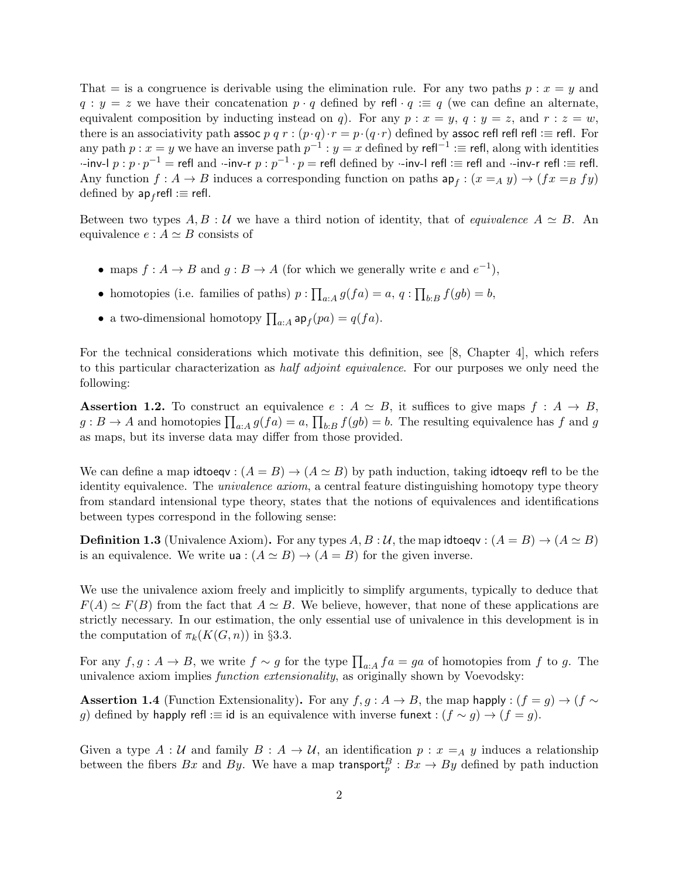That  $=$  is a congruence is derivable using the elimination rule. For any two paths  $p : x = y$  and  $q : y = z$  we have their concatenation  $p \cdot q$  defined by refl  $\cdot q := q$  (we can define an alternate, equivalent composition by inducting instead on q). For any  $p : x = y$ ,  $q : y = z$ , and  $r : z = w$ , there is an associativity path assoc p q r :  $(p \cdot q) \cdot r = p \cdot (q \cdot r)$  defined by assoc refl refl refl :≡ refl. For any path  $p : x = y$  we have an inverse path  $p^{-1} : y = x$  defined by refl<sup>-1</sup> :≡ refl, along with identities -inv-l  $p$  :  $p\cdot p^{-1} =$  refl and ·-inv-r  $p$  :  $p^{-1}\cdot p =$  refl defined by ·-inv-l refl : $\equiv$  refl and ·-inv-r refl : $\equiv$  refl. Any function  $f: A \to B$  induces a corresponding function on paths  $ap_f: (x =_A y) \to (fx =_B fy)$ defined by  $ap_f$ refl : $\equiv$  refl.

Between two types  $A, B : U$  we have a third notion of identity, that of *equivalence*  $A \simeq B$ . An equivalence  $e : A \simeq B$  consists of

- maps  $f: A \to B$  and  $g: B \to A$  (for which we generally write e and  $e^{-1}$ ),
- homotopies (i.e. families of paths)  $p: \prod_{a:A} g(fa) = a, q: \prod_{b:B} f(gb) = b$ ,
- a two-dimensional homotopy  $\prod_{a:A} \mathsf{ap}_f(pa) = q(fa)$ .

For the technical considerations which motivate this definition, see [8, Chapter 4], which refers to this particular characterization as half adjoint equivalence. For our purposes we only need the following:

**Assertion 1.2.** To construct an equivalence  $e : A \simeq B$ , it suffices to give maps  $f : A \rightarrow B$ ,  $g: B \to A$  and homotopies  $\prod_{a:A} g(fa) = a$ ,  $\prod_{b:B} f(gb) = b$ . The resulting equivalence has f and g as maps, but its inverse data may differ from those provided.

We can define a map idtoeqv:  $(A = B) \rightarrow (A \simeq B)$  by path induction, taking idtoeqv refl to be the identity equivalence. The *univalence axiom*, a central feature distinguishing homotopy type theory from standard intensional type theory, states that the notions of equivalences and identifications between types correspond in the following sense:

**Definition 1.3** (Univalence Axiom). For any types  $A, B : \mathcal{U}$ , the map idtoeqv :  $(A = B) \rightarrow (A \simeq B)$ is an equivalence. We write  $ua : (A \simeq B) \rightarrow (A = B)$  for the given inverse.

We use the univalence axiom freely and implicitly to simplify arguments, typically to deduce that  $F(A) \simeq F(B)$  from the fact that  $A \simeq B$ . We believe, however, that none of these applications are strictly necessary. In our estimation, the only essential use of univalence in this development is in the computation of  $\pi_k(K(G, n))$  in §3.3.

For any  $f, g: A \to B$ , we write  $f \sim g$  for the type  $\prod_{a:A} fa = ga$  of homotopies from f to g. The univalence axiom implies function extensionality, as originally shown by Voevodsky:

**Assertion 1.4** (Function Extensionality). For any  $f, g : A \to B$ , the map happly :  $(f = g) \to (f \sim g)$ g) defined by happly refl :≡ id is an equivalence with inverse funext :  $(f \sim g) \rightarrow (f = g)$ .

Given a type  $A: U$  and family  $B: A \to U$ , an identification  $p: x=_A y$  induces a relationship between the fibers  $Bx$  and  $By$ . We have a map transport $_p^B: Bx \to By$  defined by path induction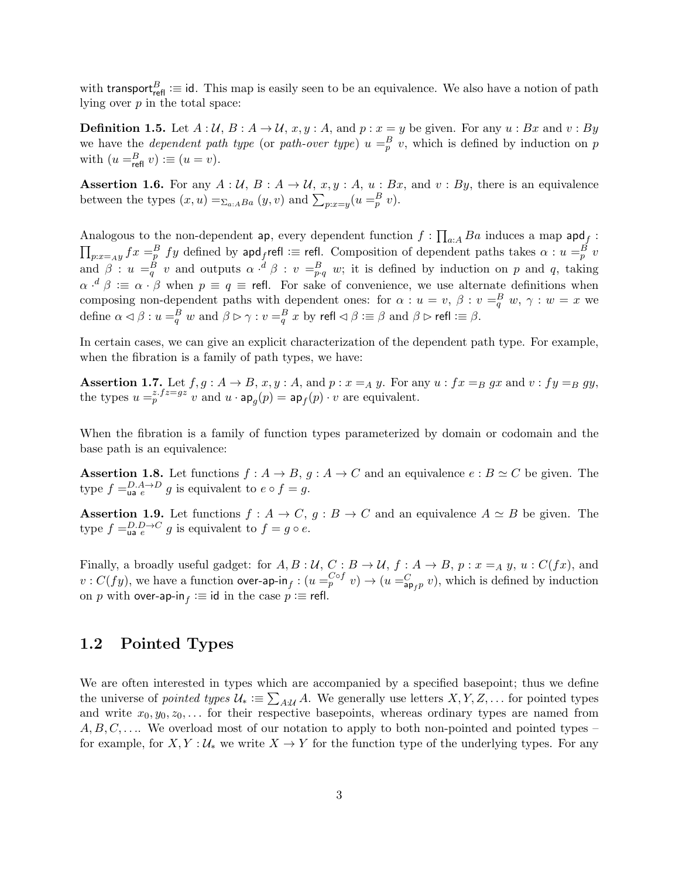with transport $_{\text{refl}}^B \coloneqq$  id. This map is easily seen to be an equivalence. We also have a notion of path lying over  $p$  in the total space:

**Definition 1.5.** Let  $A: \mathcal{U}, B: A \to \mathcal{U}, x, y: A$ , and  $p: x = y$  be given. For any  $u: Bx$  and  $v: By$ we have the *dependent path type* (or path-over type)  $u = \frac{B}{p} v$ , which is defined by induction on p with  $(u =_{refl}^B v) \equiv (u = v)$ .

**Assertion 1.6.** For any  $A: U, B: A \rightarrow U, x, y: A, u: Bx$ , and  $v: By$ , there is an equivalence between the types  $(x, u) = \sum_{a : ABa} (y, v)$  and  $\sum_{p : x = y} (u =_p^B v)$ .

Analogous to the non-dependent ap, every dependent function  $f: \prod_{a:A} Ba$  induces a map  $\mathsf{apd}_f$ :  $\prod_{p:x=a y}fx=^B_pfy$  defined by  $\mathsf{apd}_f$ refl : $\equiv$  refl. Composition of dependent paths takes  $\alpha:u=^B_p v$ and  $\beta: u =_q^B v$  and outputs  $\alpha \cdot^d \beta: v =_{p,q}^B w$ ; it is defined by induction on p and q, taking  $\alpha \cdot^d \beta \coloneqq \alpha \cdot \beta$  when  $p \equiv q \equiv$  refl. For sake of convenience, we use alternate definitions when composing non-dependent paths with dependent ones: for  $\alpha : u = v, \beta : v = \frac{B}{q} w, \gamma : w = x$  we define  $\alpha \lhd \beta : u =_q^B w$  and  $\beta \rhd \gamma : v =_q^B x$  by refl  $\lhd \beta : \equiv \beta$  and  $\beta \rhd$  refl  $\coloneqq \beta$ .

In certain cases, we can give an explicit characterization of the dependent path type. For example, when the fibration is a family of path types, we have:

**Assertion 1.7.** Let  $f, g: A \to B$ ,  $x, y: A$ , and  $p: x =_A y$ . For any  $u: fx =_B gx$  and  $v: fy =_B gy$ , the types  $u =_{p}^{z.fz=gz} v$  and  $u \cdot \mathsf{ap}_{g}(p) = \mathsf{ap}_{f}(p) \cdot v$  are equivalent.

When the fibration is a family of function types parameterized by domain or codomain and the base path is an equivalence:

**Assertion 1.8.** Let functions  $f : A \to B$ ,  $g : A \to C$  and an equivalence  $e : B \simeq C$  be given. The type  $f = \lim_{a \to a} e^{-D} g$  is equivalent to  $e \circ f = g$ .

**Assertion 1.9.** Let functions  $f : A \to C$ ,  $g : B \to C$  and an equivalence  $A \simeq B$  be given. The type  $f = \lim_{a \to c} e^{-C} g$  is equivalent to  $f = g \circ e$ .

Finally, a broadly useful gadget: for  $A, B: U, C: B \to U$ ,  $f: A \to B$ ,  $p: x=_A y$ ,  $u: C(fx)$ , and  $v: C(fy)$ , we have a function over-ap-in $f: (u = p^{C \circ f} v) \to (u =_{ap_f p}^C v)$ , which is defined by induction on  $p$  with over-ap-in $_f := \text{id}$  in the case  $p := \text{refl}$ .

### 1.2 Pointed Types

We are often interested in types which are accompanied by a specified basepoint; thus we define the universe of *pointed types*  $\mathcal{U}_* \coloneqq \sum_{A:\mathcal{U}} A$ . We generally use letters  $X, Y, Z, \dots$  for pointed types and write  $x_0, y_0, z_0, \ldots$  for their respective basepoints, whereas ordinary types are named from  $A, B, C, \ldots$  We overload most of our notation to apply to both non-pointed and pointed types – for example, for  $X, Y : U_*$  we write  $X \to Y$  for the function type of the underlying types. For any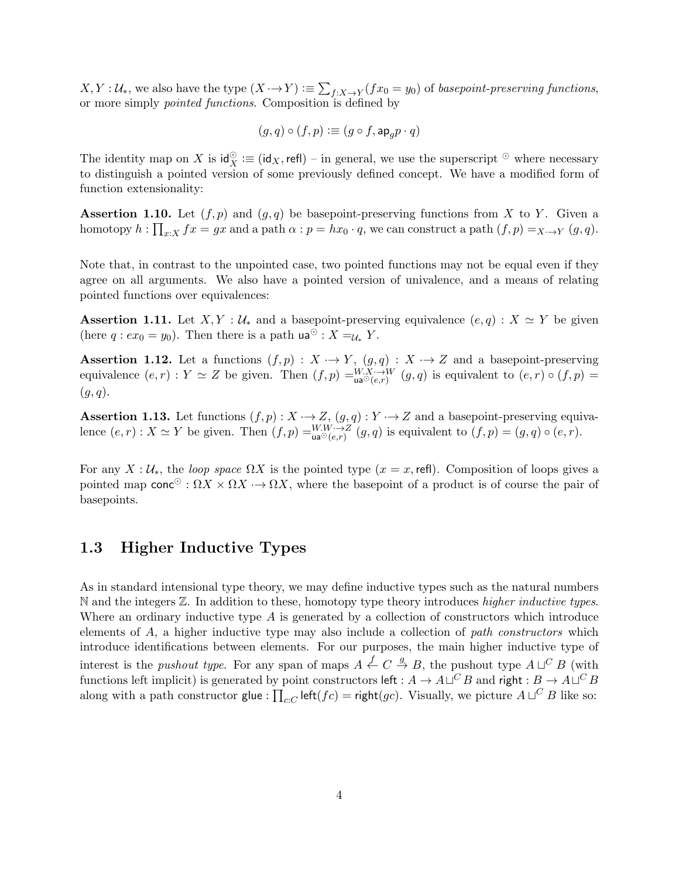$X, Y: \mathcal{U}_*,$  we also have the type  $(X \to Y) := \sum_{f:X \to Y} (fx_0 = y_0)$  of basepoint-preserving functions, or more simply pointed functions. Composition is defined by

$$
(g,q)\circ (f,p): \equiv (g\circ f, \mathsf{ap}_g p\cdot q)
$$

The identity map on X is  $\mathsf{id}_X^\odot \coloneqq (\mathsf{id}_X, \mathsf{refl}) - \mathsf{in}$  general, we use the superscript  $\odot$  where necessary to distinguish a pointed version of some previously defined concept. We have a modified form of function extensionality:

**Assertion 1.10.** Let  $(f, p)$  and  $(g, q)$  be basepoint-preserving functions from X to Y. Given a homotopy  $h: \prod_{x:X} fx = gx$  and a path  $\alpha: p = hx_0 \cdot q$ , we can construct a path  $(f, p) =_{X \rightarrow Y} (g, q)$ .

Note that, in contrast to the unpointed case, two pointed functions may not be equal even if they agree on all arguments. We also have a pointed version of univalence, and a means of relating pointed functions over equivalences:

Assertion 1.11. Let  $X, Y : \mathcal{U}_*$  and a basepoint-preserving equivalence  $(e, q) : X \simeq Y$  be given (here  $q: ex_0 = y_0$ ). Then there is a path  $ua^{\odot}: X =_{\mathcal{U}_*} Y$ .

**Assertion 1.12.** Let a functions  $(f, p) : X \to Y$ ,  $(g, q) : X \to Z$  and a basepoint-preserving equivalence  $(e,r): Y \simeq Z$  be given. Then  $(f,p) =_{\mathsf{ua}^{\odot}(e,r)}^{\mathsf{W},X\to W}(g,q)$  is equivalent to  $(e,r) \circ (f,p) =$  $(q, q)$ .

**Assertion 1.13.** Let functions  $(f, p) : X \to Z$ ,  $(g, q) : Y \to Z$  and a basepoint-preserving equivalence  $(e,r): X \simeq Y$  be given. Then  $(f,p) = \bigcup_{\mathsf{ua}^\odot(e,r)} W \to Z$   $(g,q)$  is equivalent to  $(f,p) = (g,q) \circ (e,r)$ .

For any  $X: \mathcal{U}_*$ , the *loop space*  $\Omega X$  is the pointed type  $(x = x, \text{refl})$ . Composition of loops gives a pointed map conc<sup>⊙</sup>:  $\Omega X \times \Omega X \to \Omega X$ , where the basepoint of a product is of course the pair of basepoints.

## 1.3 Higher Inductive Types

As in standard intensional type theory, we may define inductive types such as the natural numbers  $\mathbb N$  and the integers  $\mathbb Z$ . In addition to these, homotopy type theory introduces *higher inductive types*. Where an ordinary inductive type  $A$  is generated by a collection of constructors which introduce elements of  $A$ , a higher inductive type may also include a collection of *path constructors* which introduce identifications between elements. For our purposes, the main higher inductive type of interest is the *pushout type*. For any span of maps  $A \stackrel{f}{\leftarrow} C \stackrel{g}{\rightarrow} B$ , the pushout type  $A \sqcup^C B$  (with functions left implicit) is generated by point constructors left :  $A\to A\sqcup^C B$  and right :  $B\to A\sqcup^C B$ along with a path constructor glue :  $\prod_{c:C}$  left( $fc$ ) = right( $gc$ ). Visually, we picture  $A \sqcup^C B$  like so: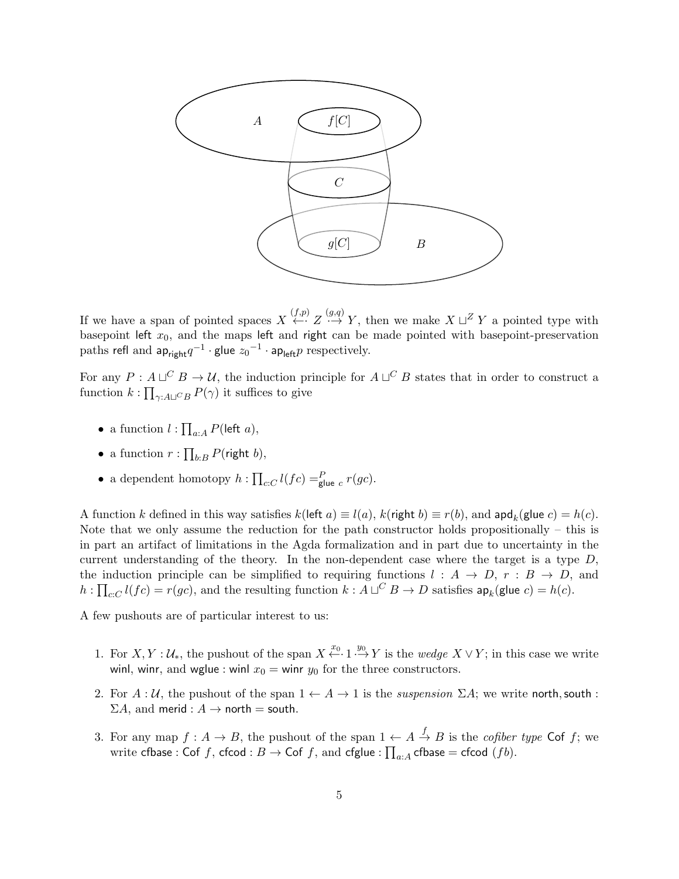

If we have a span of pointed spaces  $X \stackrel{(f,p)}{\leftarrow} Z \stackrel{(g,q)}{\rightarrow} Y$ , then we make  $X \sqcup Z Y$  a pointed type with basepoint left  $x_0$ , and the maps left and right can be made pointed with basepoint-preservation paths refl and  $\mathsf{ap}_{\mathsf{right}} q^{-1} \cdot \mathsf{glue} \ z_0{}^{-1} \cdot \mathsf{ap}_{\mathsf{left}} p$  respectively.

For any  $P: A \sqcup^C B \to \mathcal{U}$ , the induction principle for  $A \sqcup^C B$  states that in order to construct a function  $k: \prod_{\gamma: A\sqcup C} P(\gamma)$  it suffices to give

- a function  $l : \prod_{a:A} P(\text{left } a),$
- a function  $r: \prod_{b:B} P(\text{right } b),$
- a dependent homotopy  $h: \prod_{c:C} l(fc) =_{\text{glue }c}^P r(gc)$ .

A function k defined in this way satisfies  $k(\text{left } a) \equiv l(a), k(\text{right } b) \equiv r(b), \text{ and } \text{apd}_k(\text{glue } c) = h(c).$ Note that we only assume the reduction for the path constructor holds propositionally – this is in part an artifact of limitations in the Agda formalization and in part due to uncertainty in the current understanding of the theory. In the non-dependent case where the target is a type  $D$ , the induction principle can be simplified to requiring functions  $l : A \rightarrow D$ ,  $r : B \rightarrow D$ , and  $h: \prod_{c:C} l(fc) = r(gc)$ , and the resulting function  $k: A \sqcup^C B \to D$  satisfies  $\mathsf{ap}_k(\mathsf{glue}\; c) = h(c).$ 

A few pushouts are of particular interest to us:

- 1. For  $X, Y: \mathcal{U}_{*}$ , the pushout of the span  $X \stackrel{x_0}{\leftarrow} 1 \stackrel{y_0}{\rightarrow} Y$  is the wedge  $X \vee Y$ ; in this case we write winl, winr, and wglue : winl  $x_0 =$  winr  $y_0$  for the three constructors.
- 2. For  $A: \mathcal{U}$ , the pushout of the span  $1 \leftarrow A \rightarrow 1$  is the *suspension*  $\Sigma A$ ; we write north, south :  $\Sigma A$ , and merid :  $A \rightarrow$  north = south.
- 3. For any map  $f: A \to B$ , the pushout of the span  $1 \leftarrow A \stackrel{f}{\to} B$  is the *cofiber type* Cof f; we write  $\textsf{cfbase} : \textsf{Cof}\;f, \;\textsf{cfcod} : B \to \textsf{Cof}\;f, \;\text{and}\; \textsf{cfglue} : \prod_{a : A} \textsf{cfbase} = \textsf{cfcod}\; (fb).$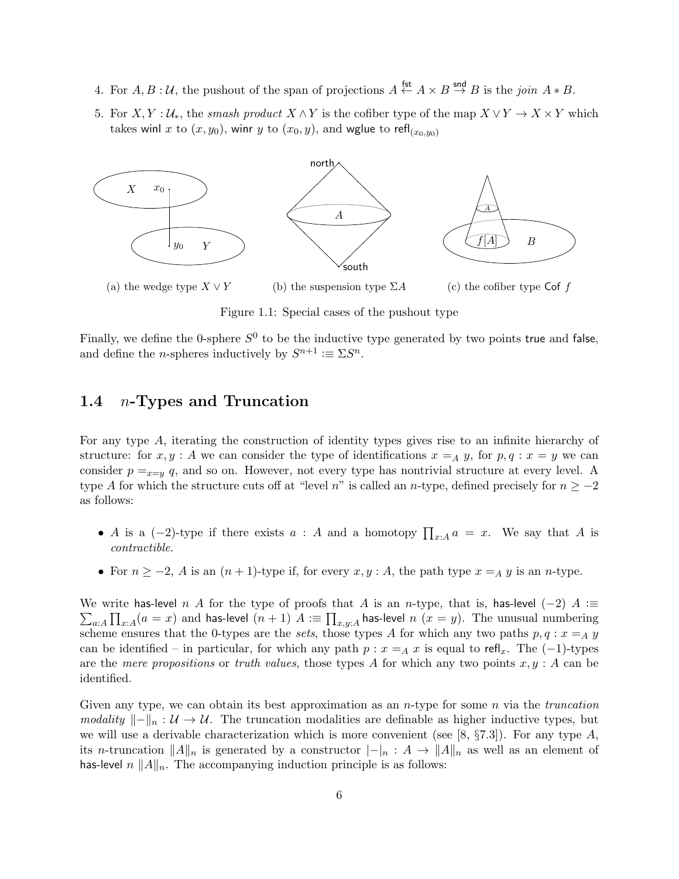- 4. For  $A, B: \mathcal{U}$ , the pushout of the span of projections  $A \stackrel{\text{fst}}{\leftarrow} A \times B \stackrel{\text{snd}}{\rightarrow} B$  is the join  $A * B$ .
- 5. For  $X, Y : U_*,$  the smash product  $X \wedge Y$  is the cofiber type of the map  $X \vee Y \to X \times Y$  which takes winl x to  $(x, y_0)$ , winr y to  $(x_0, y)$ , and wglue to refl<sub> $(x_0, y_0)$ </sub>



Figure 1.1: Special cases of the pushout type

Finally, we define the 0-sphere  $S^0$  to be the inductive type generated by two points true and false, and define the *n*-spheres inductively by  $S^{n+1} \coloneqq \Sigma S^n$ .

### 1.4  $n$ -Types and Truncation

For any type A, iterating the construction of identity types gives rise to an infinite hierarchy of structure: for  $x, y : A$  we can consider the type of identifications  $x = A y$ , for  $p, q : x = y$  we can consider  $p =_{x=y} q$ , and so on. However, not every type has nontrivial structure at every level. A type A for which the structure cuts off at "level n" is called an n-type, defined precisely for  $n \ge -2$ as follows:

- A is a  $(-2)$ -type if there exists  $a : A$  and a homotopy  $\prod_{x:A} a = x$ . We say that A is contractible.
- For  $n \ge -2$ , A is an  $(n + 1)$ -type if, for every  $x, y : A$ , the path type  $x = A y$  is an n-type.

 $\sum_{a:A}\prod_{x:A}(a=x)$  and <code>has-level</code>  $(n+1)$   $A\coloneqq\prod_{x,y:A}$  <code>has-level</code>  $n$   $(x=y).$  The unusual numbering We write has-level n A for the type of proofs that A is an n-type, that is, has-level (-2) A : $\equiv$ scheme ensures that the 0-types are the sets, those types A for which any two paths  $p, q : x =_A y$ can be identified – in particular, for which any path  $p : x = A x$  is equal to refl<sub>x</sub>. The (-1)-types are the mere propositions or truth values, those types A for which any two points  $x, y : A$  can be identified.

Given any type, we can obtain its best approximation as an *n*-type for some *n* via the *truncation* modality  $\|\cdot\|_n : \mathcal{U} \to \mathcal{U}$ . The truncation modalities are definable as higher inductive types, but we will use a derivable characterization which is more convenient (see [8,  $\S 7.3$ ]). For any type A, its n-truncation  $||A||_n$  is generated by a constructor  $|-|n : A \to ||A||_n$  as well as an element of has-level  $n ||A||_n$ . The accompanying induction principle is as follows: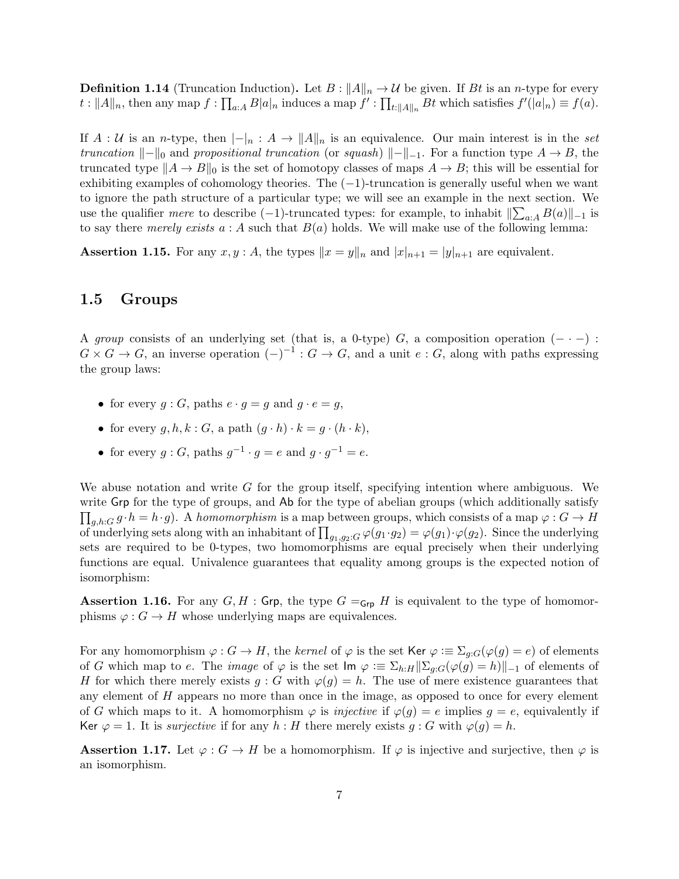**Definition 1.14** (Truncation Induction). Let  $B: ||A||_n \to U$  be given. If Bt is an n-type for every  $t:||A||_n$ , then any map  $f: \prod_{a:A} B|a|_n$  induces a map  $f': \prod_{t:||A||_n} Bt$  which satisfies  $f'(|a|_n) \equiv f(a)$ .

If  $A: U$  is an n-type, then  $|-_n: A \to ||A||_n$  is an equivalence. Our main interest is in the set truncation  $\Vert -\Vert_0$  and propositional truncation (or squash)  $\Vert -\Vert_{-1}$ . For a function type  $A \to B$ , the truncated type  $||A \rightarrow B||_0$  is the set of homotopy classes of maps  $A \rightarrow B$ ; this will be essential for exhibiting examples of cohomology theories. The  $(-1)$ -truncation is generally useful when we want to ignore the path structure of a particular type; we will see an example in the next section. We use the qualifier *mere* to describe  $(-1)$ -truncated types: for example, to inhabit  $\|\sum_{a:A} B(a)\|_{-1}$  is to say there merely exists  $a : A$  such that  $B(a)$  holds. We will make use of the following lemma:

**Assertion 1.15.** For any  $x, y : A$ , the types  $||x = y||_n$  and  $|x|_{n+1} = |y|_{n+1}$  are equivalent.

## 1.5 Groups

A group consists of an underlying set (that is, a 0-type) G, a composition operation  $(- \cdot -)$ :  $G \times G \to G$ , an inverse operation  $(-)^{-1}$ :  $G \to G$ , and a unit  $e : G$ , along with paths expressing the group laws:

- for every  $g : G$ , paths  $e \cdot g = g$  and  $g \cdot e = g$ ,
- for every  $q, h, k : G$ , a path  $(q \cdot h) \cdot k = q \cdot (h \cdot k)$ ,
- for every  $g: G$ , paths  $g^{-1} \cdot g = e$  and  $g \cdot g^{-1} = e$ .

We abuse notation and write  $G$  for the group itself, specifying intention where ambiguous. We write Grp for the type of groups, and Ab for the type of abelian groups (which additionally satisfy  $\prod_{g,h:G} g \cdot h = h \cdot g$ . A homomorphism is a map between groups, which consists of a map  $\varphi: G \to H$ of underlying sets along with an inhabitant of  $\prod_{g_1,g_2:G} \varphi(g_1 \cdot g_2) = \varphi(g_1) \cdot \varphi(g_2)$ . Since the underlying sets are required to be 0-types, two homomorphisms are equal precisely when their underlying functions are equal. Univalence guarantees that equality among groups is the expected notion of isomorphism:

**Assertion 1.16.** For any  $G, H$ : Grp, the type  $G =_{Grp} H$  is equivalent to the type of homomorphisms  $\varphi: G \to H$  whose underlying maps are equivalences.

For any homomorphism  $\varphi: G \to H$ , the kernel of  $\varphi$  is the set Ker  $\varphi: \Xi \Sigma_{g,G}(\varphi(g) = e)$  of elements of G which map to e. The *image* of  $\varphi$  is the set  $\text{Im } \varphi := \sum_{h:H} ||\sum_{g:G} (\varphi(g) = h)||_{-1}$  of elements of H for which there merely exists  $g : G$  with  $\varphi(g) = h$ . The use of mere existence guarantees that any element of  $H$  appears no more than once in the image, as opposed to once for every element of G which maps to it. A homomorphism  $\varphi$  is *injective* if  $\varphi(q) = e$  implies  $q = e$ , equivalently if Ker  $\varphi = 1$ . It is surjective if for any h: H there merely exists g: G with  $\varphi(g) = h$ .

**Assertion 1.17.** Let  $\varphi: G \to H$  be a homomorphism. If  $\varphi$  is injective and surjective, then  $\varphi$  is an isomorphism.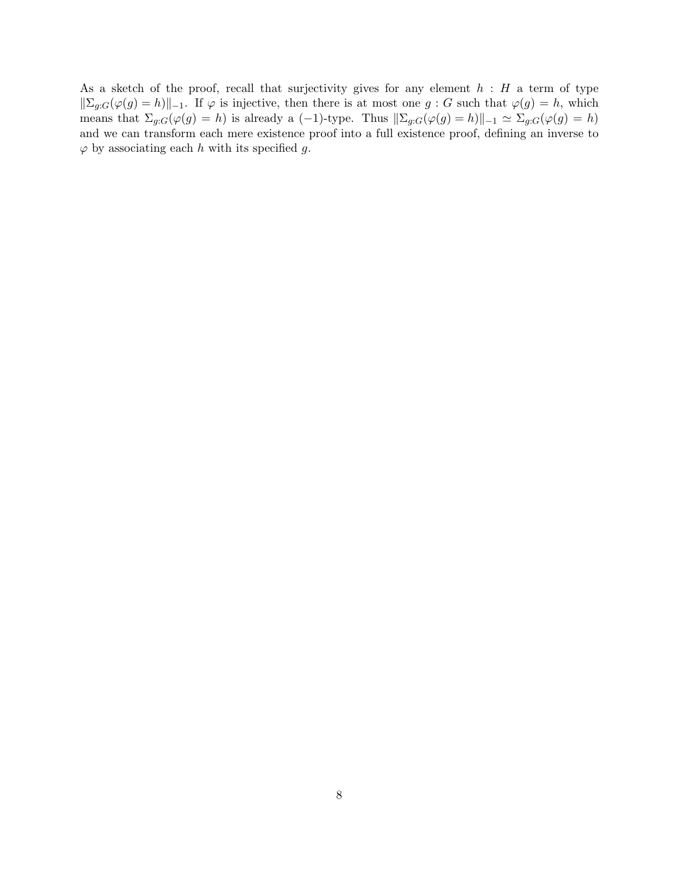As a sketch of the proof, recall that surjectivity gives for any element  $h : H$  a term of type  $\sum_{g:G}(\varphi(g) = h)\Vert_{-1}$ . If  $\varphi$  is injective, then there is at most one  $g: G$  such that  $\varphi(g) = h$ , which means that  $\Sigma_{g:G}(\varphi(g) = h)$  is already a (-1)-type. Thus  $\|\Sigma_{g:G}(\varphi(g) = h)\|_{-1} \simeq \Sigma_{g:G}(\varphi(g) = h)$ and we can transform each mere existence proof into a full existence proof, defining an inverse to  $\varphi$  by associating each h with its specified g.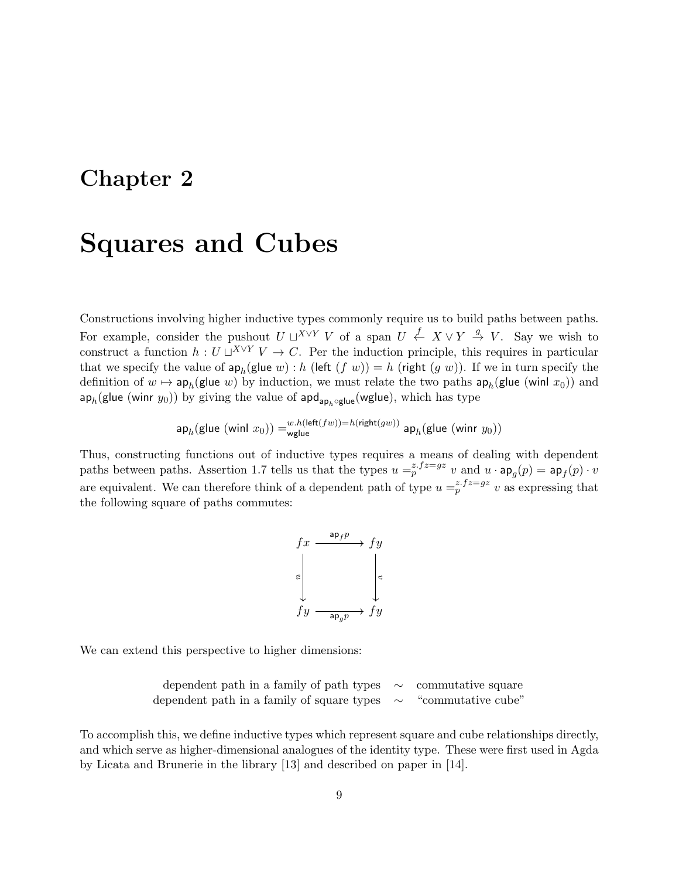# Chapter 2

# Squares and Cubes

Constructions involving higher inductive types commonly require us to build paths between paths. For example, consider the pushout  $U \sqcup^{X \vee Y} V$  of a span  $U \stackrel{f}{\leftarrow} X \vee Y \stackrel{g}{\rightarrow} V$ . Say we wish to construct a function  $h: U \sqcup^{X \vee Y} V \to C$ . Per the induction principle, this requires in particular that we specify the value of  $\mathsf{ap}_h(\mathsf{glue}\; w)$  : h (left  $(f\; w)) = h$  (right  $(g\; w)$ ). If we in turn specify the definition of  $w \mapsto \mathsf{ap}_h(\mathsf{glue}\; w)$  by induction, we must relate the two paths  $\mathsf{ap}_h(\mathsf{glue}\;(\mathsf{winl}\;x_0))$  and  $\mathsf{ap}_h(\mathsf{glue}\;(\mathsf{winr}\;y_0))$  by giving the value of  $\mathsf{apd}_{\mathsf{ap}_h \circ \mathsf{glue}}(\mathsf{wglue}),$  which has type

$$
\mathsf{ap}_h(\mathsf{glue}\;(\mathsf{winl}\;x_0)) = \substack{w.h(\mathsf{left}(fw)) = h(\mathsf{right}(gw))}{\mathsf{wglue}\;}\; \mathsf{ap}_h(\mathsf{glue}\;(\mathsf{winr}\;y_0))
$$

Thus, constructing functions out of inductive types requires a means of dealing with dependent paths between paths. Assertion 1.7 tells us that the types  $u = p^{z} f^{z=gz} v$  and  $u \cdot ap_g(p) = ap_f(p) \cdot v$ are equivalent. We can therefore think of a dependent path of type  $u = p^2 \int e^{i\theta} \cos \theta$  as expressing that the following square of paths commutes:

fx fy fy fy u ap<sup>f</sup> p v apgp

We can extend this perspective to higher dimensions:

| dependent path in a family of path types $\sim$ commutative square |                    |
|--------------------------------------------------------------------|--------------------|
| dependent path in a family of square types $\sim$                  | "commutative cube" |

To accomplish this, we define inductive types which represent square and cube relationships directly, and which serve as higher-dimensional analogues of the identity type. These were first used in Agda by Licata and Brunerie in the library [13] and described on paper in [14].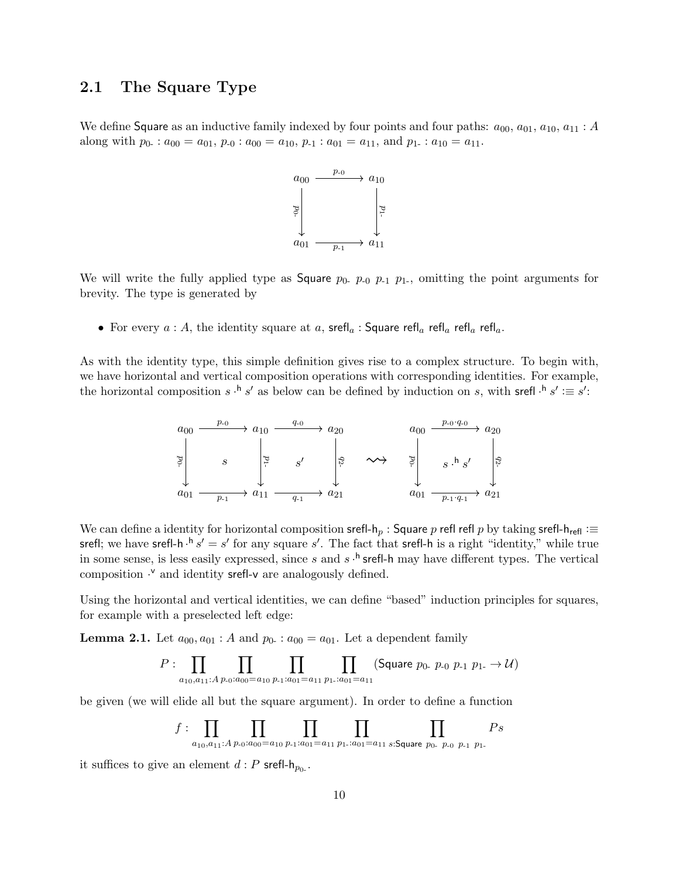## 2.1 The Square Type

We define Square as an inductive family indexed by four points and four paths:  $a_{00}$ ,  $a_{01}$ ,  $a_{10}$ ,  $a_{11}$ : A along with  $p_0$ :  $a_{00} = a_{01}$ ,  $p_{-0}$ :  $a_{00} = a_{10}$ ,  $p_{-1}$ :  $a_{01} = a_{11}$ , and  $p_1$ :  $a_{10} = a_{11}$ .



We will write the fully applied type as **Square**  $p_0$   $p_0$   $p_{-1}$   $p_1$ , omitting the point arguments for brevity. The type is generated by

• For every  $a : A$ , the identity square at  $a$ , srefl<sub>a</sub>: Square refl<sub>a</sub> refl<sub>a</sub> refl<sub>a</sub> refl<sub>a</sub>.

As with the identity type, this simple definition gives rise to a complex structure. To begin with, we have horizontal and vertical composition operations with corresponding identities. For example, the horizontal composition  $s \cdot h s'$  as below can be defined by induction on s, with srefl  $\cdot h s' := s'$ :



We can define a identity for horizontal composition srefl- $h_p$  : Square p refl refl p by taking srefl- $h_{refl}$  :≡ srefl; we have srefl-h  $\cdot$ <sup>h</sup>  $s' = s'$  for any square  $s'$ . The fact that srefl-h is a right "identity," while true in some sense, is less easily expressed, since s and  $s \cdot^h$  srefl-h may have different types. The vertical composition  $\cdot$ <sup>v</sup> and identity srefl-v are analogously defined.

Using the horizontal and vertical identities, we can define "based" induction principles for squares, for example with a preselected left edge:

**Lemma 2.1.** Let  $a_{00}, a_{01}$ : A and  $p_0$ . :  $a_{00} = a_{01}$ . Let a dependent family

$$
P: \prod_{a_{10},a_{11}:A} \prod_{p_0:a_{00}=a_{10}} \prod_{p_1:a_{01}=a_{11}} \prod_{p_1:a_{01}=a_{11}} (\text{Square } p_0. \ p_{-0} \ p_{-1} \ p_{1-} \to \mathcal{U})
$$

be given (we will elide all but the square argument). In order to define a function

$$
f: \prod_{a_{10},a_{11}:A} \prod_{p_0:a_{00}=a_{10}} \prod_{p_1:a_{01}=a_{11}} \prod_{p_1:a_{01}=a_{11}} \prod_{s:\text{Square } p_0, p_0} \prod_{p_1} P_s
$$

it suffices to give an element  $d : P$  srefl- $h_{p_0}$ .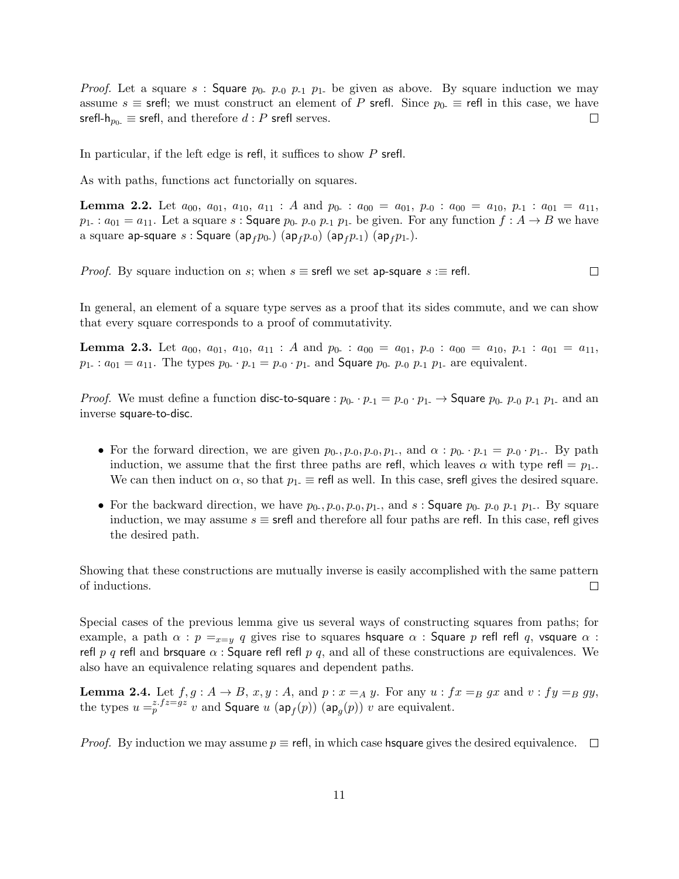*Proof.* Let a square s : Square  $p_0$ ,  $p_{-0}$ ,  $p_{-1}$ ,  $p_{1}$  be given as above. By square induction we may assume  $s \equiv$  srefl; we must construct an element of P srefl. Since  $p_0 \equiv$  refl in this case, we have srefl- $h_{p_0} \equiv$  srefl, and therefore  $d : P$  srefl serves.  $\Box$ 

In particular, if the left edge is refl, it suffices to show P srefl.

As with paths, functions act functorially on squares.

**Lemma 2.2.** Let  $a_{00}$ ,  $a_{01}$ ,  $a_{10}$ ,  $a_{11}$ : A and  $p_{0-}$ :  $a_{00} = a_{01}$ ,  $p_{-0}$ :  $a_{00} = a_{10}$ ,  $p_{-1}$ :  $a_{01} = a_{11}$ ,  $p_{1-}$ :  $a_{01} = a_{11}$ . Let a square s: Square  $p_{0-}$ ,  $p_{0}$ ,  $p_{1}$ ,  $p_{1-}$  be given. For any function  $f : A \rightarrow B$  we have a square ap-square s : Square (ap<sub>f</sub> $p_{0-}$ ) (ap<sub>f</sub> $p_{-0}$ ) (ap<sub>f</sub> $p_{-1}$ ) (ap<sub>f</sub> $p_{1-}$ ).

 $\Box$ *Proof.* By square induction on s; when  $s \equiv$  srefl we set ap-square  $s \equiv$  refl.

In general, an element of a square type serves as a proof that its sides commute, and we can show that every square corresponds to a proof of commutativity.

**Lemma 2.3.** Let  $a_{00}$ ,  $a_{01}$ ,  $a_{10}$ ,  $a_{11}$ : A and  $p_{0-}$ :  $a_{00} = a_{01}$ ,  $p_{-0}$ :  $a_{00} = a_{10}$ ,  $p_{-1}$ :  $a_{01} = a_{11}$ ,  $p_1$ :  $a_{01} = a_{11}$ . The types  $p_0$ .  $p_{-1} = p_0 \cdot p_1$  and **Square**  $p_0$ .  $p_{-0}$   $p_{-1}$   $p_1$  are equivalent.

*Proof.* We must define a function disc-to-square :  $p_{0-} \cdot p_{-1} = p_{-0} \cdot p_{1-} \rightarrow$  Square  $p_{0-} p_{-0} p_{-1} p_{1-}$  and an inverse square-to-disc.

- For the forward direction, we are given  $p_0, p_{-0}, p_{-0}, p_1$ , and  $\alpha : p_0 \cdot p_1 = p_0 \cdot p_1$ . By path induction, we assume that the first three paths are refl, which leaves  $\alpha$  with type refl =  $p_1$ . We can then induct on  $\alpha$ , so that  $p_1 \equiv$  refl as well. In this case, srefl gives the desired square.
- For the backward direction, we have  $p_0, p_{-0}, p_{-0}, p_{1-}$ , and s: Square  $p_0, p_{-0}$   $p_{-1}$   $p_{1-}$ . By square induction, we may assume  $s \equiv$  srefl and therefore all four paths are refl. In this case, refl gives the desired path.

Showing that these constructions are mutually inverse is easily accomplished with the same pattern of inductions.  $\Box$ 

Special cases of the previous lemma give us several ways of constructing squares from paths; for example, a path  $\alpha$  :  $p =_{x=y} q$  gives rise to squares hsquare  $\alpha$  : Square p refl refl q, vsquare  $\alpha$  : refl p q refl and brsquare  $\alpha$ : Square refl refl p q, and all of these constructions are equivalences. We also have an equivalence relating squares and dependent paths.

**Lemma 2.4.** Let  $f, g: A \rightarrow B$ ,  $x, y: A$ , and  $p: x =_A y$ . For any  $u: fx =_B gx$  and  $v: fy =_B gy$ , the types  $u =_{p}^{z.fz=gz} v$  and Square  $u$  (ap<sub>f</sub>(p)) (ap<sub>g</sub>(p))  $v$  are equivalent.

*Proof.* By induction we may assume  $p \equiv$  refl, in which case hsquare gives the desired equivalence.  $\Box$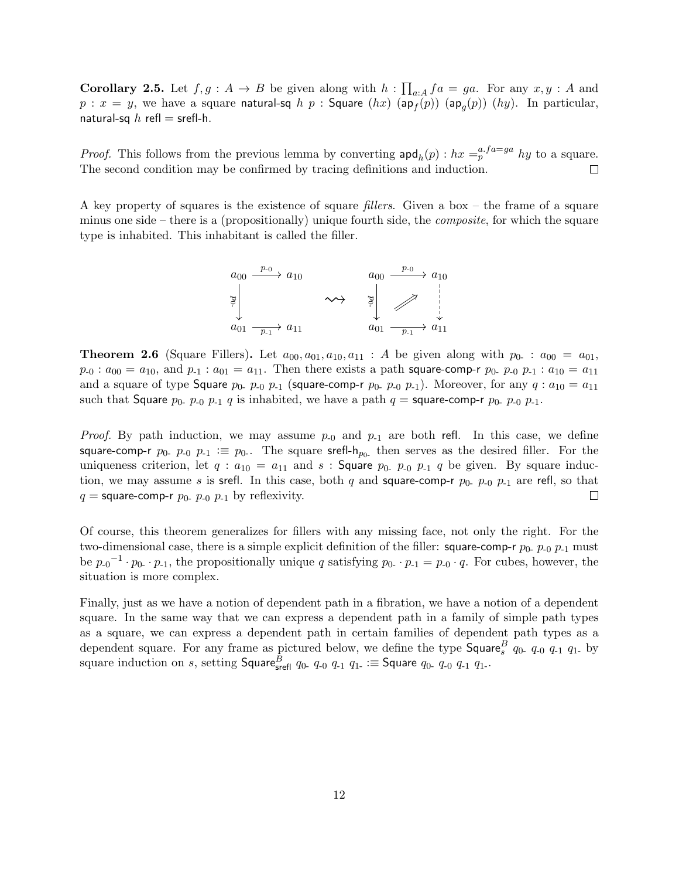**Corollary 2.5.** Let  $f, g: A \to B$  be given along with  $h: \prod_{a:A} fa = ga$ . For any  $x, y: A$  and  $p$  :  $x = y$ , we have a square **natural-sq**  $h$   $p$  : **Square**  $(hx)$   $(\mathsf{ap}_{f}(p))$   $(\mathsf{ap}_{g}(p))$   $(hy)$ . In particular, natural-sq  $h$  refl = srefl-h.

*Proof.* This follows from the previous lemma by converting  $\text{apd}_h(p)$ :  $hx = p^{a \cdot fa = ga} hy$  to a square. The second condition may be confirmed by tracing definitions and induction.  $\Box$ 

A key property of squares is the existence of square fillers. Given a box – the frame of a square minus one side – there is a (propositionally) unique fourth side, the composite, for which the square type is inhabited. This inhabitant is called the filler.



**Theorem 2.6** (Square Fillers). Let  $a_{00}, a_{01}, a_{10}, a_{11}$ : A be given along with  $p_{0-}$ :  $a_{00} = a_{01}$ .  $p_{-0} : a_{00} = a_{10}$ , and  $p_{-1} : a_{01} = a_{11}$ . Then there exists a path square-comp-r  $p_0$ -  $p_{-0}$   $p_{-1} : a_{10} = a_{11}$ and a square of type Square  $p_0$ -  $p_{-0}$   $p_{-1}$  (square-comp-r  $p_0$ -  $p_{-0}$   $p_{-1}$ ). Moreover, for any  $q: a_{10} = a_{11}$ such that Square  $p_0$ -  $p_{-0}$   $p_{-1}$  q is inhabited, we have a path  $q =$  square-comp-r  $p_0$ -  $p_{-0}$   $p_{-1}$ .

*Proof.* By path induction, we may assume  $p_{-0}$  and  $p_{-1}$  are both refl. In this case, we define square-comp-r  $p_0$ -  $p_{-0}$   $p_{-1} \equiv p_0$ . The square srefl- $h_{p_0}$  then serves as the desired filler. For the uniqueness criterion, let  $q : a_{10} = a_{11}$  and  $s :$  Square  $p_0$ ,  $p_0$ ,  $p_1$ ,  $q$  be given. By square induction, we may assume s is srefl. In this case, both q and square-comp-r  $p_{0}$ -  $p_{-0}$   $p_{-1}$  are refl, so that  $q =$  square-comp-r  $p_0$ -  $p_{-0}$   $p_{-1}$  by reflexivity.  $\Box$ 

Of course, this theorem generalizes for fillers with any missing face, not only the right. For the two-dimensional case, there is a simple explicit definition of the filler: square-comp-r  $p_0$ -  $p_{-0}$   $p_{-1}$  must be  $p_{-0}$ <sup>-1</sup> ·  $p_{0}$  ·  $p_{-1}$ , the propositionally unique q satisfying  $p_{0}$  ·  $p_{-1} = p_{-0} \cdot q$ . For cubes, however, the situation is more complex.

Finally, just as we have a notion of dependent path in a fibration, we have a notion of a dependent square. In the same way that we can express a dependent path in a family of simple path types as a square, we can express a dependent path in certain families of dependent path types as a dependent square. For any frame as pictured below, we define the type  $\mathsf{Square}_{s}^{B}$   $q_{0}$  q-0  $q_{-1}$   $q_{1}$  by square induction on  $s$ , setting  $\mathsf{Square}_{\mathsf{srefl}}^B$   $q_{0-}$   $q_{-0}$   $q_{1}$   $q_{1-}$  : $\equiv$   $\mathsf{Square}$   $q_{0-}$   $q_{-0}$   $q_{-1}$   $q_{1-}$ .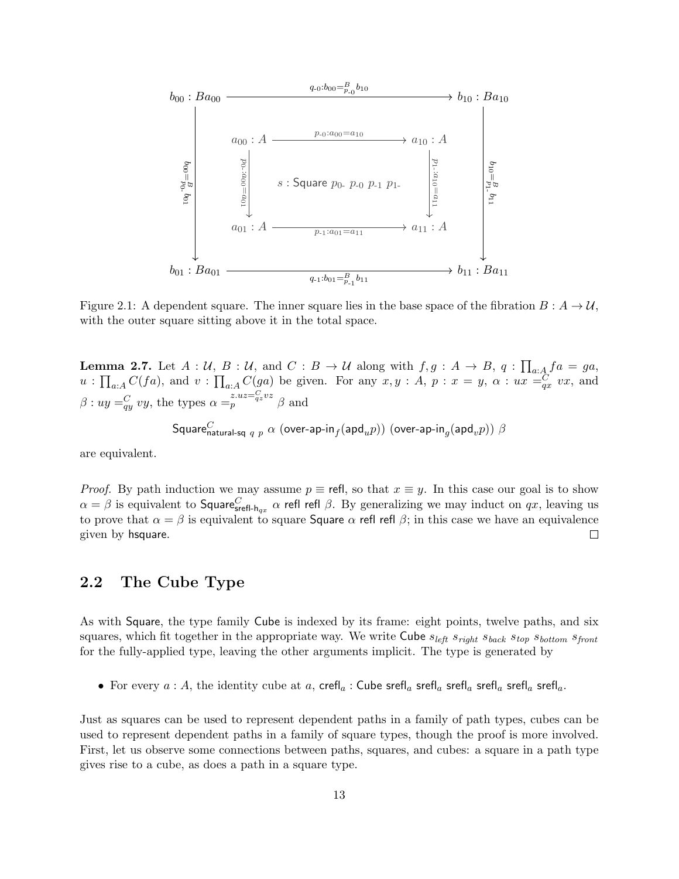

Figure 2.1: A dependent square. The inner square lies in the base space of the fibration  $B : A \to U$ , with the outer square sitting above it in the total space.

**Lemma 2.7.** Let  $A: U, B: U$ , and  $C: B \to U$  along with  $f, g: A \to B$ ,  $q: \prod_{a:A} fa = ga$ ,  $u: \prod_{a:A} C(fa)$ , and  $v: \prod_{a:A} C(ga)$  be given. For any  $x, y: A, p: x = y, \alpha: ux =_{qx}^C vx$ , and  $\beta: uy =_q^C vy$ , the types  $\alpha =_p^{z.uz =_q^C vz} \beta$  and

Square $_{\sf natural\text{-}sq\; q\; p}^C$   $\alpha$  (over-ap-in $_f(\mathsf{apd}_up))$  (over-ap-in $_g(\mathsf{apd}_vp))$   $\beta$ 

are equivalent.

*Proof.* By path induction we may assume  $p \equiv$  refl, so that  $x \equiv y$ . In this case our goal is to show  $\alpha=\beta$  is equivalent to Square $^C_{\mathsf{serfl-h}_{qx}}$   $\alpha$  refl refl  $\beta$ . By generalizing we may induct on  $qx$ , leaving us to prove that  $\alpha = \beta$  is equivalent to square Square  $\alpha$  refl refl  $\beta$ ; in this case we have an equivalence given by hsquare.  $\Box$ 

## 2.2 The Cube Type

As with Square, the type family Cube is indexed by its frame: eight points, twelve paths, and six squares, which fit together in the appropriate way. We write Cube  $s_{left} s_{right} s_{back} s_{top} s_{bottom} s_{front}$ for the fully-applied type, leaving the other arguments implicit. The type is generated by

• For every  $a : A$ , the identity cube at  $a$ , crefl<sub>a</sub>: Cube srefl<sub>a</sub> srefl<sub>a</sub> srefl<sub>a</sub> srefl<sub>a</sub> srefl<sub>a</sub> srefl<sub>a</sub>.

Just as squares can be used to represent dependent paths in a family of path types, cubes can be used to represent dependent paths in a family of square types, though the proof is more involved. First, let us observe some connections between paths, squares, and cubes: a square in a path type gives rise to a cube, as does a path in a square type.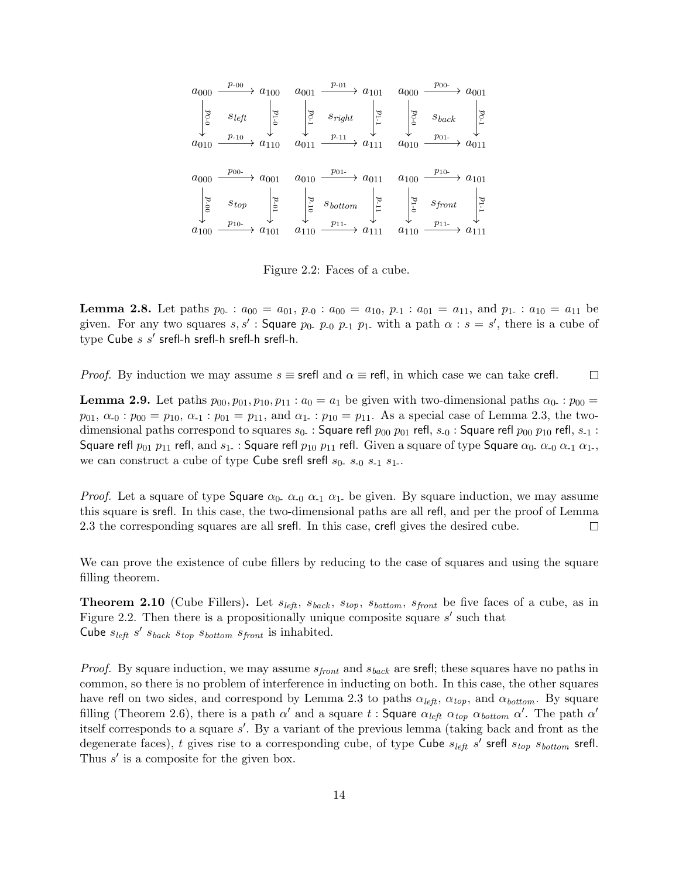$$
a_{000} \xrightarrow{p_{00}} a_{100} \xrightarrow{a_{001}} a_{001} \xrightarrow{p_{00-}} a_{001}
$$
\n
$$
\begin{vmatrix}\n\frac{1}{2} & s_{left} & \frac{1}{2} & \frac{1}{2} & \frac{1}{2} \\
\frac{1}{2} & \frac{1}{2} & \frac{1}{2} & \frac{1}{2} & \frac{1}{2} \\
\frac{1}{2} & \frac{1}{2} & \frac{1}{2} & \frac{1}{2} & \frac{1}{2} \\
\frac{1}{2} & \frac{1}{2} & \frac{1}{2} & \frac{1}{2} & \frac{1}{2} \\
\frac{1}{2} & \frac{1}{2} & \frac{1}{2} & \frac{1}{2} & \frac{1}{2} \\
\frac{1}{2} & \frac{1}{2} & \frac{1}{2} & \frac{1}{2} & \frac{1}{2} \\
\frac{1}{2} & \frac{1}{2} & \frac{1}{2} & \frac{1}{2} & \frac{1}{2} \\
\frac{1}{2} & \frac{1}{2} & \frac{1}{2} & \frac{1}{2} & \frac{1}{2} & \frac{1}{2} \\
\frac{1}{2} & \frac{1}{2} & \frac{1}{2} & \frac{1}{2} & \frac{1}{2} & \frac{1}{2} \\
\frac{1}{2} & \frac{1}{2} & \frac{1}{2} & \frac{1}{2} & \frac{1}{2} & \frac{1}{2} \\
\frac{1}{2} & \frac{1}{2} & \frac{1}{2} & \frac{1}{2} & \frac{1}{2} & \frac{1}{2} \\
\frac{1}{2} & \frac{1}{2} & \frac{1}{2} & \frac{1}{2} & \frac{1}{2} & \frac{1}{2} \\
\frac{1}{2} & \frac{1}{2} & \frac{1}{2} & \frac{1}{2} & \frac{1}{2} & \frac{1}{2} \\
\frac{1}{2} &
$$

Figure 2.2: Faces of a cube.

**Lemma 2.8.** Let paths  $p_0$ :  $a_{00} = a_{01}$ ,  $p_{-0}$ :  $a_{00} = a_{10}$ ,  $p_{-1}$ :  $a_{01} = a_{11}$ , and  $p_{1}$ :  $a_{10} = a_{11}$  be given. For any two squares s, s': Square  $p_0$ ,  $p_0$ ,  $p_1$ ,  $p_1$ , with a path  $\alpha$ :  $s = s'$ , there is a cube of  $type$  Cube  $s$   $s'$  srefl-h srefl-h srefl-h srefl-h.

*Proof.* By induction we may assume  $s \equiv$  srefl and  $\alpha \equiv$  refl, in which case we can take crefl.  $\Box$ 

**Lemma 2.9.** Let paths  $p_{00}, p_{01}, p_{10}, p_{11} : a_0 = a_1$  be given with two-dimensional paths  $\alpha_0 : p_{00} =$  $p_{01}, \alpha_{0} : p_{00} = p_{10}, \alpha_{1} : p_{01} = p_{11}, \text{ and } \alpha_{1} : p_{10} = p_{11}.$  As a special case of Lemma 2.3, the twodimensional paths correspond to squares  $s_0$ . : Square refl  $p_{00}$   $p_{01}$  refl,  $s_{-0}$  : Square refl  $p_{00}$   $p_{10}$  refl,  $s_{-1}$  : Square refl  $p_{01}$   $p_{11}$  refl, and  $s_1$ . : Square refl  $p_{10}$   $p_{11}$  refl. Given a square of type Square  $\alpha_0$ .  $\alpha_{-0}$   $\alpha_{-1}$   $\alpha_{1-}$ , we can construct a cube of type Cube srefl srefl  $s_0$ ,  $s_{-0}$ ,  $s_{-1}$ ,  $s_{1}$ .

*Proof.* Let a square of type Square  $\alpha_0$ .  $\alpha_{-0}$   $\alpha_{-1}$   $\alpha_{1}$  be given. By square induction, we may assume this square is srefl. In this case, the two-dimensional paths are all refl, and per the proof of Lemma 2.3 the corresponding squares are all srefl. In this case, crefl gives the desired cube.  $\Box$ 

We can prove the existence of cube fillers by reducing to the case of squares and using the square filling theorem.

**Theorem 2.10** (Cube Fillers). Let  $s_{left}$ ,  $s_{back}$ ,  $s_{top}$ ,  $s_{bottom}$ ,  $s_{front}$  be five faces of a cube, as in Figure 2.2. Then there is a propositionally unique composite square  $s'$  such that Cube  $s_{left} s' s_{back} s_{top} s_{bottom} s_{front}$  is inhabited.

*Proof.* By square induction, we may assume  $s_{front}$  and  $s_{back}$  are srefl; these squares have no paths in common, so there is no problem of interference in inducting on both. In this case, the other squares have refl on two sides, and correspond by Lemma 2.3 to paths  $\alpha_{left}$ ,  $\alpha_{top}$ , and  $\alpha_{bottom}$ . By square filling (Theorem 2.6), there is a path  $\alpha'$  and a square t: Square  $\alpha_{left}$   $\alpha_{top}$   $\alpha_{bottom}$   $\alpha'$ . The path  $\alpha'$ itself corresponds to a square  $s'$ . By a variant of the previous lemma (taking back and front as the degenerate faces), t gives rise to a corresponding cube, of type Cube  $s_{left} s'$  srefl  $s_{top} s_{bottom}$  srefl. Thus  $s'$  is a composite for the given box.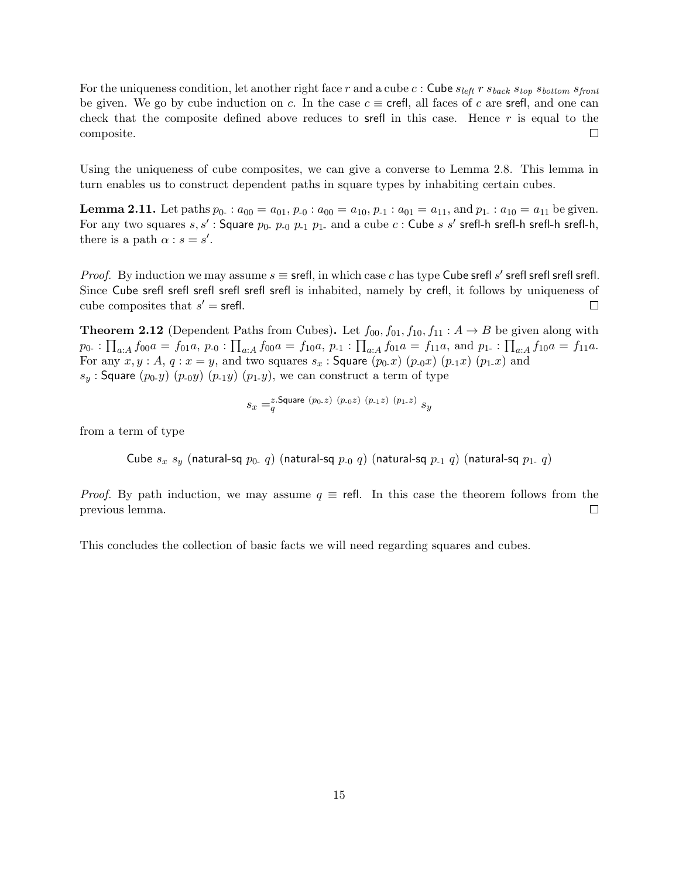For the uniqueness condition, let another right face r and a cube c : Cube  $s_{left}$  r  $s_{back}$   $s_{top}$   $s_{bottom}$   $s_{front}$ be given. We go by cube induction on c. In the case  $c \equiv \text{crefl}$ , all faces of c are srefl, and one can check that the composite defined above reduces to srefl in this case. Hence  $r$  is equal to the composite.  $\Box$ 

Using the uniqueness of cube composites, we can give a converse to Lemma 2.8. This lemma in turn enables us to construct dependent paths in square types by inhabiting certain cubes.

**Lemma 2.11.** Let paths  $p_0$ :  $a_{00} = a_{01}$ ,  $p_{-0}$ :  $a_{00} = a_{10}$ ,  $p_{-1}$ :  $a_{01} = a_{11}$ , and  $p_{1}$ :  $a_{10} = a_{11}$  be given. For any two squares  $s, s'$  : Square  $p_0$ .  $p_{-0}$   $p_{-1}$   $p_1$ . and a cube  $c$  : Cube  $s$   $s'$  srefl-h srefl-h srefl-h srefl-h, there is a path  $\alpha$  :  $s = s'$ .

*Proof.* By induction we may assume  $s \equiv$  srefl, in which case c has type Cube srefl s' srefl srefl srefl. Since Cube srefl srefl srefl srefl srefl srefl is inhabited, namely by crefl, it follows by uniqueness of cube composites that  $s' = \text{srefl}$ .  $\Box$ 

**Theorem 2.12** (Dependent Paths from Cubes). Let  $f_{00}$ ,  $f_{01}$ ,  $f_{10}$ ,  $f_{11}$  :  $A \rightarrow B$  be given along with  $p_{0-}: \prod_{a:A} f_{00}a = f_{01}a, p_{\text{-}0}: \prod_{a:A} f_{00}a = f_{10}a, p_{\text{-}1}: \prod_{a:A} f_{01}a = f_{11}a, \text{ and } p_{1\text{-}}: \prod_{a:A} f_{10}a = f_{11}a.$ For any  $x, y : A$ ,  $q : x = y$ , and two squares  $s_x :$  Square  $(p_0.x)$   $(p_0.x)$   $(p_1.x)$   $(p_1.x)$  and  $s_y$ : Square  $(p_0,y)$   $(p_0,y)$   $(p_1,y)$   $(p_1,y)$ , we can construct a term of type

$$
s_x =_q^{z.\mathsf{Square}}\ (p_{0\text{-}z})\ (p_{\text{-}0}z)\ (p_{\text{-}1}z)\ (p_{\text{1-}z})\ s_y
$$

from a term of type

Cube  $s_x s_y$  (natural-sq  $p_0$ , q) (natural-sq  $p_0$ , q) (natural-sq  $p_1$ , q) (natural-sq  $p_1$ , q)

*Proof.* By path induction, we may assume  $q \equiv$  refl. In this case the theorem follows from the previous lemma.  $\Box$ 

This concludes the collection of basic facts we will need regarding squares and cubes.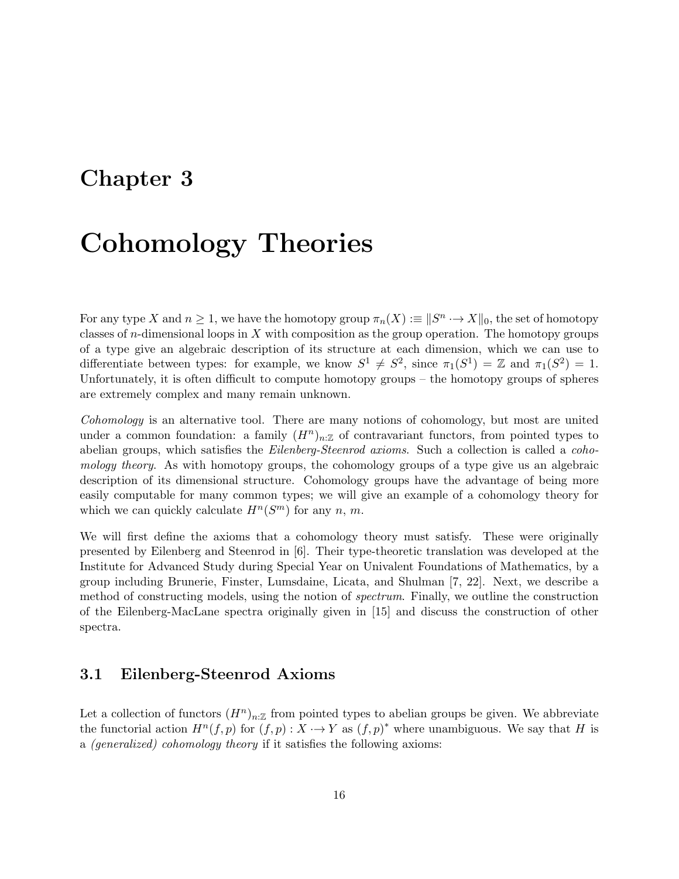# Chapter 3

# Cohomology Theories

For any type X and  $n \geq 1$ , we have the homotopy group  $\pi_n(X) := ||S^n \to X||_0$ , the set of homotopy classes of *n*-dimensional loops in  $X$  with composition as the group operation. The homotopy groups of a type give an algebraic description of its structure at each dimension, which we can use to differentiate between types: for example, we know  $S^1 \neq S^2$ , since  $\pi_1(S^1) = \mathbb{Z}$  and  $\pi_1(S^2) = 1$ . Unfortunately, it is often difficult to compute homotopy groups – the homotopy groups of spheres are extremely complex and many remain unknown.

Cohomology is an alternative tool. There are many notions of cohomology, but most are united under a common foundation: a family  $(H^n)_{n:\mathbb{Z}}$  of contravariant functors, from pointed types to abelian groups, which satisfies the *Eilenberg-Steenrod axioms*. Such a collection is called a *coho*mology theory. As with homotopy groups, the cohomology groups of a type give us an algebraic description of its dimensional structure. Cohomology groups have the advantage of being more easily computable for many common types; we will give an example of a cohomology theory for which we can quickly calculate  $H^n(S^m)$  for any n, m.

We will first define the axioms that a cohomology theory must satisfy. These were originally presented by Eilenberg and Steenrod in [6]. Their type-theoretic translation was developed at the Institute for Advanced Study during Special Year on Univalent Foundations of Mathematics, by a group including Brunerie, Finster, Lumsdaine, Licata, and Shulman [7, 22]. Next, we describe a method of constructing models, using the notion of spectrum. Finally, we outline the construction of the Eilenberg-MacLane spectra originally given in [15] and discuss the construction of other spectra.

### 3.1 Eilenberg-Steenrod Axioms

Let a collection of functors  $(H^n)_{n:\mathbb{Z}}$  from pointed types to abelian groups be given. We abbreviate the functorial action  $H^n(f, p)$  for  $(f, p) : X \to Y$  as  $(f, p)^*$  where unambiguous. We say that H is a (generalized) cohomology theory if it satisfies the following axioms: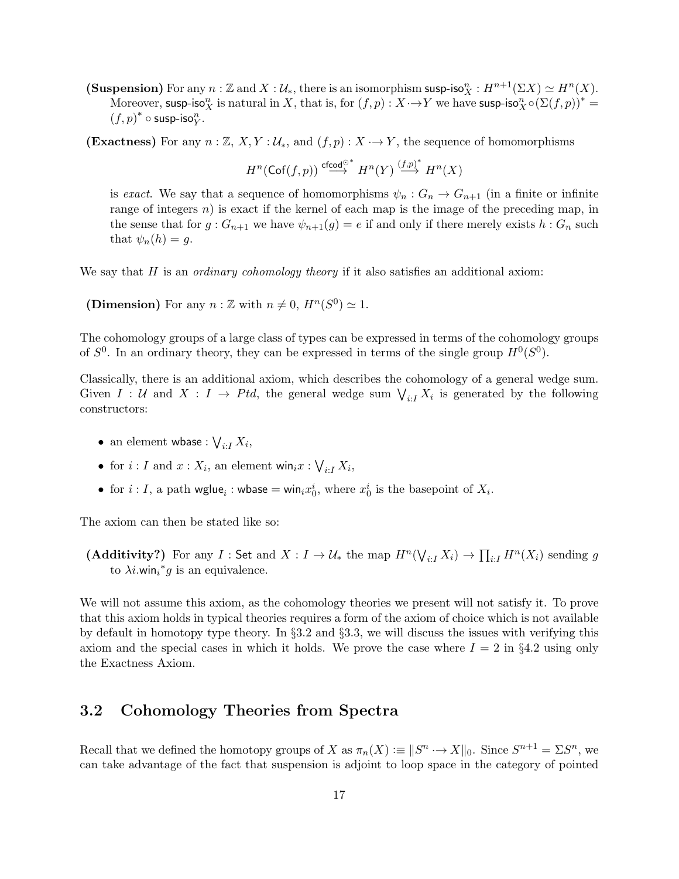(Suspension) For any  $n : \mathbb{Z}$  and  $X : \mathcal{U}_*$ , there is an isomorphism susp-iso ${}^n_X : H^{n+1}(\Sigma X) \simeq H^n(X)$ . Moreover, susp-iso<sub>X</sub> is natural in X, that is, for  $(f, p) : X \rightarrow Y$  we have susp-iso<sub>X</sub>  $\circ (\Sigma(f, p))^*$  =  $(f, p)^* \circ \textsf{sup-iso}^n_Y.$ 

(Exactness) For any  $n : \mathbb{Z}, X, Y : \mathcal{U}_*,$  and  $(f, p) : X \to Y$ , the sequence of homomorphisms

 $H^n({\sf Cof}(f,p))\stackrel{{\sf cfcod}^{\odot *}}{\longrightarrow} H^n(Y)\stackrel{(f,p)^*}{\longrightarrow} H^n(X)$ 

is exact. We say that a sequence of homomorphisms  $\psi_n: G_n \to G_{n+1}$  (in a finite or infinite range of integers  $n$ ) is exact if the kernel of each map is the image of the preceding map, in the sense that for  $g: G_{n+1}$  we have  $\psi_{n+1}(g) = e$  if and only if there merely exists  $h: G_n$  such that  $\psi_n(h) = g$ .

We say that  $H$  is an *ordinary cohomology theory* if it also satisfies an additional axiom:

(Dimension) For any  $n : \mathbb{Z}$  with  $n \neq 0$ ,  $H^n(S^0) \simeq 1$ .

The cohomology groups of a large class of types can be expressed in terms of the cohomology groups of  $S^0$ . In an ordinary theory, they can be expressed in terms of the single group  $H^0(S^0)$ .

Classically, there is an additional axiom, which describes the cohomology of a general wedge sum. Given  $I: U$  and  $X: I \to Ptd$ , the general wedge sum  $\bigvee_{i: I} X_i$  is generated by the following constructors:

- $\bullet \ \ \text{an element whose :} \bigvee_{i:I} X_i,$
- for  $i: I$  and  $x: X_i$ , an element win $_ix: \bigvee_{i:I} X_i$ ,
- for  $i: I$ , a path wglue<sub>i</sub>: wbase = win<sub>i</sub> $x_0^i$ , where  $x_0^i$  is the basepoint of  $X_i$ .

The axiom can then be stated like so:

(Additivity?) For any  $I:$  Set and  $X: I \to \mathcal{U}_*$  the map  $H^n(\bigvee_{i: I} X_i) \to \prod_{i: I} H^n(X_i)$  sending g to  $\lambda i$ .win<sub>i</sub><sup>\*</sup>g is an equivalence.

We will not assume this axiom, as the cohomology theories we present will not satisfy it. To prove that this axiom holds in typical theories requires a form of the axiom of choice which is not available by default in homotopy type theory. In §3.2 and §3.3, we will discuss the issues with verifying this axiom and the special cases in which it holds. We prove the case where  $I = 2$  in §4.2 using only the Exactness Axiom.

## 3.2 Cohomology Theories from Spectra

Recall that we defined the homotopy groups of X as  $\pi_n(X) := ||S^n \to X||_0$ . Since  $S^{n+1} = \Sigma S^n$ , we can take advantage of the fact that suspension is adjoint to loop space in the category of pointed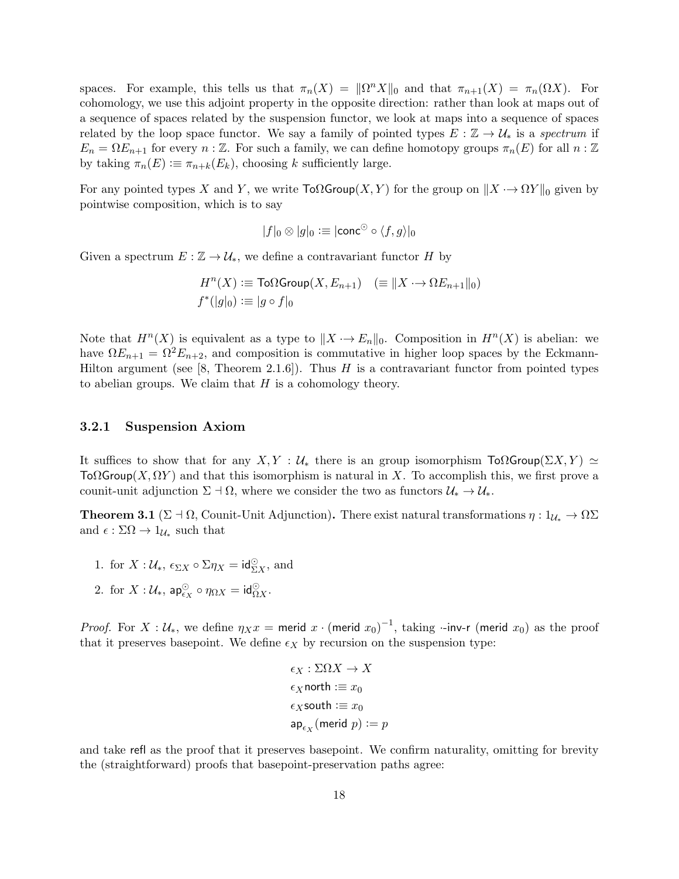spaces. For example, this tells us that  $\pi_n(X) = ||\Omega^n X||_0$  and that  $\pi_{n+1}(X) = \pi_n(\Omega X)$ . For cohomology, we use this adjoint property in the opposite direction: rather than look at maps out of a sequence of spaces related by the suspension functor, we look at maps into a sequence of spaces related by the loop space functor. We say a family of pointed types  $E : \mathbb{Z} \to \mathcal{U}_*$  is a spectrum if  $E_n = \Omega E_{n+1}$  for every  $n : \mathbb{Z}$ . For such a family, we can define homotopy groups  $\pi_n(E)$  for all  $n : \mathbb{Z}$ by taking  $\pi_n(E) := \pi_{n+k}(E_k)$ , choosing k sufficiently large.

For any pointed types X and Y, we write  $\text{To}\Omega$ Group $(X, Y)$  for the group on  $||X \rightarrow \Omega Y||_0$  given by pointwise composition, which is to say

$$
|f|_0 \otimes |g|_0 := |\text{conc}^{\odot} \circ \langle f, g \rangle|_0
$$

Given a spectrum  $E : \mathbb{Z} \to \mathcal{U}_*$ , we define a contravariant functor H by

$$
H^{n}(X) := \text{To}\Omega \text{Group}(X, E_{n+1}) \quad (\equiv \|X \rightarrow \Omega E_{n+1}\|_0)
$$
  

$$
f^*(|g|_0) := |g \circ f|_0
$$

Note that  $H^{n}(X)$  is equivalent as a type to  $||X \rightarrow E_n||_0$ . Composition in  $H^{n}(X)$  is abelian: we have  $\Omega E_{n+1} = \Omega^2 E_{n+2}$ , and composition is commutative in higher loop spaces by the Eckmann-Hilton argument (see [8, Theorem 2.1.6]). Thus  $H$  is a contravariant functor from pointed types to abelian groups. We claim that  $H$  is a cohomology theory.

#### 3.2.1 Suspension Axiom

It suffices to show that for any  $X, Y : U_*$  there is an group isomorphism  $\text{To} \Omega$ Group $(\Sigma X, Y) \simeq$  $\text{To}\Omega$ Group(X,  $\Omega Y$ ) and that this isomorphism is natural in X. To accomplish this, we first prove a counit-unit adjunction  $\Sigma \dashv \Omega$ , where we consider the two as functors  $\mathcal{U}_* \to \mathcal{U}_*$ .

**Theorem 3.1** (Σ + Ω, Counit-Unit Adjunction). There exist natural transformations  $\eta : 1_{\mathcal{U}_*} \to \Omega\Sigma$ and  $\epsilon : \Sigma\Omega \to 1_{\mathcal{U}_*}$  such that

- 1. for  $X: \mathcal{U}_*, \epsilon_{\Sigma X} \circ \Sigma \eta_X = \mathsf{id}_{\Sigma X}^{\odot},$  and
- 2. for  $X: \mathcal{U}_{*}$ , ap $_{\epsilon_{X}}^{\odot} \circ \eta_{\Omega X} = id_{\Omega X}^{\odot}$ .

*Proof.* For  $X : U_*$ , we define  $\eta_X x =$  merid  $x \cdot (\text{merid } x_0)^{-1}$ , taking  $\cdot$ -inv-r (merid  $x_0$ ) as the proof that it preserves basepoint. We define  $\epsilon_X$  by recursion on the suspension type:

$$
\epsilon_X : \Sigma \Omega X \to X
$$
  
\n
$$
\epsilon_X \text{north} := x_0
$$
  
\n
$$
\epsilon_X \text{south} := x_0
$$
  
\n
$$
\mathsf{ap}_{\epsilon_X}(\text{merid } p) := p
$$

and take refl as the proof that it preserves basepoint. We confirm naturality, omitting for brevity the (straightforward) proofs that basepoint-preservation paths agree: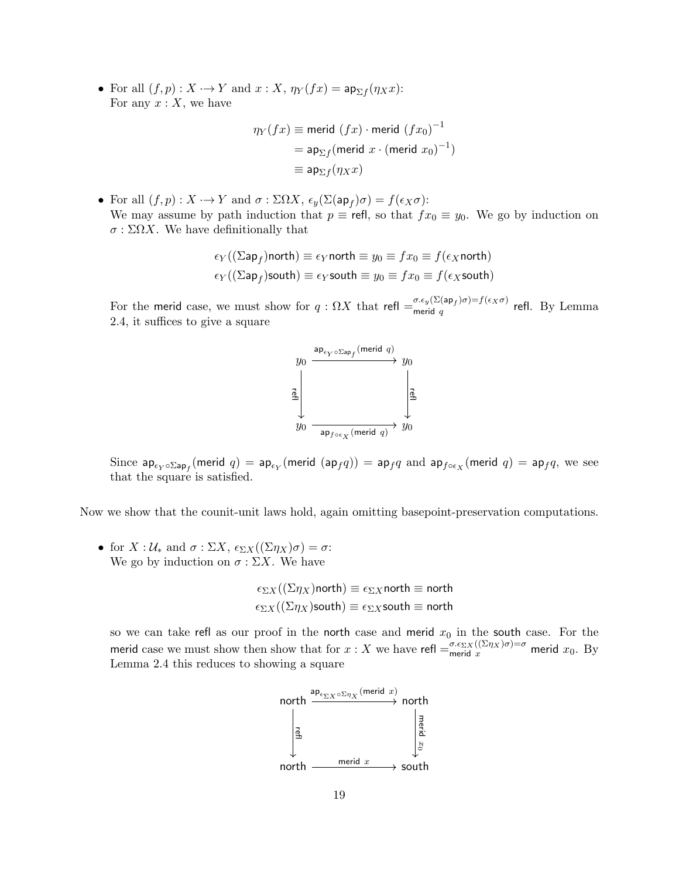• For all  $(f, p) : X \to Y$  and  $x : X$ ,  $\eta_Y(fx) = \mathsf{ap}_{\Sigma f}(\eta_X x)$ : For any  $x: X$ , we have

$$
\eta_Y(fx) \equiv \text{merid } (fx) \cdot \text{merid } (fx_0)^{-1}
$$

$$
= \text{ap}_{\Sigma f}(\text{merid } x \cdot (\text{merid } x_0)^{-1})
$$

$$
\equiv \text{ap}_{\Sigma f}(\eta_X x)
$$

• For all  $(f, p) : X \longrightarrow Y$  and  $\sigma : \Sigma \Omega X$ ,  $\epsilon_y(\Sigma(\mathsf{ap}_f)\sigma) = f(\epsilon_X \sigma)$ : We may assume by path induction that  $p \equiv$  refl, so that  $fx_0 \equiv y_0$ . We go by induction on  $\sigma : \Sigma \Omega X$ . We have definitionally that

$$
\epsilon_Y((\Sigma \mathsf{ap}_f) \mathsf{north}) \equiv \epsilon_Y \mathsf{north} \equiv y_0 \equiv fx_0 \equiv f(\epsilon_X \mathsf{north})
$$
  

$$
\epsilon_Y((\Sigma \mathsf{ap}_f) \mathsf{south}) \equiv \epsilon_Y \mathsf{south} \equiv y_0 \equiv fx_0 \equiv f(\epsilon_X \mathsf{south})
$$

For the merid case, we must show for  $q: \Omega X$  that refl  $=\frac{\sigma.\epsilon_y(\Sigma(\mathsf{ap}_f)\sigma)=f(\epsilon_X\sigma)}{\mathsf{merid}_q}$  $\lim_{\text{merid } q} q$  refl. By Lemma 2.4, it suffices to give a square



Since  $\mathsf{ap}_{\epsilon_Y \circ \Sigma \mathsf{ap}_f}(\mathsf{merid} \; q) = \mathsf{ap}_{\epsilon_Y}(\mathsf{merid} \; (\mathsf{ap}_f q)) = \mathsf{ap}_f q$  and  $\mathsf{ap}_{f \circ \epsilon_X}(\mathsf{merid} \; q) = \mathsf{ap}_f q,$  we see that the square is satisfied.

Now we show that the counit-unit laws hold, again omitting basepoint-preservation computations.

• for  $X: \mathcal{U}_*$  and  $\sigma: \Sigma X$ ,  $\epsilon_{\Sigma X}((\Sigma \eta_X)\sigma) = \sigma$ : We go by induction on  $\sigma : \Sigma X$ . We have

$$
\epsilon_{\Sigma X}((\Sigma \eta_X) \text{north}) \equiv \epsilon_{\Sigma X} \text{north} \equiv \text{north}
$$

$$
\epsilon_{\Sigma X}((\Sigma \eta_X) \text{south}) \equiv \epsilon_{\Sigma X} \text{south} \equiv \text{north}
$$

so we can take refl as our proof in the north case and merid  $x_0$  in the south case. For the merid case we must show then show that for  $x : X$  we have refl  $=_{\text{merid } x}^{\sigma \cdot \varepsilon_{\Sigma X}((\Sigma \eta_X)\sigma) = \sigma}$  merid  $x_0$ . By Lemma 2.4 this reduces to showing a square

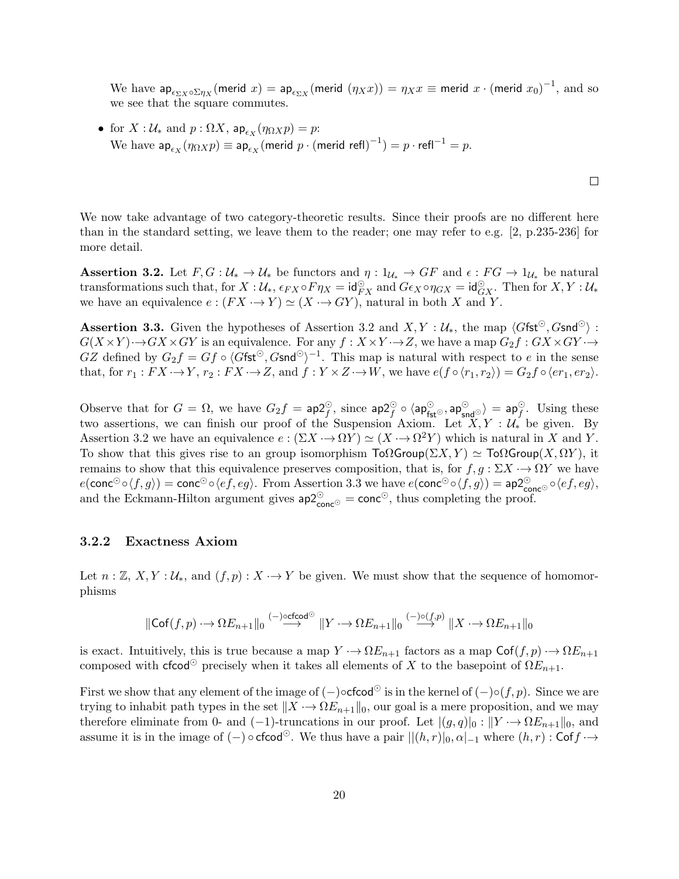We have  $ap_{\epsilon_{\Sigma X}\circ \Sigma\eta_X}(\mathsf{merid}\; x) = \mathsf{ap}_{\epsilon_{\Sigma X}}(\mathsf{merid}\; (\eta_X x)) = \eta_X x \equiv \mathsf{merid}\; x\cdot (\mathsf{merid}\; x_0)^{-1},$  and so we see that the square commutes.

• for  $X: \mathcal{U}_*$  and  $p: \Omega X$ ,  $\mathsf{ap}_{\epsilon_X}(\eta_{\Omega X}p) = p$ : We have  $\mathsf{ap}_{\epsilon_X}(\eta_{\Omega X}p) \equiv \mathsf{ap}_{\epsilon_X}(\mathsf{merid}\,\, p \cdot (\mathsf{merid}\,\,\mathsf{refl})^{-1}) = p \cdot \mathsf{refl}^{-1} = p.$ 

We now take advantage of two category-theoretic results. Since their proofs are no different here than in the standard setting, we leave them to the reader; one may refer to e.g. [2, p.235-236] for more detail.

**Assertion 3.2.** Let  $F, G: \mathcal{U}_* \to \mathcal{U}_*$  be functors and  $\eta: 1_{\mathcal{U}_*} \to GF$  and  $\epsilon: FG \to 1_{\mathcal{U}_*}$  be natural transformations such that, for  $X : \mathcal{U}_{*}, \epsilon_{FX} \circ F \eta_X = \mathsf{id}_{FX}^{\odot}$  and  $G \epsilon_X \circ \eta_{GX} = \mathsf{id}_{GX}^{\odot}$ . Then for  $X, Y : \mathcal{U}_{*}$ we have an equivalence  $e : (FX \rightarrow Y) \simeq (X \rightarrow GY)$ , natural in both X and Y.

**Assertion 3.3.** Given the hypotheses of Assertion 3.2 and  $X, Y : \mathcal{U}_*,$  the map  $\langle G \mathsf{fst}^{\odot}, G \mathsf{snd}^{\odot} \rangle$ :  $G(X \times Y) \rightarrow GX \times GY$  is an equivalence. For any  $f : X \times Y \rightarrow Z$ , we have a map  $G_2 f : G X \times G Y \rightarrow$ GZ defined by  $G_2 f = G f \circ \langle G \mathsf{fst}^\odot, G \mathsf{snd}^\odot \rangle^{-1}$ . This map is natural with respect to e in the sense that, for  $r_1 : FX \to Y$ ,  $r_2 : FX \to Z$ , and  $f : Y \times Z \to W$ , we have  $e(f \circ \langle r_1, r_2 \rangle) = G_2 f \circ \langle er_1, er_2 \rangle$ .

Observe that for  $G = \Omega$ , we have  $G_2 f = \mathsf{ap}_f^{\mathcal{O}},$  since  $\mathsf{ap}_f^{\mathcal{O}} \circ \langle \mathsf{ap}_\mathsf{fst}^{\mathcal{O}}, \mathsf{ap}_\mathsf{snd}^{\mathcal{O}} \rangle = \mathsf{ap}_f^{\mathcal{O}}.$  Using these two assertions, we can finish our proof of the Suspension Axiom. Let  $X, Y : U_*$  be given. By Assertion 3.2 we have an equivalence  $e : (\Sigma X \to \Omega Y) \simeq (X \to \Omega^2 Y)$  which is natural in X and Y. To show that this gives rise to an group isomorphism  $\text{To} \Omega \text{Group}(\Sigma X, Y) \simeq \text{To} \Omega \text{Group}(X, \Omega Y)$ , it remains to show that this equivalence preserves composition, that is, for  $f, g: \Sigma X \rightarrow \Omega Y$  we have  $e(\mathsf{conc}^{\odot}\circ\langle f,g\rangle) = \mathsf{conc}^{\odot}\circ\langle ef, eg\rangle$ . From Assertion 3.3 we have  $e(\mathsf{conc}^{\odot}\circ\langle f,g\rangle) = \mathsf{ap2}^{\odot}_{\mathsf{conc}^{\odot}}\circ\langle ef, eg\rangle$ , and the Eckmann-Hilton argument gives  $ap2^{\odot}_{\text{conc}^{\odot}} = \text{conc}^{\odot}$ , thus completing the proof.

#### 3.2.2 Exactness Axiom

Let  $n : \mathbb{Z}, X, Y : \mathcal{U}_*,$  and  $(f, p) : X \to Y$  be given. We must show that the sequence of homomorphisms

$$
\|\text{Cof}(f,p) \rightarrow \Omega E_{n+1} \|_0 \overset{(-)\text{ocfcod}^{\odot}}{\longrightarrow} \| Y \rightarrow \Omega E_{n+1} \|_0 \overset{(-)\circ (f,p)}{\longrightarrow} \| X \rightarrow \Omega E_{n+1} \|_0
$$

is exact. Intuitively, this is true because a map  $Y \to \Omega E_{n+1}$  factors as a map  $\mathsf{Cof}(f, p) \to \Omega E_{n+1}$ composed with cfcod<sup>⊙</sup> precisely when it takes all elements of X to the basepoint of  $\Omega E_{n+1}$ .

First we show that any element of the image of  $(-)\circ \text{fcod}^{\odot}$  is in the kernel of  $(-)\circ (f, p)$ . Since we are trying to inhabit path types in the set  $||X \rightarrow \Omega E_{n+1}||_0$ , our goal is a mere proposition, and we may therefore eliminate from 0- and (-1)-truncations in our proof. Let  $|(g,q)|_0 : ||Y \rightarrow \Omega E_{n+1}||_0$ , and assume it is in the image of  $(-) \circ \text{cfcod}^{\odot}$ . We thus have a pair  $||(h, r)|_0, \alpha|_{-1}$  where  $(h, r)$ : Cof $f \rightarrow$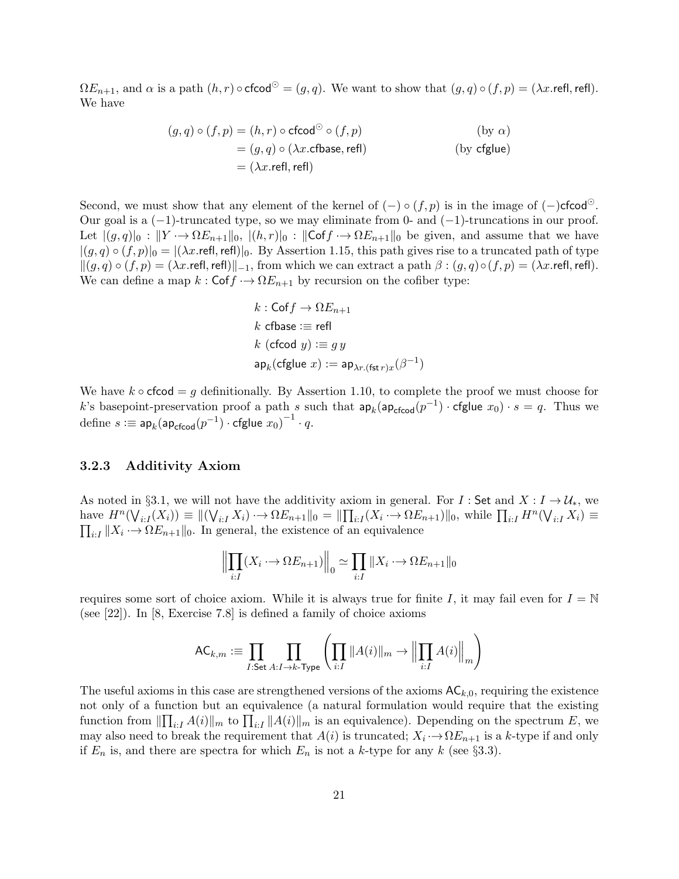$\Omega E_{n+1}$ , and  $\alpha$  is a path  $(h, r) \circ \text{cfcod}^{\odot} = (g, q)$ . We want to show that  $(g, q) \circ (f, p) = (\lambda x \cdot \text{refl}, \text{refl})$ . We have

$$
(g, q) \circ (f, p) = (h, r) \circ \text{cfcod}^{\odot} \circ (f, p)
$$
  
\n
$$
= (g, q) \circ (\lambda x. \text{cfbase}, \text{refl})
$$
  
\n
$$
= (\lambda x. \text{refl}, \text{refl})
$$
  
\n(by cfglue)

Second, we must show that any element of the kernel of  $(-) \circ (f, p)$  is in the image of  $(-)$ cfcod<sup> $\circ$ </sup>. Our goal is a  $(-1)$ -truncated type, so we may eliminate from 0- and  $(-1)$ -truncations in our proof. Let  $|(g,q)|_0 : ||Y \rightarrow \Omega E_{n+1}||_0, |(h,r)|_0 : ||\mathsf{Cof} f \rightarrow \Omega E_{n+1}||_0$  be given, and assume that we have  $|(g, q) \circ (f, p)|_0 = |(\lambda x.\text{refl},\text{refl})|_0$ . By Assertion 1.15, this path gives rise to a truncated path of type  $\|(g, q) \circ (f, p) = (\lambda x.\text{refl},\text{refl})\|_{-1}$ , from which we can extract a path  $\beta : (g, q) \circ (f, p) = (\lambda x.\text{refl},\text{refl}).$ We can define a map  $k : \mathsf{Cof} f \to \Omega E_{n+1}$  by recursion on the cofiber type:

$$
k: \text{Cof } f \to \Omega E_{n+1}
$$
  

$$
k \text{ cfbase} := \text{refl}
$$
  

$$
k \text{ (cfcod } y) := gy
$$
  

$$
\text{ap}_k(\text{cfglue } x) := \text{ap}_{\lambda r.(\text{fst } r)x}(\beta^{-1})
$$

We have  $k \circ \text{cfcod} = g$  definitionally. By Assertion 1.10, to complete the proof we must choose for k's basepoint-preservation proof a path s such that  $ap_k(ap_{\text{cfood}}(p^{-1}) \cdot \text{cfglue } x_0) \cdot s = q$ . Thus we  $\text{define } s := \mathsf{ap}_k(\mathsf{ap}_{\mathsf{cfcod}}(p^{-1}) \cdot \mathsf{cfglue} \; x_0)^{-1} \cdot q.$ 

### 3.2.3 Additivity Axiom

As noted in §3.1, we will not have the additivity axiom in general. For I: Set and  $X: I \to \mathcal{U}_*$ , we have  $H^n(\bigvee_{i:I}(X_i)) \equiv ||(\bigvee_{i:I} X_i) \rightarrow \Omega E_{n+1}||_0 = ||\prod_{i:I}(X_i \rightarrow \Omega E_{n+1})||_0$ , while  $\prod_{i:I} H^n(\bigvee_{i:I} X_i) \equiv$  $\prod_{i:I} ||X_i \rightarrow \Omega E_{n+1}||_0.$  In general, the existence of an equivalence

$$
\left\| \prod_{i:I} (X_i \to \Omega E_{n+1}) \right\|_0 \simeq \prod_{i:I} \|X_i \to \Omega E_{n+1}\|_0
$$

requires some sort of choice axiom. While it is always true for finite I, it may fail even for  $I = \mathbb{N}$ (see [22]). In [8, Exercise 7.8] is defined a family of choice axioms

$$
\mathsf{AC}_{k,m} := \prod_{I:\mathsf{Set}} \prod_{A:I \to k\text{-Type}} \left( \prod_{i:I} \|A(i)\|_m \to \left\|\prod_{i:I} A(i)\right\|_m \right)
$$

The useful axioms in this case are strengthened versions of the axioms  $AC_{k,0}$ , requiring the existence not only of a function but an equivalence (a natural formulation would require that the existing function from  $\|\prod_{i:I} A(i)\|_m$  to  $\prod_{i:I} \|A(i)\|_m$  is an equivalence). Depending on the spectrum E, we may also need to break the requirement that  $A(i)$  is truncated;  $X_i \rightarrow \Omega E_{n+1}$  is a k-type if and only if  $E_n$  is, and there are spectra for which  $E_n$  is not a k-type for any k (see §3.3).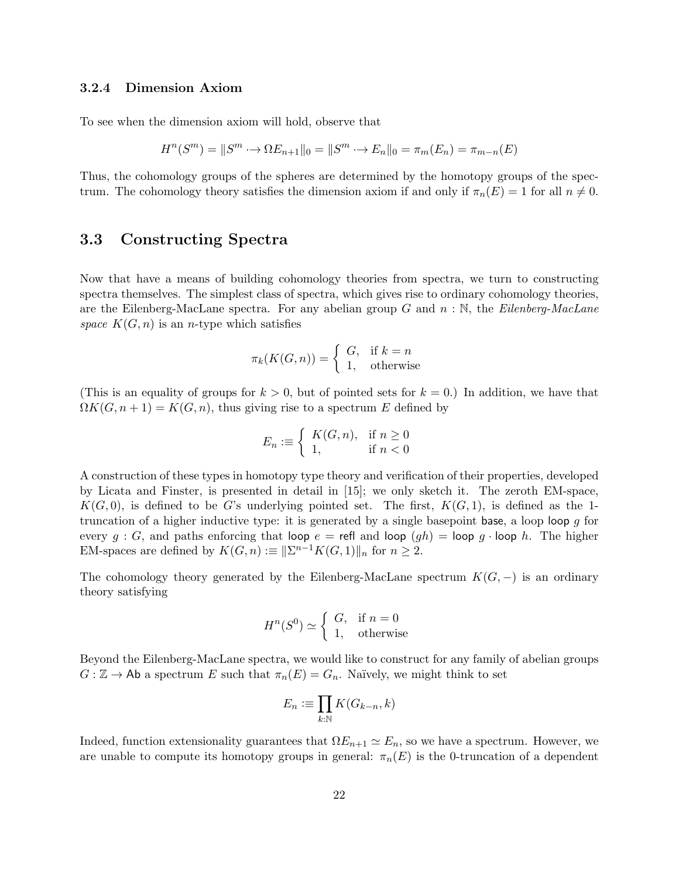### 3.2.4 Dimension Axiom

To see when the dimension axiom will hold, observe that

$$
H^{n}(S^{m}) = ||S^{m} \rightarrow \Omega E_{n+1}||_{0} = ||S^{m} \rightarrow E_{n}||_{0} = \pi_{m}(E_{n}) = \pi_{m-n}(E)
$$

Thus, the cohomology groups of the spheres are determined by the homotopy groups of the spectrum. The cohomology theory satisfies the dimension axiom if and only if  $\pi_n(E) = 1$  for all  $n \neq 0$ .

### 3.3 Constructing Spectra

Now that have a means of building cohomology theories from spectra, we turn to constructing spectra themselves. The simplest class of spectra, which gives rise to ordinary cohomology theories, are the Eilenberg-MacLane spectra. For any abelian group  $G$  and  $n : \mathbb{N}$ , the Eilenberg-MacLane space  $K(G, n)$  is an *n*-type which satisfies

$$
\pi_k(K(G, n)) = \begin{cases} G, & \text{if } k = n \\ 1, & \text{otherwise} \end{cases}
$$

(This is an equality of groups for  $k > 0$ , but of pointed sets for  $k = 0$ .) In addition, we have that  $\Omega K(G, n+1) = K(G, n)$ , thus giving rise to a spectrum E defined by

$$
E_n := \left\{ \begin{array}{ll} K(G, n), & \text{if } n \ge 0 \\ 1, & \text{if } n < 0 \end{array} \right.
$$

A construction of these types in homotopy type theory and verification of their properties, developed by Licata and Finster, is presented in detail in [15]; we only sketch it. The zeroth EM-space,  $K(G, 0)$ , is defined to be G's underlying pointed set. The first,  $K(G, 1)$ , is defined as the 1truncation of a higher inductive type: it is generated by a single basepoint base, a loop loop  $q$  for every  $g : G$ , and paths enforcing that loop  $e = \text{refl}$  and loop  $(gh) = \text{loop } g \cdot \text{loop } h$ . The higher EM-spaces are defined by  $K(G, n) := ||\Sigma^{n-1}K(G, 1)||_n$  for  $n \geq 2$ .

The cohomology theory generated by the Eilenberg-MacLane spectrum  $K(G, -)$  is an ordinary theory satisfying

$$
H^n(S^0) \simeq \left\{ \begin{array}{ll} G, & \text{if } n = 0\\ 1, & \text{otherwise} \end{array} \right.
$$

Beyond the Eilenberg-MacLane spectra, we would like to construct for any family of abelian groups  $G : \mathbb{Z} \to \mathsf{Ab}$  a spectrum E such that  $\pi_n(E) = G_n$ . Naïvely, we might think to set

$$
E_n := \prod_{k:\mathbb{N}} K(G_{k-n}, k)
$$

Indeed, function extensionality guarantees that  $\Omega E_{n+1} \simeq E_n$ , so we have a spectrum. However, we are unable to compute its homotopy groups in general:  $\pi_n(E)$  is the 0-truncation of a dependent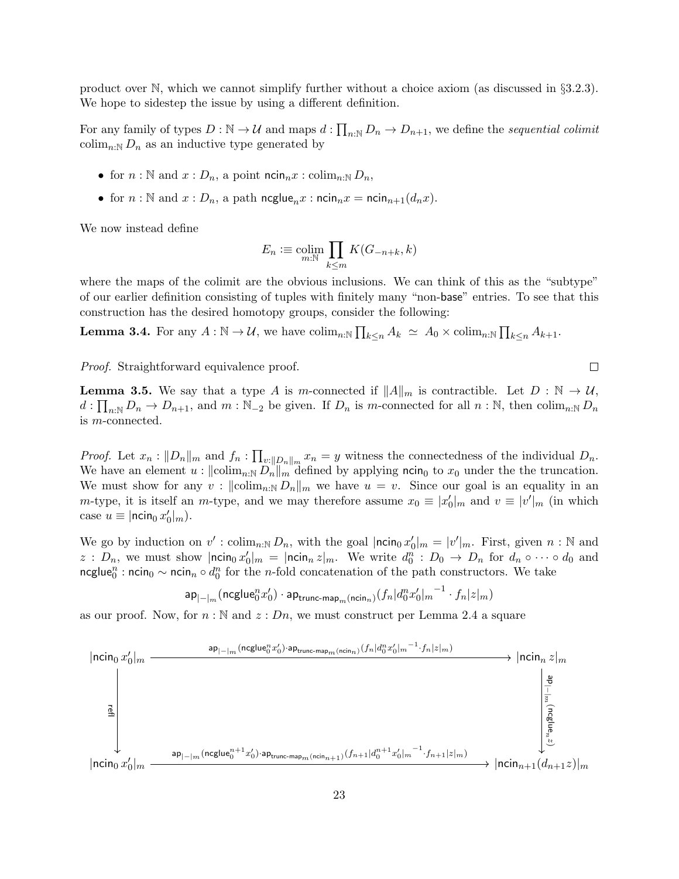product over N, which we cannot simplify further without a choice axiom (as discussed in §3.2.3). We hope to sidestep the issue by using a different definition.

For any family of types  $D : \mathbb{N} \to \mathcal{U}$  and maps  $d : \prod_{n\in\mathbb{N}} D_n \to D_{n+1}$ , we define the sequential colimit colim<sub>n:N</sub>  $D_n$  as an inductive type generated by

- for  $n : \mathbb{N}$  and  $x : D_n$ , a point  $\min_n x : \operatorname{colim}_{n : \mathbb{N}} D_n$ ,
- for  $n : \mathbb{N}$  and  $x : D_n$ , a path  $\operatorname{ncglue}_n x : \operatorname{ncin}_n x = \operatorname{ncin}_{n+1}(d_n x)$ .

We now instead define

$$
E_n := \operatornamewithlimits{colim}_{m:\mathbb N} \prod_{k\leq m} K(G_{-n+k}, k)
$$

where the maps of the colimit are the obvious inclusions. We can think of this as the "subtype" of our earlier definition consisting of tuples with finitely many "non-base" entries. To see that this construction has the desired homotopy groups, consider the following:

**Lemma 3.4.** For any  $A: \mathbb{N} \to \mathcal{U}$ , we have  $\text{colim}_{n:\mathbb{N}} \prod_{k \leq n} A_k \simeq A_0 \times \text{colim}_{n:\mathbb{N}} \prod_{k \leq n} A_{k+1}$ .

Proof. Straightforward equivalence proof.

**Lemma 3.5.** We say that a type A is m-connected if  $||A||_m$  is contractible. Let  $D : \mathbb{N} \to \mathcal{U}$ ,  $d: \prod_{n\in\mathbb{N}} D_n \to D_{n+1}$ , and  $m: \mathbb{N}_{-2}$  be given. If  $D_n$  is m-connected for all  $n: \mathbb{N}$ , then  $\text{colim}_{n:\mathbb{N}} D_n$ is m-connected.

*Proof.* Let  $x_n : ||D_n||_m$  and  $f_n : \prod_{v:||D_n||_m} x_n = y$  witness the connectedness of the individual  $D_n$ . We have an element  $u : ||colim_{n: N} D_n||_m$  defined by applying ncin<sub>0</sub> to  $x_0$  under the the truncation. We must show for any  $v : ||colim_{n: N} D_n||_m$  we have  $u = v$ . Since our goal is an equality in an m-type, it is itself an m-type, and we may therefore assume  $x_0 \equiv |x'_0|_m$  and  $v \equiv |v'|_m$  (in which case  $u \equiv |\textsf{ncin}_0 x'_0|_m$ ).

We go by induction on  $v'$ : colim<sub>n:N</sub>  $D_n$ , with the goal  $\vert \textsf{ncin}_0 x'_0 \vert_m = \vert v' \vert_m$ . First, given  $n : \mathbb{N}$  and z :  $D_n$ , we must show  $|\textsf{ncin}_0 x'_0|_m = |\textsf{ncin}_n z|_m$ . We write  $d_0^n : D_0 \to D_n$  for  $d_n \circ \cdots \circ d_0$  and ncglue<sup>n</sup>: ncin<sub>0</sub> ~ ncin<sub>n</sub> ∘  $d_0^n$  for the n-fold concatenation of the path constructors. We take

$$
\mathsf{ap}_{|-\mid_m}(\mathsf{ncglue}_0^n x_0')\cdot\mathsf{ap}_{\mathsf{trunc\text{-}map}_m(\mathsf{ncin}_n)}(f_n|d_0^n x_0'|_m{}^{-1}\cdot f_n|z|_m)
$$

as our proof. Now, for  $n : \mathbb{N}$  and  $z : D_n$ , we must construct per Lemma 2.4 a square



 $\Box$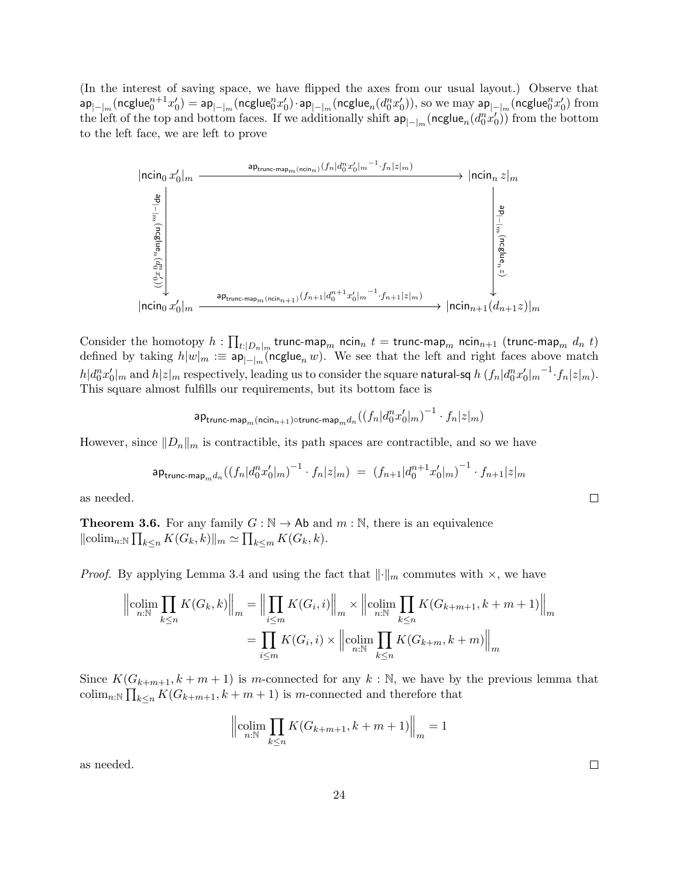(In the interest of saving space, we have flipped the axes from our usual layout.) Observe that  $\mathsf{ap}_{|-\mid_m}(\mathsf{ncglue}^{n+1}_0 x_0') = \mathsf{ap}_{|-\mid_m}(\mathsf{ncglue}^n_0 x_0')\cdot \mathsf{ap}_{|-\mid_m}(\mathsf{ncglue}_n(d_0^nx_0')),$  so we may  $\mathsf{ap}_{|-\mid_m}(\mathsf{ncglue}^n_0 x_0')$  from the left of the top and bottom faces. If we additionally shift  $ap_{|-|_m}(neglue_n(d_0^n x_0'))$  from the bottom to the left face, we are left to prove



Consider the homotopy  $h: \prod_{t:|D_n|_m}$  trunc-map $_m$  ncin $_n$   $t=$  trunc-map $_m$  ncin $_{n+1}$  (trunc-map $_m$   $d_n$   $t)$ defined by taking  $h|w|_m := \mathsf{ap}_{|-\vert_m}(\mathsf{ncglue}_n w)$ . We see that the left and right faces above match  $h|d_0^nx_0'|_m$  and  $h|z|_m$  respectively, leading us to consider the square natural-sq  $h\left(f_n|d_0^nx_0'|_m^{-1}\!\cdot\! f_n|z|_m\right)$ . This square almost fulfills our requirements, but its bottom face is

$$
\mathsf{ap}_{\mathsf{trunc-map}_m(\mathsf{ncin}_{n+1}) \circ \mathsf{trunc-map}_m d_n}((f_n|d_0^nx_0'|_m)^{-1} \cdot f_n|z|_m)
$$

However, since  $||D_n||_m$  is contractible, its path spaces are contractible, and so we have

$$
\mathsf{ap}_{\mathsf{trunc-map}_m d_n}((f_n|d_0^nx_0'|_m)^{-1} \cdot f_n|z|_m) \;=\; \left(f_{n+1}|d_0^{n+1}x_0'|_m\right)^{-1} \cdot f_{n+1}|z|_m
$$

as needed.

**Theorem 3.6.** For any family  $G : \mathbb{N} \to \mathbb{A}$  and  $m : \mathbb{N}$ , there is an equivalence  $\|\operatorname{colim}_{n:\mathbb{N}}\prod_{k\leq n}K(G_k,k)\|_m\simeq \prod_{k\leq m}K(G_k,k).$ 

*Proof.* By applying Lemma 3.4 and using the fact that  $\lVert \cdot \rVert_m$  commutes with  $\times$ , we have

$$
\left\| \underset{n:\mathbb{N}}{\text{colim}} \prod_{k \le n} K(G_k, k) \right\|_m = \left\| \prod_{i \le m} K(G_i, i) \right\|_m \times \left\| \underset{n:\mathbb{N}}{\text{colim}} \prod_{k \le n} K(G_{k+m+1}, k+m+1) \right\|_m
$$

$$
= \prod_{i \le m} K(G_i, i) \times \left\| \underset{n:\mathbb{N}}{\text{colim}} \prod_{k \le n} K(G_{k+m}, k+m) \right\|_m
$$

Since  $K(G_{k+m+1}, k+m+1)$  is m-connected for any  $k : \mathbb{N}$ , we have by the previous lemma that colim<sub>n:N</sub>  $\prod_{k \leq n} K(G_{k+m+1}, k+m+1)$  is m-connected and therefore that

$$
\left\| \underset{n:\mathbb{N}}{\text{colim}} \prod_{k \le n} K(G_{k+m+1}, k+m+1) \right\|_{m} = 1
$$

as needed.

 $\Box$ 

 $\Box$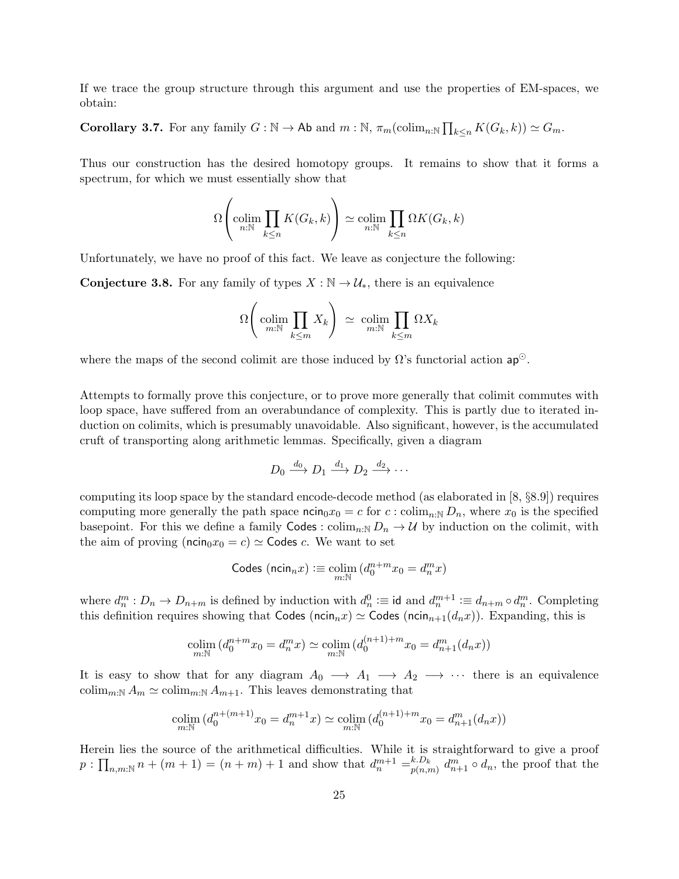If we trace the group structure through this argument and use the properties of EM-spaces, we obtain:

**Corollary 3.7.** For any family  $G : \mathbb{N} \to \mathsf{Ab}$  and  $m : \mathbb{N}, \pi_m(\mathrm{colim}_{n:\mathbb{N}}\prod_{k\leq n}K(G_k, k)) \simeq G_m$ .

Thus our construction has the desired homotopy groups. It remains to show that it forms a spectrum, for which we must essentially show that

$$
\Omega\left(\underset{n:\mathbb{N}}{\text{colim}}\prod_{k\leq n}K(G_k,k)\right)\simeq\underset{n:\mathbb{N}}{\text{colim}}\prod_{k\leq n}\Omega K(G_k,k)
$$

Unfortunately, we have no proof of this fact. We leave as conjecture the following:

**Conjecture 3.8.** For any family of types  $X : \mathbb{N} \to \mathcal{U}_{*}$ , there is an equivalence

$$
\Omega\bigg(\operatorname*{colim}_{m:\mathbb{N}}\prod_{k\leq m}X_k\bigg)\,\simeq\,\operatorname*{colim}_{m:\mathbb{N}}\prod_{k\leq m}\Omega X_k
$$

where the maps of the second colimit are those induced by  $\Omega$ 's functorial action ap<sup>⊙</sup>.

Attempts to formally prove this conjecture, or to prove more generally that colimit commutes with loop space, have suffered from an overabundance of complexity. This is partly due to iterated induction on colimits, which is presumably unavoidable. Also significant, however, is the accumulated cruft of transporting along arithmetic lemmas. Specifically, given a diagram

$$
D_0 \xrightarrow{d_0} D_1 \xrightarrow{d_1} D_2 \xrightarrow{d_2} \cdots
$$

computing its loop space by the standard encode-decode method (as elaborated in [8, §8.9]) requires computing more generally the path space  $\min_0 x_0 = c$  for  $c : \operatorname{colim}_{n:\mathbb{N}} D_n$ , where  $x_0$  is the specified basepoint. For this we define a family Codes :  $\text{colim}_{n:\mathbb{N}} D_n \to \mathcal{U}$  by induction on the colimit, with the aim of proving ( $ncin_0x_0 = c$ )  $\approx$  Codes c. We want to set

$$
\mathsf{Codes}\ (\mathsf{ncin}_n x) :\equiv \mathop{\mathrm{colim}}\limits_{m:\mathbb{N}} (d^{n+m}_0 x_0 = d^m_n x)
$$

where  $d_n^m: D_n \to D_{n+m}$  is defined by induction with  $d_n^0 := \text{id}$  and  $d_n^{m+1} := d_{n+m} \circ d_n^m$ . Completing this definition requires showing that Codes (ncin<sub>n</sub>x)  $\simeq$  Codes (ncin<sub>n+1</sub>(d<sub>n</sub>x)). Expanding, this is

$$
\underset{m:\mathbb{N}}{\text{colim}}\ (d_0^{n+m}x_0 = d_n^m x) \simeq \underset{m:\mathbb{N}}{\text{colim}}\ (d_0^{(n+1)+m}x_0 = d_{n+1}^m(d_n x))
$$

It is easy to show that for any diagram  $A_0 \longrightarrow A_1 \longrightarrow A_2 \longrightarrow \cdots$  there is an equivalence colim<sub>m:N</sub>  $A_m \simeq \text{colim}_{m:\mathbb{N}} A_{m+1}$ . This leaves demonstrating that

$$
\underset{m:\mathbb{N}}{\text{colim}}\,(d_0^{n+(m+1)}x_0 = d_n^{m+1}x) \simeq \underset{m:\mathbb{N}}{\text{colim}}\,(d_0^{(n+1)+m}x_0 = d_{n+1}^m(d_nx))
$$

Herein lies the source of the arithmetical difficulties. While it is straightforward to give a proof  $p: \prod_{n,m:\mathbb{N}} n + (m+1) = (n+m) + 1$  and show that  $d_n^{m+1} = \binom{k}{p(n,n)}$  $_{p(n,m)}^{k.D_k} d_{n+1}^m \circ d_n$ , the proof that the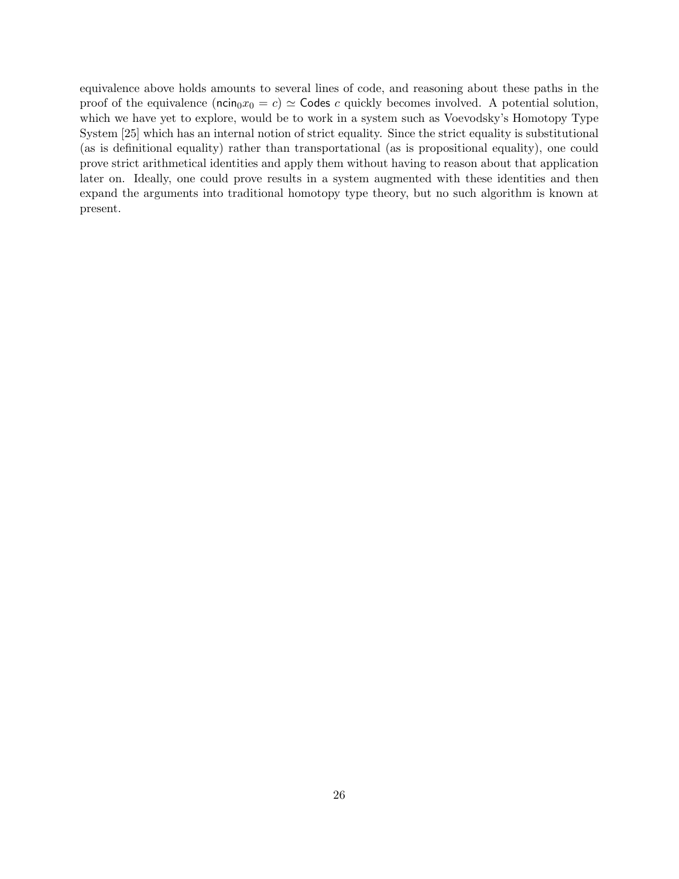equivalence above holds amounts to several lines of code, and reasoning about these paths in the proof of the equivalence ( $\min_0 x_0 = c$ )  $\simeq$  Codes c quickly becomes involved. A potential solution, which we have yet to explore, would be to work in a system such as Voevodsky's Homotopy Type System [25] which has an internal notion of strict equality. Since the strict equality is substitutional (as is definitional equality) rather than transportational (as is propositional equality), one could prove strict arithmetical identities and apply them without having to reason about that application later on. Ideally, one could prove results in a system augmented with these identities and then expand the arguments into traditional homotopy type theory, but no such algorithm is known at present.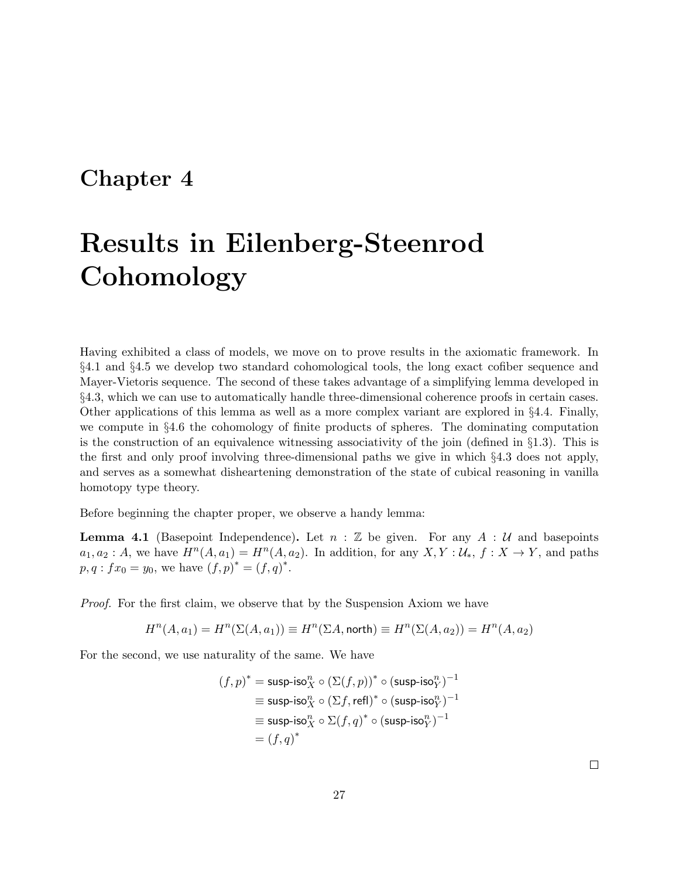# Chapter 4

# Results in Eilenberg-Steenrod **Cohomology**

Having exhibited a class of models, we move on to prove results in the axiomatic framework. In §4.1 and §4.5 we develop two standard cohomological tools, the long exact cofiber sequence and Mayer-Vietoris sequence. The second of these takes advantage of a simplifying lemma developed in §4.3, which we can use to automatically handle three-dimensional coherence proofs in certain cases. Other applications of this lemma as well as a more complex variant are explored in §4.4. Finally, we compute in §4.6 the cohomology of finite products of spheres. The dominating computation is the construction of an equivalence witnessing associativity of the join (defined in  $\S1.3$ ). This is the first and only proof involving three-dimensional paths we give in which §4.3 does not apply, and serves as a somewhat disheartening demonstration of the state of cubical reasoning in vanilla homotopy type theory.

Before beginning the chapter proper, we observe a handy lemma:

**Lemma 4.1** (Basepoint Independence). Let  $n : \mathbb{Z}$  be given. For any  $A : \mathcal{U}$  and basepoints  $a_1, a_2 : A$ , we have  $H^n(A, a_1) = H^n(A, a_2)$ . In addition, for any  $X, Y : U_*, f : X \to Y$ , and paths  $p, q: fx_0 = y_0$ , we have  $(f, p)^* = (f, q)^*$ .

Proof. For the first claim, we observe that by the Suspension Axiom we have

$$
H^n(A, a_1) = H^n(\Sigma(A, a_1)) \equiv H^n(\Sigma A, \text{north}) \equiv H^n(\Sigma(A, a_2)) = H^n(A, a_2)
$$

For the second, we use naturality of the same. We have

$$
(f, p)^* = \text{susp-iso}_X^n \circ (\Sigma(f, p))^* \circ (\text{susp-iso}_Y^n)^{-1}
$$
  
\n
$$
\equiv \text{susp-iso}_X^n \circ (\Sigma f, \text{refl})^* \circ (\text{susp-iso}_Y^n)^{-1}
$$
  
\n
$$
\equiv \text{susp-iso}_X^n \circ \Sigma(f, q)^* \circ (\text{susp-iso}_Y^n)^{-1}
$$
  
\n
$$
= (f, q)^*
$$

 $\Box$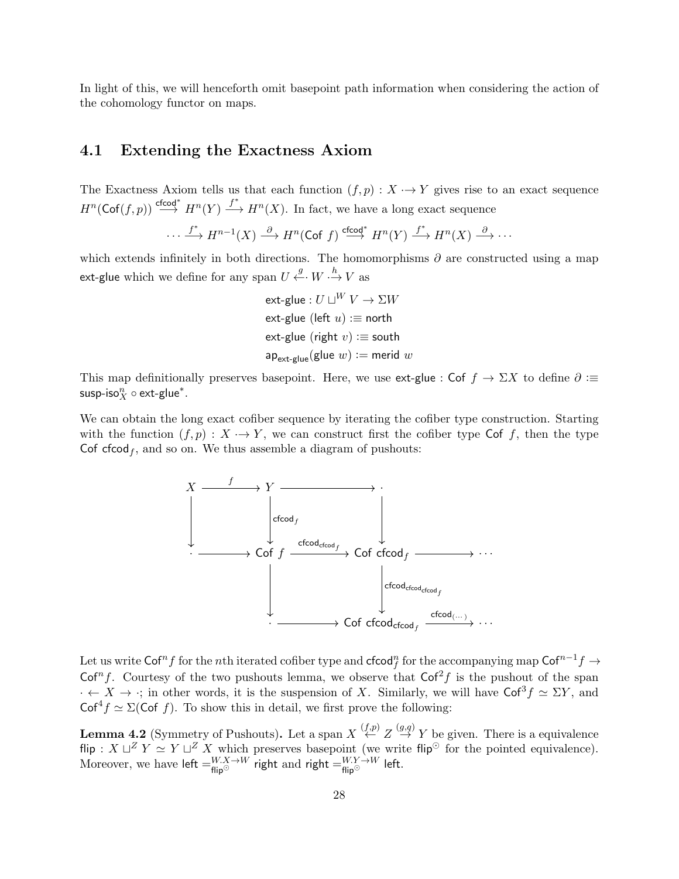In light of this, we will henceforth omit basepoint path information when considering the action of the cohomology functor on maps.

### 4.1 Extending the Exactness Axiom

The Exactness Axiom tells us that each function  $(f, p) : X \to Y$  gives rise to an exact sequence  $H^n(\mathsf{Cof}(f,p)) \stackrel{\mathsf{cfcod}^*}{\longrightarrow} H^n(Y) \stackrel{f^*}{\longrightarrow} H^n(X)$ . In fact, we have a long exact sequence

$$
\cdots \xrightarrow{f^*} H^{n-1}(X) \xrightarrow{\partial} H^n(\text{Cof } f) \xrightarrow{\text{cfcod}^*} H^n(Y) \xrightarrow{f^*} H^n(X) \xrightarrow{\partial} \cdots
$$

which extends infinitely in both directions. The homomorphisms  $\partial$  are constructed using a map ext-glue which we define for any span  $U \xleftarrow{g} W \cdot \xrightarrow{h} V$  as

> ext-glue :  $U\sqcup^W V \to \Sigma W$ ext-glue (left  $u$ ) : $\equiv$  north ext-glue (right  $v$ ) : $\equiv$  south  $ap_{\text{ext-glue}}(\text{glue } w) := \text{merid } w$

This map definitionally preserves basepoint. Here, we use ext-glue : Cof  $f \to \Sigma X$  to define  $\partial :=$ susp-iso $_N^n \circ \textnormal{ext-glue}^*.$ 

We can obtain the long exact cofiber sequence by iterating the cofiber type construction. Starting with the function  $(f, p) : X \to Y$ , we can construct first the cofiber type Cof f, then the type Cof cfcod<sub>f</sub>, and so on. We thus assemble a diagram of pushouts:



Let us write  $\mathsf{Cof}^n f$  for the  $n\text{th}$  iterated cofiber type and  $\mathsf{cfcod}_f^n$  for the accompanying map  $\mathsf{Cof}^{n-1} f \to$ Cof<sup>n</sup>f. Courtesy of the two pushouts lemma, we observe that  $Cof<sup>2</sup>f$  is the pushout of the span  $\cdot \leftarrow X \rightarrow \cdot$ ; in other words, it is the suspension of X. Similarly, we will have  $\mathsf{Cof}^3 f \simeq \Sigma Y$ , and  $Cof<sup>4</sup>f \simeq \Sigma(Cof f)$ . To show this in detail, we first prove the following:

**Lemma 4.2** (Symmetry of Pushouts). Let a span  $X \stackrel{(f,p)}{\leftarrow} Z \stackrel{(g,q)}{\rightarrow} Y$  be given. There is a equivalence flip :  $X \sqcup Z Y \simeq Y \sqcup Z X$  which preserves basepoint (we write flip<sup> $\odot$ </sup> for the pointed equivalence). Moreover, we have left  $=^{W.X \rightarrow W}_{\text{flip}^{\odot}}$  right and right  $=^{W.Y \rightarrow W}_{\text{flip}^{\odot}}$  left.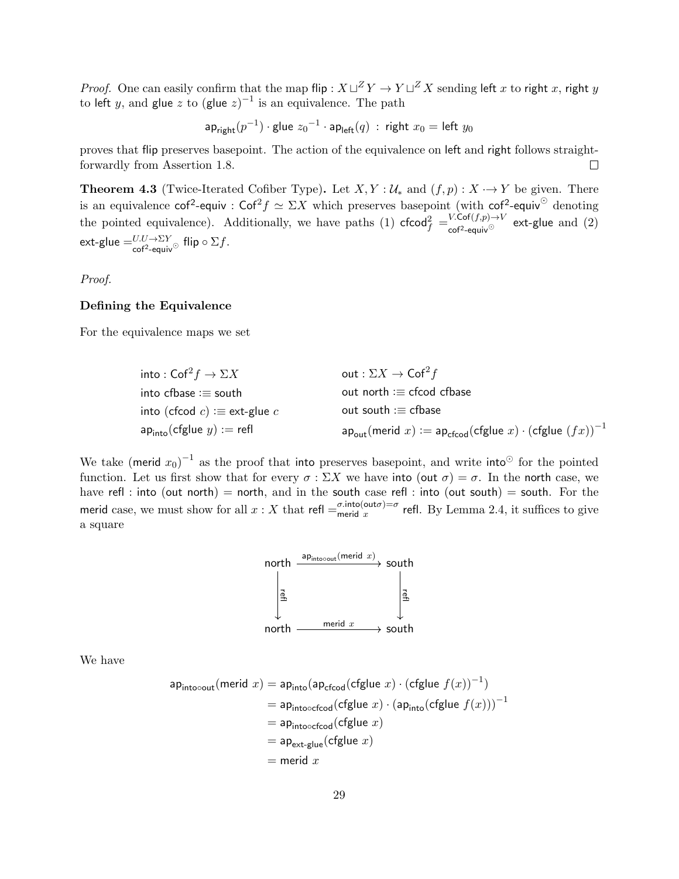*Proof.* One can easily confirm that the map flip :  $X \sqcup Z Y \to Y \sqcup Z X$  sending left x to right x, right y to left y, and glue z to (glue  $z$ )<sup>-1</sup> is an equivalence. The path

$$
\mathsf{ap}_{\mathsf{right}}(p^{-1}) \cdot \mathsf{glue}\ z_0{}^{-1} \cdot \mathsf{ap}_{\mathsf{left}}(q)\ :\ \mathsf{right}\ x_0 = \mathsf{left}\ y_0
$$

proves that flip preserves basepoint. The action of the equivalence on left and right follows straightforwardly from Assertion 1.8.  $\Box$ 

**Theorem 4.3** (Twice-Iterated Cofiber Type). Let  $X, Y : \mathcal{U}_*$  and  $(f, p) : X \rightarrow Y$  be given. There is an equivalence  $\cot^2$ -equiv :  $\cot^2 f \simeq \Sigma X$  which preserves basepoint (with  $\cot^2$ -equiv<sup>o</sup> denoting the pointed equivalence). Additionally, we have paths (1)  $\mathsf{cfcod}_f^2 = \frac{V \cdot \mathsf{Cof}(f,p) \to V}{\mathsf{cof}^2 - \mathsf{equiv} \vee \mathsf{cof}^2}$  ext-glue and (2)  $\mathsf{ext}\text{-}\mathsf{glue} =^{U,U\to\Sigma Y}_{\mathsf{cof}^2\text{-}\mathsf{equiv}\mathsf{vo}}$  flip  $\circ \Sigma f.$ 

Proof.

#### Defining the Equivalence

For the equivalence maps we set

| into : Cof $^2f\to \Sigma X$                                        | out : $\Sigma X \rightarrow \textsf{Cof}^2 f$                                                              |
|---------------------------------------------------------------------|------------------------------------------------------------------------------------------------------------|
| $\mathsf{into}\ \mathsf{cfbase} \mathrel{\mathop:}= \mathsf{south}$ | out north $:=$ cfcod cfbase                                                                                |
| into (cfcod $c$ ) : $\equiv$ ext-glue $c$                           | out south $:=$ cfbase                                                                                      |
| $ap_{\text{into}}(cfglue y) := refl$                                | $ap_{\text{out}}(\text{merid } x) := ap_{\text{cfood}}(\text{cfglue } x) \cdot (\text{cfglue } (fx))^{-1}$ |

We take (merid  $x_0$ )<sup>-1</sup> as the proof that into preserves basepoint, and write into<sup>⊙</sup> for the pointed function. Let us first show that for every  $\sigma : \Sigma X$  we have into (out  $\sigma$ ) =  $\sigma$ . In the north case, we have refl : into (out north) = north, and in the south case refl : into (out south) = south. For the merid case, we must show for all  $x : X$  that refl  $=\frac{\sigma.\text{into}(\text{out}\sigma)}{T}=\sigma$  $\frac{\sigma \cdot \text{m}(\text{out }\sigma)}{\sigma}$  refl. By Lemma 2.4, it suffices to give a square



We have

$$
ap_{\text{into-out}}(\text{merid } x) = ap_{\text{into}}(ap_{\text{efcod}}(\text{cfglue } x) \cdot (\text{cfglue } f(x))^{-1})
$$
  
=  $ap_{\text{intoocfcod}}(\text{cfglue } x) \cdot (ap_{\text{into}}(\text{cfglue } f(x)))^{-1}$   
=  $ap_{\text{intoocfcod}}(\text{cfglue } x)$   
=  $ap_{\text{ext-glue}}(\text{cfglue } x)$   
= merid x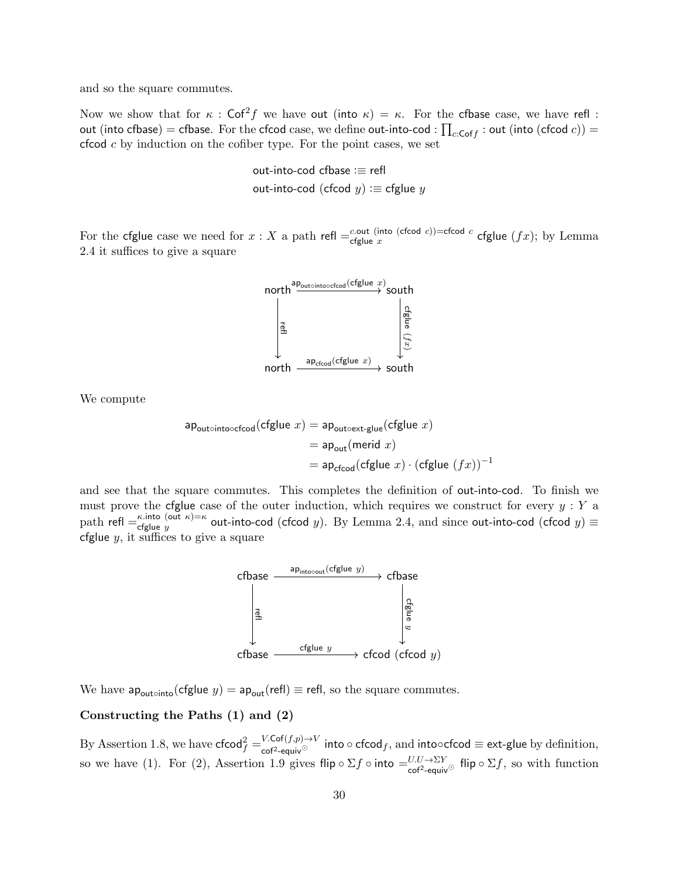and so the square commutes.

Now we show that for  $\kappa$ : Cof<sup>2</sup>f we have out (into  $\kappa$ ) =  $\kappa$ . For the cfbase case, we have refl: out (into cfbase)  $=$  cfbase. For the cfcod  $\text{case},$  we  $\text{define out-into-cod}:$   $\prod_{c:\text{Cof}f}:$  out (into (cfcod  $c$ ))  $=$  $c$  cfcod  $c$  by induction on the cofiber type. For the point cases, we set

> out-into-cod cfbase :≡ refl out-into-cod (cfcod  $y$ ) : $\equiv$  cfglue  $y$

For the cfglue case we need for  $x : X$  a path refl  $=$   $c$ -out (into (cfcod c))=cfcod c cout (mo (cicoa c))=cicoa c cfglue  $(fx)$ ; by Lemma 2.4 it suffices to give a square



We compute

$$
\begin{aligned} \mathsf{ap}_\mathsf{outointooefcod}(\mathsf{cfglue}\ x) &= \mathsf{ap}_\mathsf{outoext-glue}(\mathsf{cfglue}\ x) \\ &= \mathsf{ap}_\mathsf{out}(\mathsf{merid}\ x) \\ &= \mathsf{ap}_\mathsf{cfcod}(\mathsf{cfglue}\ x)\cdot(\mathsf{cfglue}\ (fx))^{-1} \end{aligned}
$$

and see that the square commutes. This completes the definition of out-into-cod. To finish we must prove the cfglue case of the outer induction, which requires we construct for every  $y: Y$  a path refl  $=$   $\frac{\kappa \text{.} \text{into}}{\epsilon \text{.} \text{of}}$  (out  $\kappa$ )  $=$   $\kappa$  $\epsilon_{\text{figure}}^{k.\text{into (out }k)=k}$  out-into-cod (cfcod y). By Lemma 2.4, and since out-into-cod (cfcod  $y) \equiv$ cfglue  $y$ , it suffices to give a square



We have  $ap_{\text{outo}}(cfglue y) = ap_{\text{out}}(refl) \equiv refl$ , so the square commutes.

### Constructing the Paths (1) and (2)

By Assertion 1.8, we have  $\mathsf{cfcod}_f^2 = \frac{V.\mathsf{Cof}(f,p) \to V}{\mathsf{cof}^2\text{-equiv}^\vee}$  into  $\circ$   $\mathsf{cfcod}_f,$  and into $\circ$ cfcod  $\equiv$  ext-glue by definition, so we have (1). For (2), Assertion 1.9 gives flip  $\circ \Sigma f \circ \text{into} = U U \to \Sigma Y$  flip  $\circ \Sigma f$ , so with function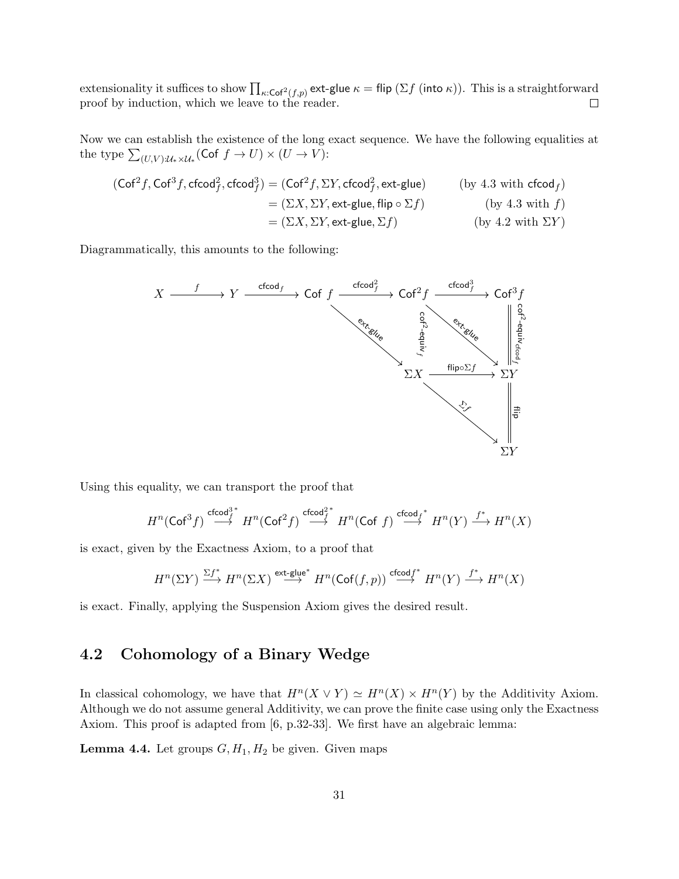extensionality it suffices to show  $\prod_{\kappa:\mathsf{Cof}^2(f,p)}$  ext-glue  $\kappa =$  flip (Σ $f$  (into  $\kappa$ )). This is a straightforward proof by induction, which we leave to the reader.

Now we can establish the existence of the long exact sequence. We have the following equalities at the type  $\sum_{(U,V): \mathcal{U}_* \times \mathcal{U}_*} (\mathsf{Cof} \; f \to U) \times (U \to V)$ :

$$
(\text{Cof}^2 f, \text{Cof}^3 f, \text{cfcod}_f^2, \text{cfcod}_f^3) = (\text{Cof}^2 f, \Sigma Y, \text{cfcod}_f^2, \text{ext-glue})
$$
 (by 4.3 with  $\text{cfcod}_f$ )  
=  $(\Sigma X, \Sigma Y, \text{ext-glue}, \text{flip} \circ \Sigma f)$  (by 4.3 with  $f$ )  
=  $(\Sigma X, \Sigma Y, \text{ext-glue}, \Sigma f)$  (by 4.2 with  $\Sigma Y$ )

Diagrammatically, this amounts to the following:



Using this equality, we can transport the proof that

$$
H^n(\mathsf{Cof}^3 f) \overset{\mathsf{cfcod}^{3^*}_f}\longrightarrow H^n(\mathsf{Cof}^2 f) \overset{\mathsf{cfcod}^{2^*}_f}\longrightarrow H^n(\mathsf{Cof}\,\, f) \overset{\mathsf{cfcod}_f^*}\longrightarrow H^n(Y) \overset{f^*}\longrightarrow H^n(X)
$$

is exact, given by the Exactness Axiom, to a proof that

$$
H^n(\Sigma Y) \xrightarrow{\Sigma f^*} H^n(\Sigma X) \xrightarrow{\operatorname{ext-glue}^*} H^n(\operatorname{Cof}(f,p)) \xrightarrow{\operatorname{cfcod} f^*} H^n(Y) \xrightarrow{f^*} H^n(X)
$$

is exact. Finally, applying the Suspension Axiom gives the desired result.

## 4.2 Cohomology of a Binary Wedge

In classical cohomology, we have that  $H^n(X \vee Y) \simeq H^n(X) \times H^n(Y)$  by the Additivity Axiom. Although we do not assume general Additivity, we can prove the finite case using only the Exactness Axiom. This proof is adapted from [6, p.32-33]. We first have an algebraic lemma:

**Lemma 4.4.** Let groups  $G, H_1, H_2$  be given. Given maps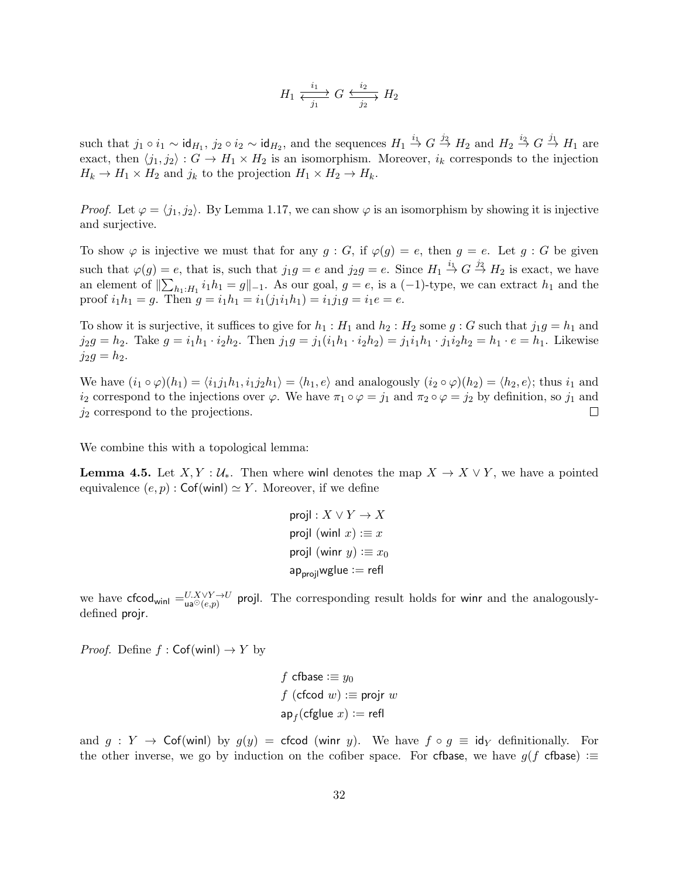$$
H_1 \xrightarrow[j_1]{i_1} G \xrightarrow[j_2]{i_2} H_2
$$

such that  $j_1 \circ i_1 \sim \text{id}_{H_1}$ ,  $j_2 \circ i_2 \sim \text{id}_{H_2}$ , and the sequences  $H_1 \overset{i_1}{\to} G \overset{j_2}{\to} H_2$  and  $H_2 \overset{i_2}{\to} G \overset{j_1}{\to} H_1$  are exact, then  $\langle j_1, j_2 \rangle : G \to H_1 \times H_2$  is an isomorphism. Moreover,  $i_k$  corresponds to the injection  $H_k \to H_1 \times H_2$  and  $j_k$  to the projection  $H_1 \times H_2 \to H_k$ .

*Proof.* Let  $\varphi = \langle j_1, j_2 \rangle$ . By Lemma 1.17, we can show  $\varphi$  is an isomorphism by showing it is injective and surjective.

To show  $\varphi$  is injective we must that for any  $g : G$ , if  $\varphi(g) = e$ , then  $g = e$ . Let  $g : G$  be given such that  $\varphi(g) = e$ , that is, such that  $j_1 g = e$  and  $j_2 g = e$ . Since  $H_1 \stackrel{i_1}{\rightarrow} G \stackrel{j_2}{\rightarrow} H_2$  is exact, we have an element of  $\|\sum_{h_1:H_1} i_1h_1 = g\|_{-1}$ . As our goal,  $g = e$ , is a  $(-1)$ -type, we can extract  $h_1$  and the proof  $i_1h_1 = g$ . Then  $g = i_1h_1 = i_1(j_1i_1h_1) = i_1j_1g = i_1e = e$ .

To show it is surjective, it suffices to give for  $h_1 : H_1$  and  $h_2 : H_2$  some  $g : G$  such that  $j_1g = h_1$  and  $j_2g = h_2$ . Take  $g = i_1h_1 \cdot i_2h_2$ . Then  $j_1g = j_1(i_1h_1 \cdot i_2h_2) = j_1i_1h_1 \cdot j_1i_2h_2 = h_1 \cdot e = h_1$ . Likewise  $j_2g = h_2.$ 

We have  $(i_1 \circ \varphi)(h_1) = \langle i_1 j_1 h_1, i_1 j_2 h_1 \rangle = \langle h_1, e \rangle$  and analogously  $(i_2 \circ \varphi)(h_2) = \langle h_2, e \rangle$ ; thus  $i_1$  and  $i_2$  correspond to the injections over  $\varphi$ . We have  $\pi_1 \circ \varphi = j_1$  and  $\pi_2 \circ \varphi = j_2$  by definition, so  $j_1$  and  $j_2$  correspond to the projections.  $\Box$ 

We combine this with a topological lemma:

**Lemma 4.5.** Let  $X, Y : \mathcal{U}_*$ . Then where wind denotes the map  $X \to X \vee Y$ , we have a pointed equivalence  $(e, p)$ : Cof(winl)  $\approx Y$ . Moreover, if we define

projl : 
$$
X \vee Y \rightarrow X
$$
  
projl (winl x) := x  
projl (winr y) := x<sub>0</sub>  
ap<sub>projl</sub>wglue := refl

we have cfcod<sub>winl</sub>  $=U.X\vee Y \to U$  projl. The corresponding result holds for winr and the analogouslydefined projr.

*Proof.* Define  $f : \mathsf{Cof}(\textsf{winl}) \to Y$  by

$$
f \text{ cfbase} := y_0
$$
  

$$
f (\text{cfcod } w) := \text{projr } w
$$
  

$$
\text{ap}_f(\text{cfglue } x) := \text{refl}
$$

and  $g: Y \to \mathsf{Cof}(\text{winl})$  by  $g(y) = \text{cfood}$  (winr y). We have  $f \circ g \equiv \text{id}_Y$  definitionally. For the other inverse, we go by induction on the cofiber space. For cfbase, we have  $g(f \text{ of} \text{base}) :=$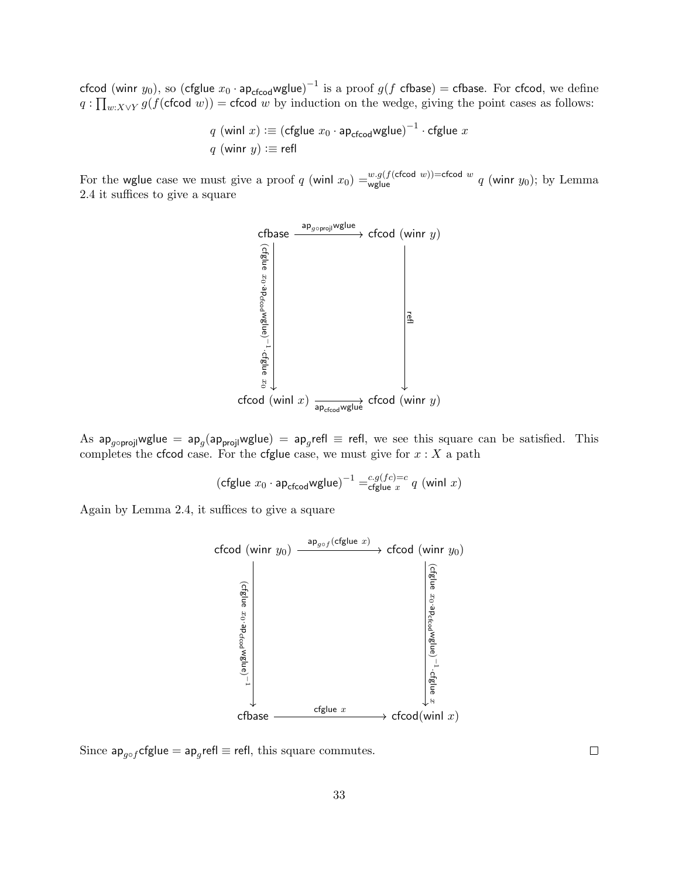cfcod (winr  $y_0)$ , so (cfglue  $x_0$  · ap<sub>cfcod</sub>wglue) $^{-1}$  is a proof  $g(f$  cfbase)  $=$  cfbase. For cfcod, we define  $q: \prod_{w:X\vee Y} g(f(\textsf{cfood } w)) = \textsf{cfood } w$  by induction on the wedge, giving the point cases as follows:

$$
q \text{ (winl } x) := (\text{cfglue } x_0 \cdot \text{ap}_{\text{cfcod}} \text{wglue})^{-1} \cdot \text{cfglue } x
$$
  

$$
q \text{ (winr } y) := \text{refl}
$$

For the wglue case we must give a proof q (winl  $x_0$ ) = $\frac{w.g(f(\text{cfood } w)) = \text{cfood } w}{w \text{ sq}}$  (winr  $y_0$ ); by Lemma 2.4 it suffices to give a square



As ap<sub>g∘projl</sub>wglue = ap<sub>g</sub>(ap<sub>projl</sub>wglue) = ap<sub>g</sub>refl  $\equiv$  refl, we see this square can be satisfied. This completes the cfcod case. For the cfglue case, we must give for  $x: X$  a path

$$
(\text{cfglue }x_0\cdot{\sf ap}_{\text{cfcod}}{\sf wglue})^{-1}= \substack{c.g(fc)=c\\ \text{cfglue }x} q\ ({\sf winl}\ x)
$$

Again by Lemma 2.4, it suffices to give a square



Since  $ap_{g \circ f}$ cfglue =  $ap_g$ refl $\equiv$  refl, this square commutes.

 $\Box$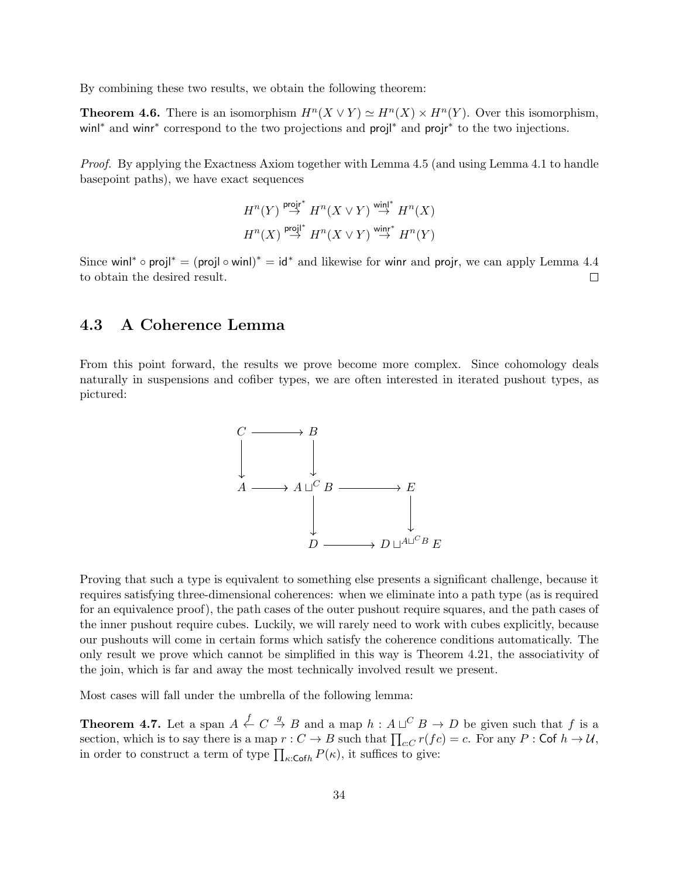By combining these two results, we obtain the following theorem:

**Theorem 4.6.** There is an isomorphism  $H^n(X \vee Y) \simeq H^n(X) \times H^n(Y)$ . Over this isomorphism, win<sup>\*</sup> and winr<sup>\*</sup> correspond to the two projections and proj<sup>†</sup> and projr<sup>\*</sup> to the two injections.

Proof. By applying the Exactness Axiom together with Lemma 4.5 (and using Lemma 4.1 to handle basepoint paths), we have exact sequences

$$
H^n(Y) \stackrel{\text{projr}^*}{\to} H^n(X \vee Y) \stackrel{\text{winl}^*}{\to} H^n(X)
$$
  

$$
H^n(X) \stackrel{\text{projl}^*}{\to} H^n(X \vee Y) \stackrel{\text{winr}^*}{\to} H^n(Y)
$$

Since winl<sup>\*</sup> ∘ projl<sup>\*</sup> = (projl ∘ winl)<sup>\*</sup> = id<sup>\*</sup> and likewise for winr and projr, we can apply Lemma 4.4 to obtain the desired result.  $\Box$ 

## 4.3 A Coherence Lemma

From this point forward, the results we prove become more complex. Since cohomology deals naturally in suspensions and cofiber types, we are often interested in iterated pushout types, as pictured:



Proving that such a type is equivalent to something else presents a significant challenge, because it requires satisfying three-dimensional coherences: when we eliminate into a path type (as is required for an equivalence proof), the path cases of the outer pushout require squares, and the path cases of the inner pushout require cubes. Luckily, we will rarely need to work with cubes explicitly, because our pushouts will come in certain forms which satisfy the coherence conditions automatically. The only result we prove which cannot be simplified in this way is Theorem 4.21, the associativity of the join, which is far and away the most technically involved result we present.

Most cases will fall under the umbrella of the following lemma:

**Theorem 4.7.** Let a span  $A \xleftarrow{f} C \xrightarrow{g} B$  and a map  $h : A \sqcup^C B \to D$  be given such that f is a section, which is to say there is a map  $r: C \to B$  such that  $\prod_{c:C} r(f_c) = c$ . For any  $P: \mathsf{Cof} \; h \to \mathcal{U}$ , in order to construct a term of type  $\prod_{\kappa:\mathsf{Cof}h} P(\kappa)$ , it suffices to give: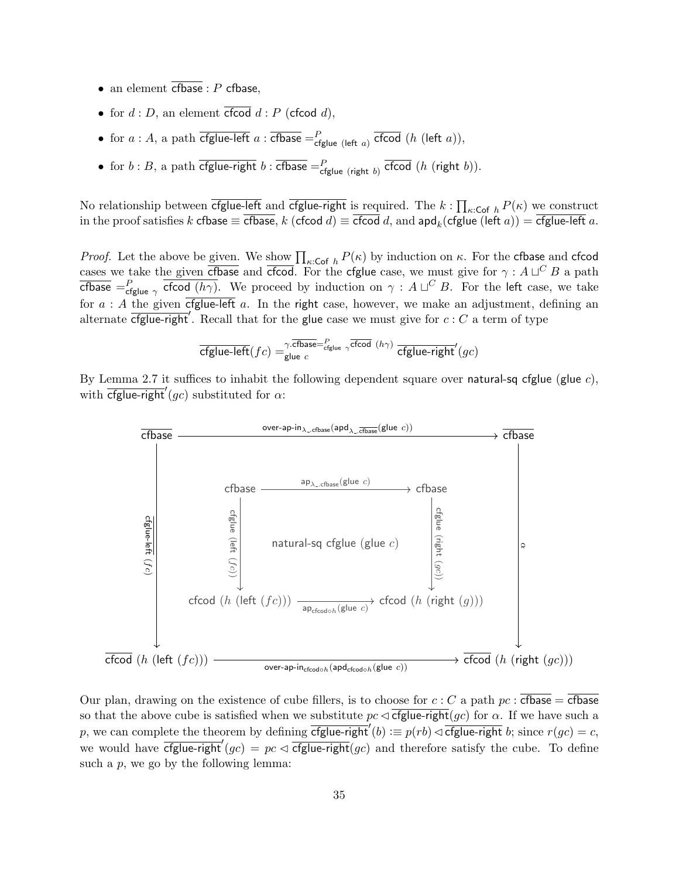- an element cfbase :  $P$  cfbase,
- for  $d : D$ , an element cfcod  $d : P$  (cfcod d),
- for  $a : A$ , a path  $\overline{\text{cfglue-left}}\ a : \overline{\text{cfbase}} = P_{\text{cfglue (left }a)}$   $\overline{\text{cfcod}}\ (h \ (\text{left } a)),$
- for  $b : B$ , a path  $\overline{cfglue-right}$   $b : \overline{cfbase} = \frac{P}{cfglue}$  (right  $b)$ ).

No relationship between cfglue-left and cfglue-right is required. The  $k$  :  $\prod_{\kappa:\mathsf{Cof}\;h}P(\kappa)$  we construct in the proof satisfies  $k$  cfbase  $\equiv$  cfbase,  $k$  (cfcod  $d) \equiv$  cfcod  $d$ , and  $\mathsf{apd}_k(\mathsf{cfglue}\,(\mathsf{left}\,a)) = \mathsf{cfglue}\,$ left  $a.$ 

*Proof.* Let the above be given. We show  $\prod_{\kappa: \mathsf{Cof} \; h} P(\kappa)$  by induction on  $\kappa$ . For the cfbase and cfcod cases we take the given corrected and critical. For the critical case, we must give for  $\gamma : A \sqcup^C B$  a path cfbase  $=$   $P_{\text{cfglue}}$   $\gamma$  cfcod  $(h\gamma)$ . We proceed by induction on  $\gamma$  :  $A\sqcup^C B$ . For the left case, we take for  $a : A$  the given  $\overline{\text{cfglue-left}}\ a$ . In the right case, however, we make an adjustment, defining an alternate  $\overline{cfglue-right'}$ . Recall that for the glue case we must give for  $c : C$  a term of type

$$
\overline{\text{cfglue-left}}(fc) = \gamma \overline{\text{cfbase}} = \text{cfglue} \,\, \gamma \overline{\text{cfcod}} \,\, (h\gamma) \,\, \overline{\text{cfglue-right}}'(gc)
$$

By Lemma 2.7 it suffices to inhabit the following dependent square over natural-sq cfglue (glue  $c$ ), with  $\overline{\text{cfglue-right}}'(gc)$  substituted for  $\alpha$ :



Our plan, drawing on the existence of cube fillers, is to choose for  $c : C$  a path  $pc : c$  cfbase = cfbase so that the above cube is satisfied when we substitute  $pc \triangleleft \frac{c f g}{\text{true-right}(gc)}$  for  $\alpha$ . If we have such a p, we can complete the theorem by defining  $\overline{cfglue-right}(b) := p(rb) \triangleleft \overline{cfglue-right}(b)$ ; since  $r(gc) = c$ , we would have  $\overline{cfglue-right}'(gc) = pc \leq \overline{cfglue-right}(gc)$  and therefore satisfy the cube. To define such a  $p$ , we go by the following lemma: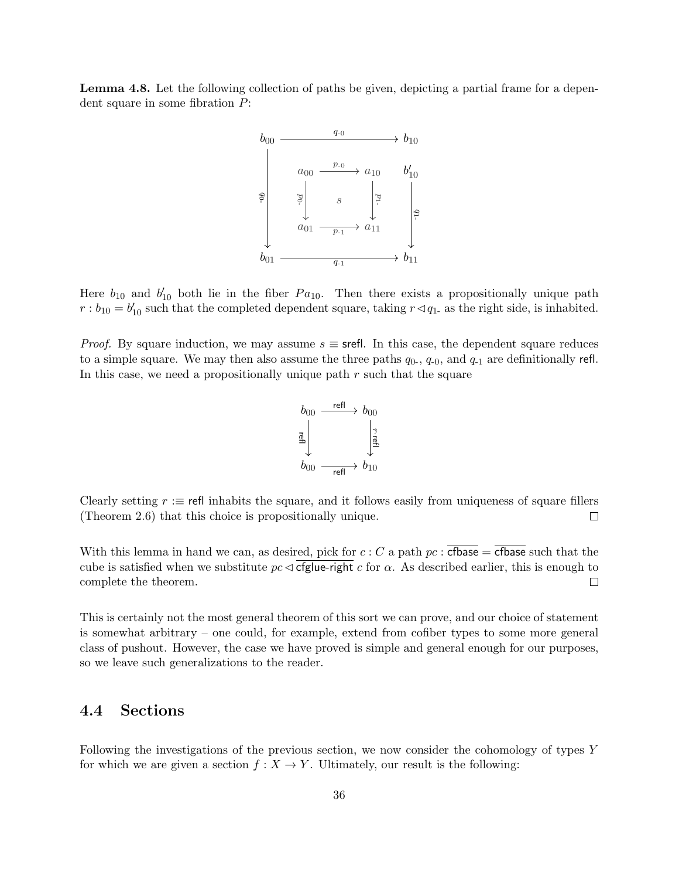Lemma 4.8. Let the following collection of paths be given, depicting a partial frame for a dependent square in some fibration P:



Here  $b_{10}$  and  $b'_{10}$  both lie in the fiber  $Pa_{10}$ . Then there exists a propositionally unique path  $r : b_{10} = b'_{10}$  such that the completed dependent square, taking  $r \lhd q_1$  as the right side, is inhabited.

*Proof.* By square induction, we may assume  $s \equiv$  srefl. In this case, the dependent square reduces to a simple square. We may then also assume the three paths  $q_0$ ,  $q_{-0}$ , and  $q_{-1}$  are definitionally refl. In this case, we need a propositionally unique path  $r$  such that the square



Clearly setting  $r :=$  refl inhabits the square, and it follows easily from uniqueness of square fillers (Theorem 2.6) that this choice is propositionally unique.  $\Box$ 

With this lemma in hand we can, as desired, pick for  $c : C$  a path  $pc : c$   $\overline{\text{cfbase}} = \overline{\text{cfbase}}$  such that the cube is satisfied when we substitute  $pc \triangleleft$  cfglue-right c for  $\alpha$ . As described earlier, this is enough to  $\Box$ complete the theorem.

This is certainly not the most general theorem of this sort we can prove, and our choice of statement is somewhat arbitrary – one could, for example, extend from cofiber types to some more general class of pushout. However, the case we have proved is simple and general enough for our purposes, so we leave such generalizations to the reader.

## 4.4 Sections

Following the investigations of the previous section, we now consider the cohomology of types Y for which we are given a section  $f : X \to Y$ . Ultimately, our result is the following: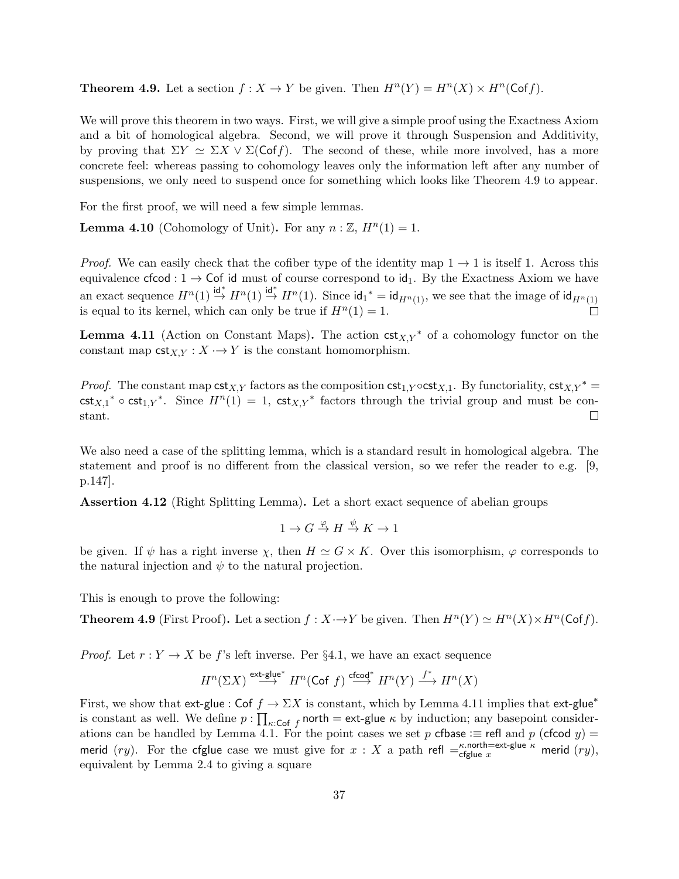**Theorem 4.9.** Let a section  $f: X \to Y$  be given. Then  $H^n(Y) = H^n(X) \times H^n(\text{Cof } f)$ .

We will prove this theorem in two ways. First, we will give a simple proof using the Exactness Axiom and a bit of homological algebra. Second, we will prove it through Suspension and Additivity, by proving that  $\Sigma Y \simeq \Sigma X \vee \Sigma(\mathsf{Cof}\, f)$ . The second of these, while more involved, has a more concrete feel: whereas passing to cohomology leaves only the information left after any number of suspensions, we only need to suspend once for something which looks like Theorem 4.9 to appear.

For the first proof, we will need a few simple lemmas.

**Lemma 4.10** (Cohomology of Unit). For any  $n : \mathbb{Z}, H^n(1) = 1$ .

*Proof.* We can easily check that the cofiber type of the identity map  $1 \rightarrow 1$  is itself 1. Across this equivalence cfcod :  $1 \rightarrow$  Cof id must of course correspond to id<sub>1</sub>. By the Exactness Axiom we have an exact sequence  $H^n(1) \stackrel{\mathsf{id}^*}{\to} H^n(1) \stackrel{\mathsf{id}^*}{\to} H^n(1)$ . Since  $\mathsf{id}_1^* = \mathsf{id}_{H^n(1)}$ , we see that the image of  $\mathsf{id}_{H^n(1)}$ is equal to its kernel, which can only be true if  $H^n(1) = 1$ .  $\Box$ 

**Lemma 4.11** (Action on Constant Maps). The action  $\text{cst}_{X,Y}^*$  of a cohomology functor on the constant map  $\text{cst}_{X,Y}: X \rightarrow Y$  is the constant homomorphism.

*Proof.* The constant map  $\textsf{cst}_{X,Y}$  factors as the composition  $\textsf{cst}_{1,Y} \circ \textsf{cst}_{X,1}$ . By functoriality,  $\textsf{cst}_{X,Y}^*$  =  $\text{cst}_{X,1}^* \circ \text{cst}_{1,Y}^*$ . Since  $H^n(1) = 1$ ,  $\text{cst}_{X,Y}^*$  factors through the trivial group and must be constant.  $\Box$ 

We also need a case of the splitting lemma, which is a standard result in homological algebra. The statement and proof is no different from the classical version, so we refer the reader to e.g. [9, p.147].

Assertion 4.12 (Right Splitting Lemma). Let a short exact sequence of abelian groups

$$
1 \to G \stackrel{\varphi}{\to} H \stackrel{\psi}{\to} K \to 1
$$

be given. If  $\psi$  has a right inverse  $\chi$ , then  $H \simeq G \times K$ . Over this isomorphism,  $\varphi$  corresponds to the natural injection and  $\psi$  to the natural projection.

This is enough to prove the following:

**Theorem 4.9** (First Proof). Let a section  $f : X \to Y$  be given. Then  $H^n(Y) \simeq H^n(X) \times H^n(\text{Cof } f)$ .

*Proof.* Let  $r: Y \to X$  be f's left inverse. Per §4.1, we have an exact sequence

$$
H^n(\Sigma X) \stackrel{\mathsf{ext}\text{-}\mathsf{glue}^*}{\longrightarrow} H^n(\mathsf{Cof}\,\, f) \stackrel{\mathsf{cfcod}^*}{\longrightarrow} H^n(Y) \stackrel{f^*}{\longrightarrow} H^n(X)
$$

First, we show that ext-glue : Cof  $f \to \Sigma X$  is constant, which by Lemma 4.11 implies that ext-glue<sup>\*</sup> is constant as well. We define  $p: \prod_{\kappa: \mathsf{Cof} f}$  north = ext-glue  $\kappa$  by induction; any basepoint considerations can be handled by Lemma 4.1. For the point cases we set p cfbase : $\equiv$  refl and p (cfcod y) = merid  $(ry)$ . For the cfglue case we must give for  $x : X$  a path refl  $=\epsilon^{k}$  north=ext-glue  $\kappa$  merid  $(ry)$ , equivalent by Lemma 2.4 to giving a square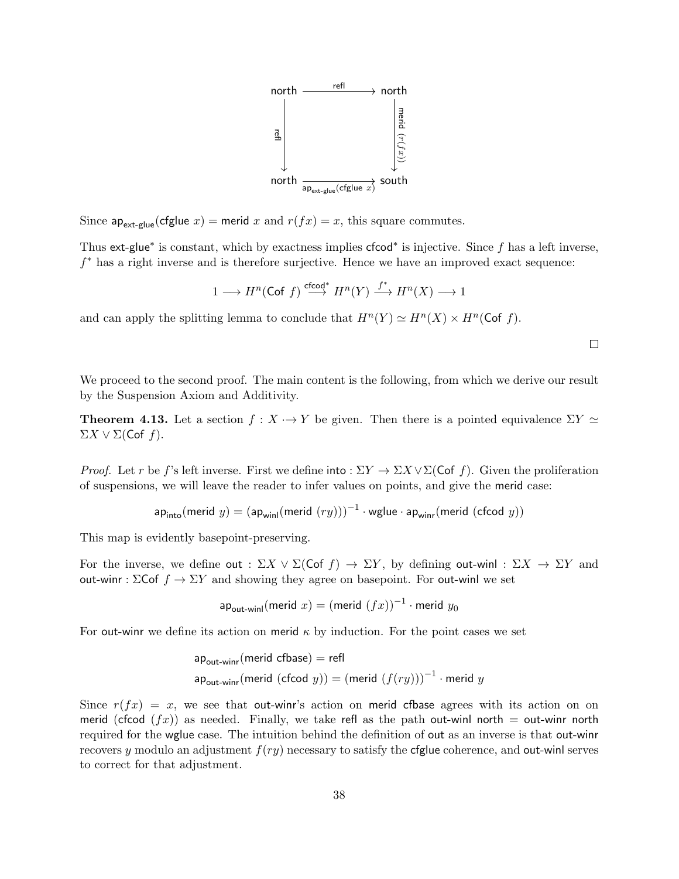

Since  $ap_{\text{ext-glue}}(cfglue x)$  = merid x and  $r(fx) = x$ , this square commutes.

Thus ext-glue<sup>\*</sup> is constant, which by exactness implies cfcod<sup>\*</sup> is injective. Since f has a left inverse, f <sup>∗</sup> has a right inverse and is therefore surjective. Hence we have an improved exact sequence:

$$
1\longrightarrow H^n(\mathsf{Cof}\;f)\stackrel{\mathsf{cfcod}^*}{\longrightarrow}H^n(Y)\stackrel{f^*}{\longrightarrow}H^n(X)\longrightarrow 1
$$

and can apply the splitting lemma to conclude that  $H^{n}(Y) \simeq H^{n}(X) \times H^{n}(\text{Cof } f)$ .

 $\Box$ 

We proceed to the second proof. The main content is the following, from which we derive our result by the Suspension Axiom and Additivity.

**Theorem 4.13.** Let a section  $f : X \to Y$  be given. Then there is a pointed equivalence  $\Sigma Y \simeq$  $\Sigma X \vee \Sigma$ (Cof f).

*Proof.* Let r be f's left inverse. First we define into :  $\Sigma Y \to \Sigma X \vee \Sigma(\text{Cof } f)$ . Given the proliferation of suspensions, we will leave the reader to infer values on points, and give the merid case:

$$
\mathsf{ap}_{\mathsf{into}}(\mathsf{merid}\,\, y) = (\mathsf{ap}_{\mathsf{winl}}(\mathsf{merid}\,\, (ry)))^{-1} \cdot \mathsf{wglue} \cdot \mathsf{ap}_{\mathsf{winr}}(\mathsf{merid}\,\, (\mathsf{cfcod}\,\, y))
$$

This map is evidently basepoint-preserving.

For the inverse, we define out :  $\Sigma X \vee \Sigma(\mathsf{Cof}\ f) \to \Sigma Y$ , by defining out-winl :  $\Sigma X \to \Sigma Y$  and out-winr :  $\Sigma$ Cof  $f \to \Sigma Y$  and showing they agree on basepoint. For out-winl we set

$$
ap_{\text{out}-\text{winl}}(\text{merid } x) = (\text{merid } (fx))^{-1} \cdot \text{merid } y_0
$$

For out-winr we define its action on merid  $\kappa$  by induction. For the point cases we set

$$
\mathsf{ap}_{\mathsf{out} \text{-}\mathsf{winr}}(\mathsf{merid} \ \mathsf{cfbase}) = \mathsf{refl}
$$
\n
$$
\mathsf{ap}_{\mathsf{out} \text{-}\mathsf{winr}}(\mathsf{merid} \ (\mathsf{cfcod} \ y)) = (\mathsf{merid} \ (f(ry)))^{-1} \cdot \mathsf{merid} \ y
$$

Since  $r(fx) = x$ , we see that out-winr's action on merid cfbase agrees with its action on on merid (cfcod  $(fx)$ ) as needed. Finally, we take refl as the path out-winl north = out-winr north required for the wglue case. The intuition behind the definition of out as an inverse is that out-winr recovers y modulo an adjustment  $f(ry)$  necessary to satisfy the cfglue coherence, and out-winl serves to correct for that adjustment.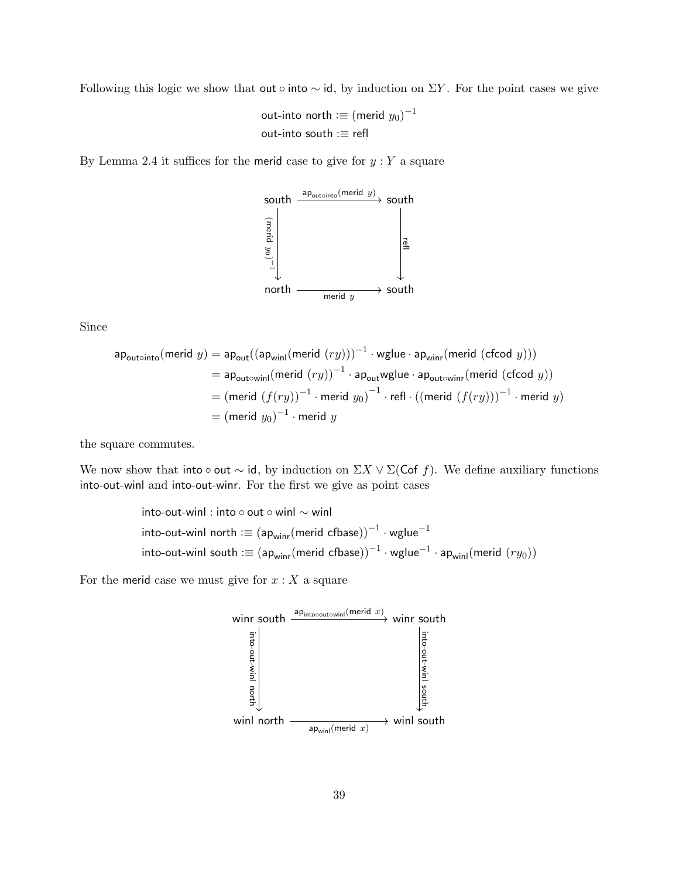Following this logic we show that out ∘ into  $\sim$  id, by induction on  $\Sigma Y$ . For the point cases we give

out-into north  $:=$   $\left(\text{merid } y_0\right)^{-1}$ out-into south :≡ refl

By Lemma 2.4 it suffices for the merid case to give for  $y:Y$  a square



Since

$$
\mathsf{a}\mathsf{p}_{\mathsf{out} \circ \mathsf{into}}(\mathsf{merid} \ y) = \mathsf{a}\mathsf{p}_{\mathsf{out}}((\mathsf{a}\mathsf{p}_{\mathsf{win}}(\mathsf{merid} \ (ry)))^{-1} \cdot \mathsf{wglue} \cdot \mathsf{a}\mathsf{p}_{\mathsf{winr}}(\mathsf{merid} \ (\mathsf{c}\mathsf{f} \mathsf{c}\mathsf{d} \ y)))
$$
\n
$$
= \mathsf{a}\mathsf{p}_{\mathsf{out} \circ \mathsf{winl}}(\mathsf{merid} \ (ry))^{-1} \cdot \mathsf{a}\mathsf{p}_{\mathsf{out}}\mathsf{wglue} \cdot \mathsf{a}\mathsf{p}_{\mathsf{out} \circ \mathsf{winr}}(\mathsf{merid} \ (\mathsf{c}\mathsf{f} \mathsf{c}\mathsf{d} \ y))
$$
\n
$$
= (\mathsf{merid} \ (f(ry))^{-1} \cdot \mathsf{merid} \ y_0)^{-1} \cdot \mathsf{refl} \cdot ((\mathsf{merid} \ (f(ry)))^{-1} \cdot \mathsf{merid} \ y)
$$
\n
$$
= (\mathsf{merid} \ y_0)^{-1} \cdot \mathsf{merid} \ y
$$

the square commutes.

We now show that into ∘ out  $\sim$  id, by induction on  $\Sigma X \vee \Sigma(\mathsf{Cof}\ f)$ . We define auxiliary functions into-out-winl and into-out-winr. For the first we give as point cases

into-out-win! : into 
$$
\circ
$$
 out  $\circ$  winl  $\sim$  winl  
into-out-win! north :=  $(ap_{winr}(merid cfbase))^{-1} \cdot wglue^{-1}$   
into-out-winl south :=  $(ap_{winr}(merid cfbase))^{-1} \cdot wglue^{-1} \cdot ap_{winl}(merid (ry_0))$ 

For the merid case we must give for  $x: X$  a square

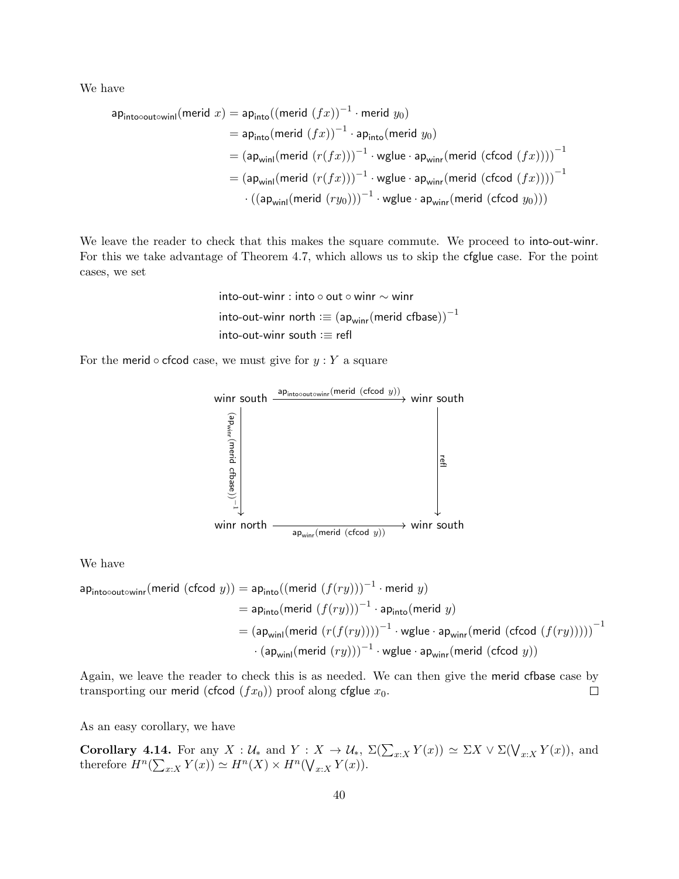We have

$$
\begin{aligned}\n\mathsf{ap}_{\mathsf{into} \circ \mathsf{out} \circ \mathsf{winl}}(\mathsf{merid} \ x) &= \mathsf{ap}_{\mathsf{into}}((\mathsf{merid} \ (fx))^{-1} \cdot \mathsf{merid} \ y_0) \\
&= \mathsf{ap}_{\mathsf{into}}(\mathsf{merid} \ (fx))^{-1} \cdot \mathsf{ap}_{\mathsf{into}}(\mathsf{merid} \ y_0) \\
&= (\mathsf{ap}_{\mathsf{winl}}(\mathsf{merid} \ (r(fx)))^{-1} \cdot \mathsf{wglue} \cdot \mathsf{ap}_{\mathsf{winr}}(\mathsf{merid} \ (\mathsf{cfcod} \ (fx))))^{-1} \\
&= (\mathsf{ap}_{\mathsf{winl}}(\mathsf{merid} \ (r(fx)))^{-1} \cdot \mathsf{wglue} \cdot \mathsf{ap}_{\mathsf{winr}}(\mathsf{merid} \ (\mathsf{cfcod} \ y_0))) \\
&\quad \cdot \left( (\mathsf{ap}_{\mathsf{winl}}(\mathsf{merid} \ (ry_0)))^{-1} \cdot \mathsf{wglue} \cdot \mathsf{ap}_{\mathsf{winr}}(\mathsf{merid} \ (\mathsf{cfcod} \ y_0))) \right)\n\end{aligned}
$$

We leave the reader to check that this makes the square commute. We proceed to into-out-winr. For this we take advantage of Theorem 4.7, which allows us to skip the cfglue case. For the point cases, we set

> into-out-winr : into ◦ out ◦ winr ∼ winr into-out-winr north : $\equiv (ap_{\text{winv}}(merid cfbase))^{-1}$ into-out-winr south :≡ refl

For the merid  $\circ$  cfcod case, we must give for  $y:Y$  a square



We have

$$
\begin{aligned} \mathsf{ap}_{\mathsf{into}\circ \mathsf{out}\circ \mathsf{winr}}(\mathsf{merid}\;(\mathsf{cfcod}\; y)) &= \mathsf{ap}_{\mathsf{into}}((\mathsf{merid}\; (f(ry)))^{-1} \cdot \mathsf{merid}\; y) \\ &= \mathsf{ap}_{\mathsf{into}}(\mathsf{merid}\; (f(ry)))^{-1} \cdot \mathsf{ap}_{\mathsf{into}}(\mathsf{merid}\; y) \\ &= (\mathsf{ap}_{\mathsf{winl}}(\mathsf{merid}\; (r(f(ry))))^{-1} \cdot \mathsf{wglue} \cdot \mathsf{ap}_{\mathsf{winr}}(\mathsf{merid}\;(\mathsf{cfcod}\; (f(ry))))^{-1} \\ &\cdot (\mathsf{ap}_{\mathsf{winl}}(\mathsf{merid}\; (ry)))^{-1} \cdot \mathsf{wglue} \cdot \mathsf{ap}_{\mathsf{winr}}(\mathsf{merid}\;(\mathsf{cfcod}\; y)) \end{aligned}
$$

Again, we leave the reader to check this is as needed. We can then give the merid cfbase case by transporting our merid (cfcod  $(fx_0)$ ) proof along cfglue  $x_0$ .  $\Box$ 

As an easy corollary, we have

**Corollary 4.14.** For any  $X: \mathcal{U}_*$  and  $Y: X \to \mathcal{U}_*, \Sigma(\sum_{x:X} Y(x)) \simeq \Sigma X \vee \Sigma(\bigvee_{x:X} Y(x))$ , and therefore  $H^n(\sum_{x:X} Y(x)) \simeq H^n(X) \times H^n(\bigvee_{x:X} Y(x)).$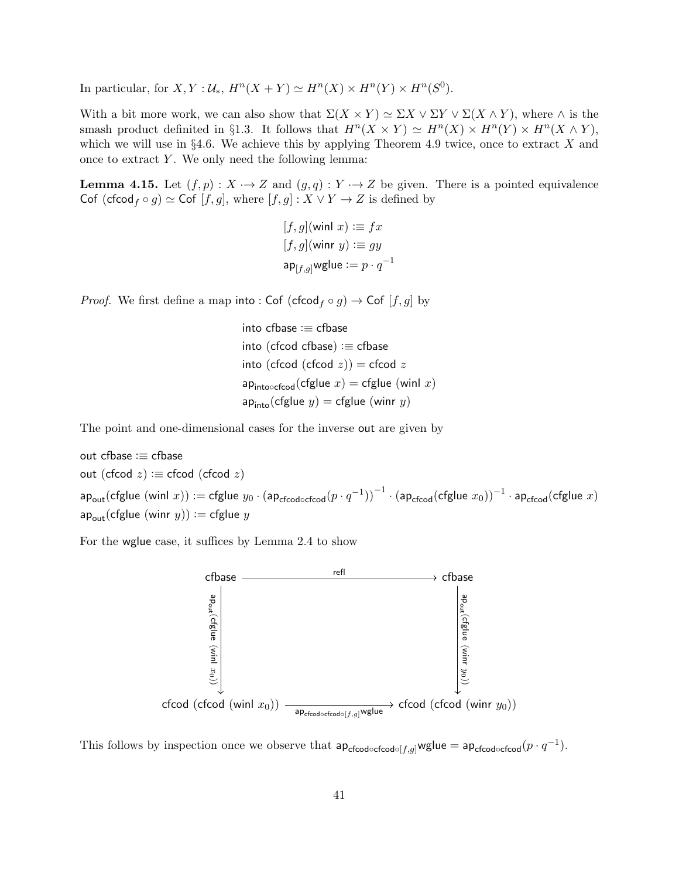In particular, for  $X, Y: \mathcal{U}_*, H^n(X + Y) \simeq H^n(X) \times H^n(Y) \times H^n(S^0).$ 

With a bit more work, we can also show that  $\Sigma(X \times Y) \simeq \Sigma X \vee \Sigma Y \vee \Sigma(X \wedge Y)$ , where  $\wedge$  is the smash product definited in §1.3. It follows that  $H^n(X \times Y) \simeq H^n(X) \times H^n(Y) \times H^n(X \wedge Y)$ , which we will use in  $\S 4.6$ . We achieve this by applying Theorem 4.9 twice, once to extract X and once to extract  $Y$ . We only need the following lemma:

**Lemma 4.15.** Let  $(f, p) : X \to Z$  and  $(g, q) : Y \to Z$  be given. There is a pointed equivalence Cof (cfcod<sub>f</sub>  $\circ$  g)  $\simeq$  Cof [f, g], where [f, g] :  $X \vee Y \rightarrow Z$  is defined by

```
[f, g](\text{winl } x) := fx[f, q](winr y) := qyap_{[f,g]}wglue \mathrel{\mathop:}= p \cdot q^{-1}
```
*Proof.* We first define a map into : Cof (cfcod  $f \circ g$ )  $\to$  Cof  $[f, g]$  by

into cfbase :≡ cfbase into (cfcod cfbase)  $:=$  cfbase into (cfcod (cfcod  $z$ )) = cfcod  $z$ ap<sub>into</sub>
<sub>cfcod</sub>(cfglue  $x$ ) = cfglue (winl  $x$ )  $ap_{\text{into}}(cfglue y) = cfglue (winry)$ 

The point and one-dimensional cases for the inverse out are given by

out cfbase :≡ cfbase out (cfcod  $z$ ) : $\equiv$  cfcod (cfcod  $z$ )  $\mathsf{ap}_\mathsf{out}(\mathsf{cfglue}~(\mathsf{winl}~x)) := \mathsf{cfglue}~y_0 \cdot \big(\mathsf{ap}_\mathsf{cfood} \circ \mathsf{cfood}(p \cdot q^{-1})\big)^{-1} \cdot \big(\mathsf{ap}_\mathsf{cfood}(\mathsf{cfglue}~x_0)\big)^{-1} \cdot \mathsf{ap}_\mathsf{cfood}(\mathsf{cfglue}~x)$  $ap_{\text{out}}(cfglue (winr y)) := cfglue y$ 

For the wglue case, it suffices by Lemma 2.4 to show



This follows by inspection once we observe that  $ap_{cfcod \circ cfcod \circ [f,g]}$ wglue =  $ap_{cfcod \circ cfcod}(p \cdot q^{-1})$ .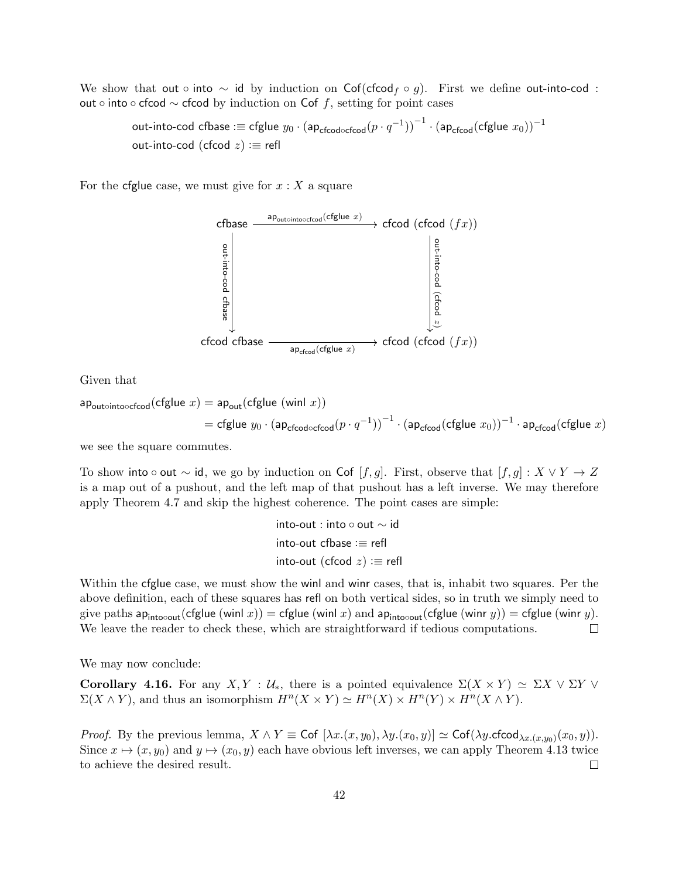We show that out ∘ into  $\sim$  id by induction on Cof(cfcod<sub>f</sub> ∘ g). First we define out-into-cod : out ∘ into ∘ cfcod  $\sim$  cfcod by induction on Cof f, setting for point cases

out-into-cod cfbase : $\equiv$  cfglue  $y_0\cdot({\sf ap}_{\sf cfood\circ cfood}(p\cdot q^{-1}))^{-1}\cdot ({\sf ap}_{\sf cfood}({\sf cfglue}~x_0))^{-1}$ out-into-cod (cfcod  $z$ ) : $\equiv$  refl

For the cfglue case, we must give for  $x: X$  a square



Given that

$$
\mathsf{a} \mathsf{p}_{\mathsf{out} \circ \mathsf{into} \circ \mathsf{c} \mathsf{f} \circ \mathsf{c} \mathsf{f} \circ \mathsf{d}}(\mathsf{cf} \mathsf{glue} \ x) = \mathsf{a} \mathsf{p}_{\mathsf{out}}(\mathsf{cf} \mathsf{glue} \ (\mathsf{winl} \ x))
$$
\n
$$
= \mathsf{cf} \mathsf{glue} \ y_0 \cdot (\mathsf{a} \mathsf{p}_{\mathsf{c} \mathsf{f} \circ \mathsf{c} \mathsf{f} \circ \mathsf{d}}(p \cdot q^{-1}))^{-1} \cdot (\mathsf{a} \mathsf{p}_{\mathsf{c} \mathsf{f} \circ \mathsf{c} \mathsf{d}}(\mathsf{cf} \mathsf{glue} \ x_0))^{-1} \cdot \mathsf{a} \mathsf{p}_{\mathsf{c} \mathsf{f} \circ \mathsf{c} \mathsf{d}}(\mathsf{cf} \mathsf{glue} \ x)
$$

we see the square commutes.

To show into ∘ out  $\sim$  id, we go by induction on Cof [f, g]. First, observe that [f, g] :  $X \vee Y \to Z$ is a map out of a pushout, and the left map of that pushout has a left inverse. We may therefore apply Theorem 4.7 and skip the highest coherence. The point cases are simple:

$$
into-out: into \circ out \sim id
$$
  
into-out cfbase := refl  
into-out (cfcod z) := refl

Within the cfglue case, we must show the winl and winr cases, that is, inhabit two squares. Per the above definition, each of these squares has refl on both vertical sides, so in truth we simply need to give paths ap<sub>into</sub><sub>out</sub>(cfglue (winl x)) = cfglue (winl x) and ap<sub>into</sub><sub>out</sub>(cfglue (winr y)) = cfglue (winr y). We leave the reader to check these, which are straightforward if tedious computations.  $\Box$ 

We may now conclude:

Corollary 4.16. For any  $X, Y : \mathcal{U}_*,$  there is a pointed equivalence  $\Sigma(X \times Y) \simeq \Sigma X \vee \Sigma Y \vee Y$  $\Sigma(X \wedge Y)$ , and thus an isomorphism  $H^n(X \times Y) \simeq H^n(X) \times H^n(Y) \times H^n(X \wedge Y)$ .

*Proof.* By the previous lemma,  $X \wedge Y \equiv \mathsf{Cof} [\lambda x.(x, y_0), \lambda y.(x_0, y)] \simeq \mathsf{Cof}(\lambda y.\mathsf{cfcod}_{\lambda x.(x, y_0)}(x_0, y)).$ Since  $x \mapsto (x, y_0)$  and  $y \mapsto (x_0, y)$  each have obvious left inverses, we can apply Theorem 4.13 twice to achieve the desired result.  $\Box$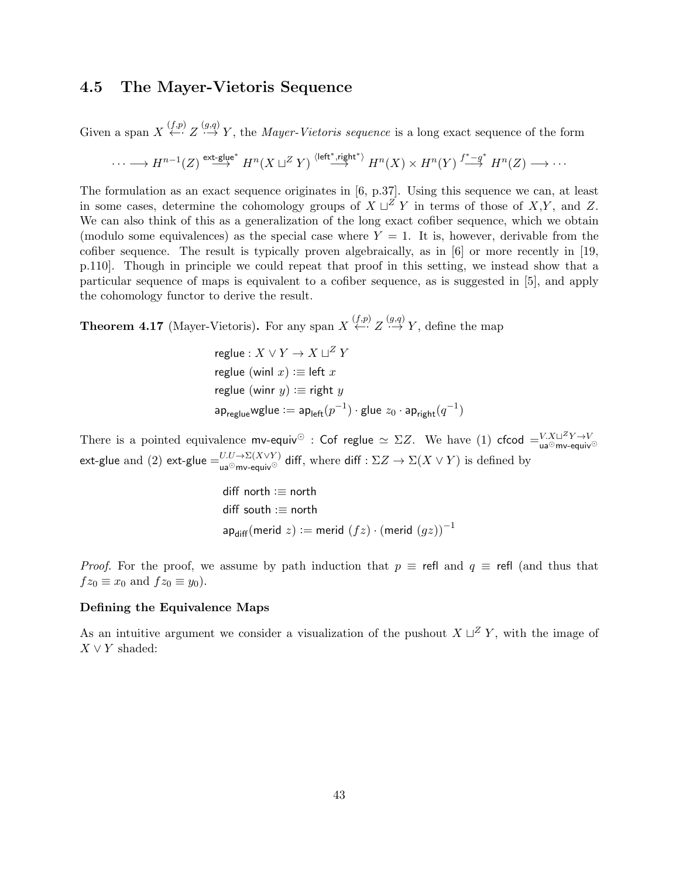### 4.5 The Mayer-Vietoris Sequence

Given a span  $X \stackrel{(f,p)}{\longleftrightarrow} Z \stackrel{(g,q)}{\longrightarrow} Y$ , the *Mayer-Vietoris sequence* is a long exact sequence of the form

$$
\cdots \longrightarrow H^{n-1}(Z) \stackrel{\text{ext-glue*}}{\longrightarrow} H^n(X \sqcup^Z Y) \stackrel{\langle \text{left*}, \text{right*}}{\longrightarrow} H^n(X) \times H^n(Y) \stackrel{f^*-g^*}{\longrightarrow} H^n(Z) \longrightarrow \cdots
$$

The formulation as an exact sequence originates in [6, p.37]. Using this sequence we can, at least in some cases, determine the cohomology groups of  $X \sqcup Z Y$  in terms of those of X,Y, and Z. We can also think of this as a generalization of the long exact cofiber sequence, which we obtain (modulo some equivalences) as the special case where  $Y = 1$ . It is, however, derivable from the cofiber sequence. The result is typically proven algebraically, as in [6] or more recently in [19, p.110]. Though in principle we could repeat that proof in this setting, we instead show that a particular sequence of maps is equivalent to a cofiber sequence, as is suggested in [5], and apply the cohomology functor to derive the result.

**Theorem 4.17** (Mayer-Vietoris). For any span  $X \stackrel{(f,p)}{\leftarrow} Z \stackrel{(g,q)}{\rightarrow} Y$ , define the map

$$
\begin{aligned}\n\text{reglue}: X \lor Y &\to X \sqcup^Z Y \\
\text{reglue (winl } x) &\coloneqq \text{left } x \\
\text{reglue (winr } y) &\coloneqq \text{right } y \\
\text{ap}_{\text{reglue}} \text{wglue} &\coloneqq \text{ap}_{\text{left}}(p^{-1}) \cdot \text{glue } z_0 \cdot \text{ap}_{\text{right}}(q^{-1})\n\end{aligned}
$$

There is a pointed equivalence mv-equiv<sup>⊙</sup> : Cof reglue  $\simeq \Sigma Z$ . We have (1) cfcod  $=$   $\frac{V.X\sqcup^{Z}Y\rightarrow V}{u^2}$ ext-glue and (2) ext-glue  $=$   $_{\sf ua^{\odot}mv\text{-}equiv}^{U.U\to\Sigma(X\vee Y)}$  diff, where diff :  $\Sigma Z\to\Sigma(X\vee Y)$  is defined by

$$
\begin{aligned}\n\text{diff north} &:= \text{north} \\
\text{diff south} &:= \text{north} \\
\text{ap}_{\text{diff}}(\text{merid } z) &:= \text{merid } (fz) \cdot (\text{merid } (gz))^{-1}\n\end{aligned}
$$

*Proof.* For the proof, we assume by path induction that  $p \equiv$  refl and  $q \equiv$  refl (and thus that  $fz_0 \equiv x_0$  and  $fz_0 \equiv y_0$ ).

#### Defining the Equivalence Maps

As an intuitive argument we consider a visualization of the pushout  $X \sqcup Z Y$ , with the image of  $X \vee Y$  shaded: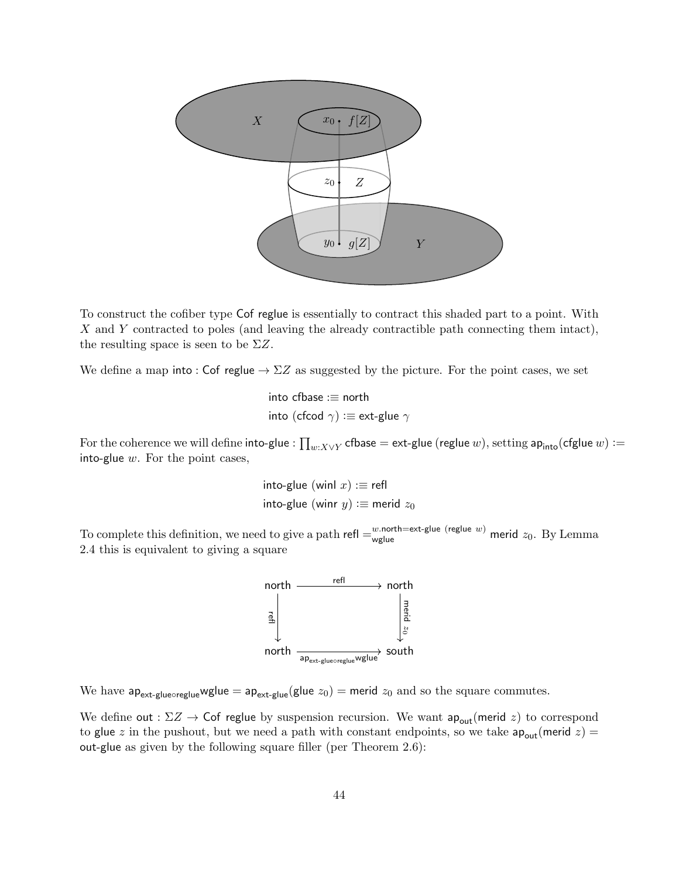

To construct the cofiber type Cof reglue is essentially to contract this shaded part to a point. With X and Y contracted to poles (and leaving the already contractible path connecting them intact), the resulting space is seen to be  $\Sigma Z$ .

We define a map into : Cof reglue  $\rightarrow \Sigma Z$  as suggested by the picture. For the point cases, we set

into cfbase :≡ north into (cfcod  $\gamma$ ) : $\equiv$  ext-glue  $\gamma$ 

For the coherence we will define  ${\sf into}\text{-}\mathsf{glue}:\prod_{w:X\vee Y}$   ${\sf cfbase}={\sf ext}\text{-}\mathsf{glue}$   $(w),$   ${\sf setting}\ {\sf ap}_{\sf into}({\sf cfglue}\ w):=$ into-glue  $w$ . For the point cases,

> into-glue (winl  $x$ ) : $\equiv$  refl into-glue (winr  $y$ ) : $\equiv$  merid  $z_0$

To complete this definition, we need to give a path refl  $=$ w.north=ext-glue (reglue w) merid  $z_0$ . By Lemma 2.4 this is equivalent to giving a square



We have  $ap_{ext-glueoreglue}$ wglue =  $ap_{ext-glue}(glue z_0)$  = merid  $z_0$  and so the square commutes.

We define out :  $\Sigma Z \rightarrow$  Cof reglue by suspension recursion. We want  $ap_{out}$ (merid z) to correspond to glue z in the pushout, but we need a path with constant endpoints, so we take  $ap_{out}($ merid z) = out-glue as given by the following square filler (per Theorem 2.6):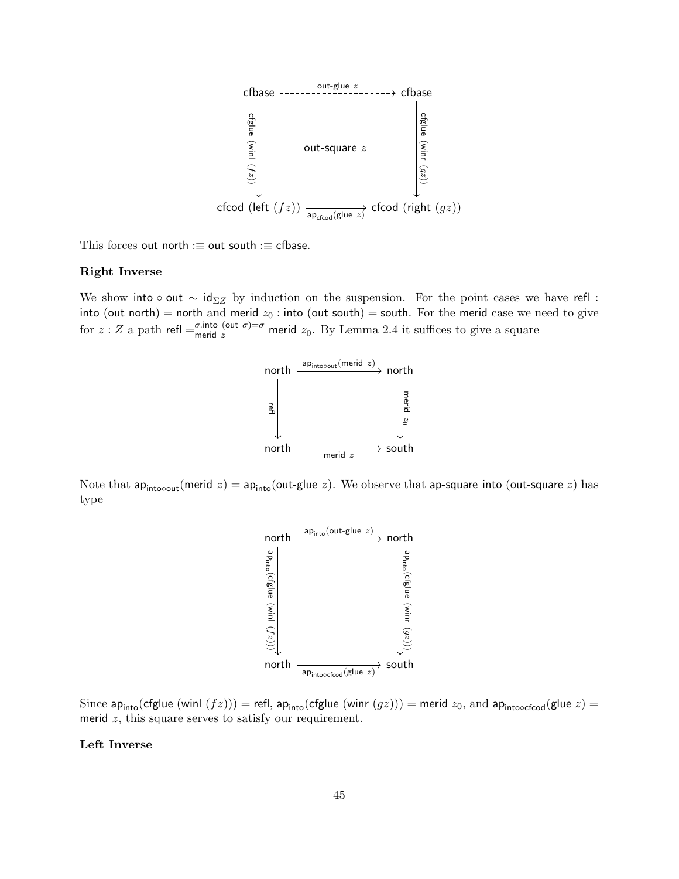

This forces out north  $:=$  out south  $:=$  cfbase.

#### Right Inverse

We show into ∘ out  $\sim$  id<sub> $\Sigma Z$ </sub> by induction on the suspension. For the point cases we have refl : into (out north) = north and merid  $z_0$ : into (out south) = south. For the merid case we need to give for  $z: Z$  a path refl  $=\frac{\sigma \cdot \text{into}}{\text{merid } z}$  merid  $z_0$ . By Lemma 2.4 it suffices to give a square



Note that ap<sub>into</sub><sub>out</sub>(merid z) = ap<sub>into</sub>(out-glue z). We observe that ap-square into (out-square z) has type



Since ap<sub>into</sub>(cfglue (winl  $(fz))$ ) = refl, ap<sub>into</sub>(cfglue (winr  $(gz))$ ) = merid  $z_0$ , and ap<sub>into</sub><sub>cfcod</sub>(glue  $z$ ) = merid  $z$ , this square serves to satisfy our requirement.

### Left Inverse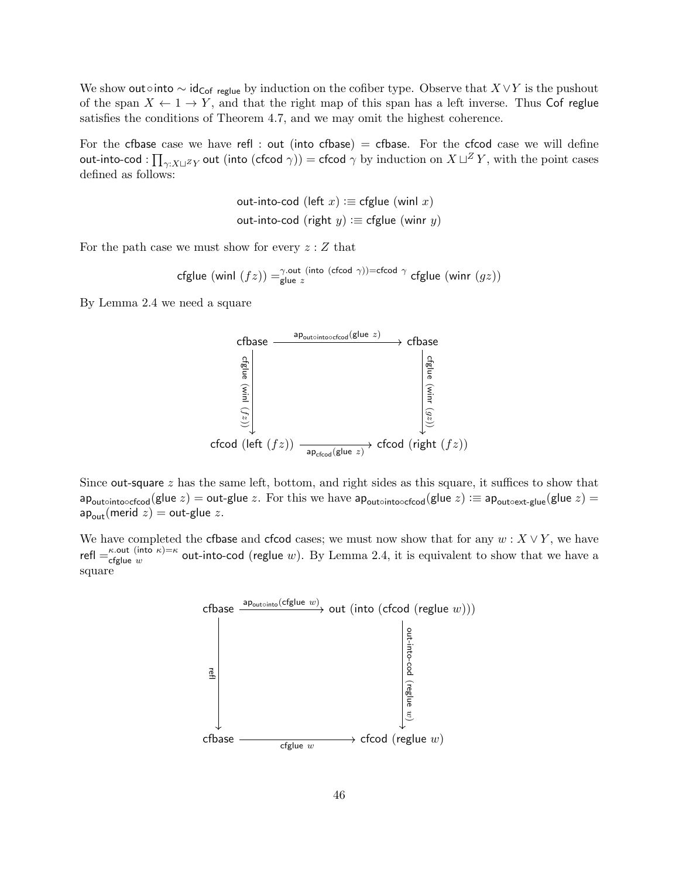We show out∘into  $\sim$  id<sub>Cof reglue</sub> by induction on the cofiber type. Observe that  $X \vee Y$  is the pushout of the span  $X \leftarrow 1 \rightarrow Y$ , and that the right map of this span has a left inverse. Thus Cof reglue satisfies the conditions of Theorem 4.7, and we may omit the highest coherence.

For the cfbase case we have refl : out (into cfbase) = cfbase. For the cfcod case we will define out-into-cod :  $\prod_{\gamma:X\sqcup^Z Y}$  out (into (cfcod  $\gamma$ )) = cfcod  $\gamma$  by induction on  $X\sqcup^Z Y,$  with the point cases defined as follows:

$$
out\text{-}into\text{-}cod (left x) := \text{cfglue (winl } x)
$$
\n
$$
out\text{-}into\text{-}cod (right y) := \text{cfglue (winr } y)
$$

For the path case we must show for every  $z:Z$  that

$$
\text{cfglue (winl } (fz)) =^{\gamma.\text{out (into (cfcod }\gamma)) = \text{cfcod }\gamma} \text{cfglue (winr } (gz))
$$

By Lemma 2.4 we need a square



Since out-square  $z$  has the same left, bottom, and right sides as this square, it suffices to show that ap<sub>out</sub> $\circ$ into $\circ$ cfcod(glue z) = out-glue z. For this we have ap<sub>out</sub> $\circ$ into $\circ$ cfcod(glue z) : = ap<sub>out</sub> $\circ$ ext-glue(glue z) =  $ap_{\text{out}}(\text{merid } z) = \text{out-glue } z.$ 

We have completed the cfbase and cfcod cases; we must now show that for any  $w : X \vee Y$ , we have refl  $=$   $\kappa$ -out (into  $\kappa$ ) $=$  $\kappa$  $\epsilon$  change time  $\epsilon$  is equivalent to show that we have a define w out-into-cod (reglue w). By Lemma 2.4, it is equivalent to show that we have a square

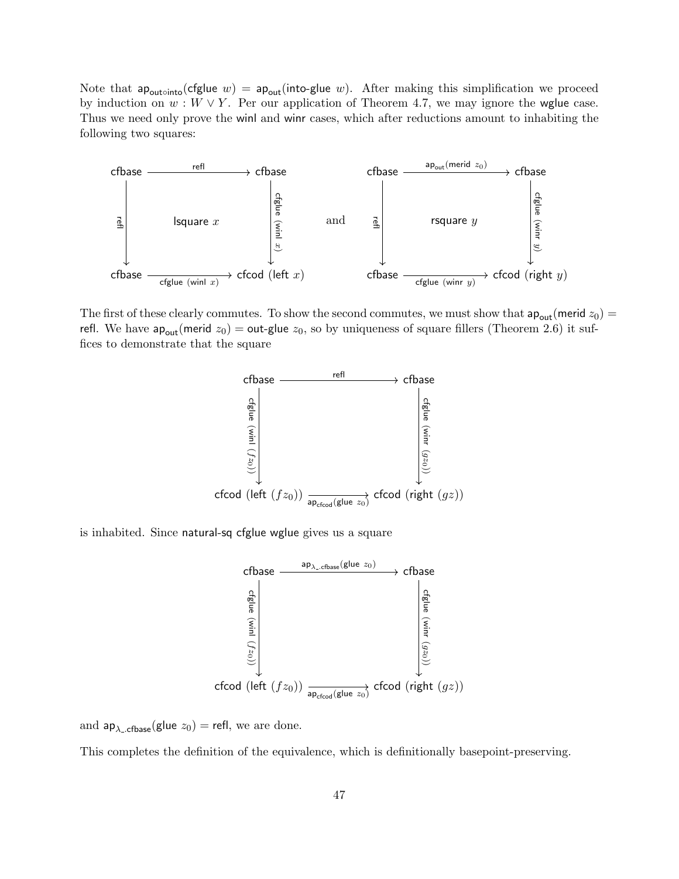Note that ap<sub>outointo</sub>(cfglue w) =  $ap_{out}(into-glue w)$ . After making this simplification we proceed by induction on  $w : W \vee Y$ . Per our application of Theorem 4.7, we may ignore the wglue case. Thus we need only prove the winl and winr cases, which after reductions amount to inhabiting the following two squares:



The first of these clearly commutes. To show the second commutes, we must show that  $ap_{out}($ merid  $z_0$ ) = refl. We have  $ap_{out}($ merid  $z_0) =$  out-glue  $z_0$ , so by uniqueness of square fillers (Theorem 2.6) it suffices to demonstrate that the square



is inhabited. Since natural-sq cfglue wglue gives us a square



and  $ap_{\lambda_c,cfbase}(glue z_0) = refl$ , we are done.

This completes the definition of the equivalence, which is definitionally basepoint-preserving.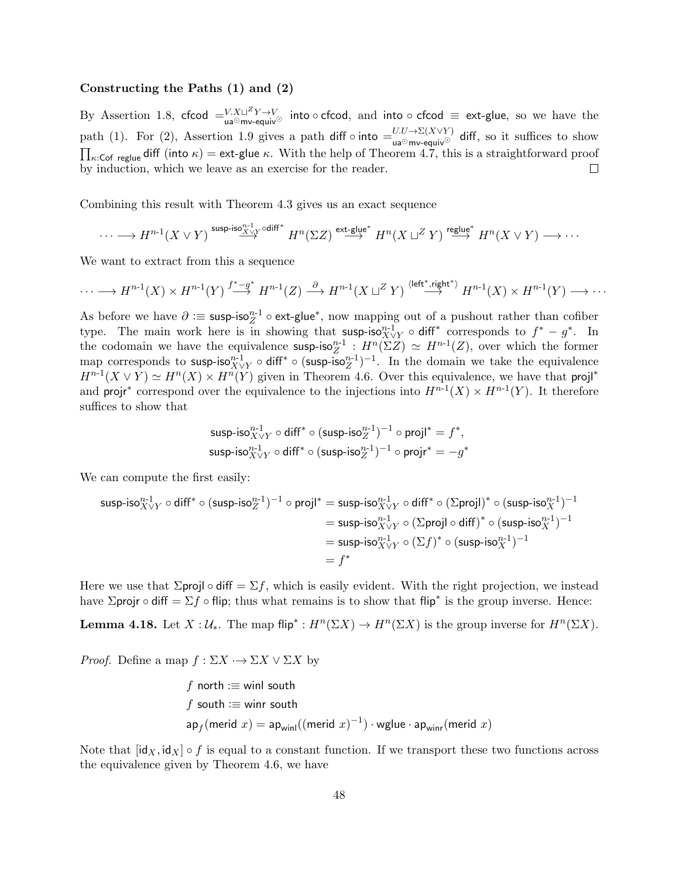#### Constructing the Paths (1) and (2)

By Assertion 1.8, cfcod  $=$   $\frac{V \cdot X \cup^Z Y \rightarrow V}{\text{mod} \, \text{mod} \, \text{mod}}$  and into  $\circ$  cfcod  $\equiv$  ext-glue, so we have the path (1). For (2), Assertion 1.9 gives a path diff  $\circ$  into  $=$   $\frac{U(U\rightarrow \Sigma(X\vee Y))}{\text{diag}(X\vee Y)}$  diff, so it suffices to show  $\prod_{\kappa:\mathsf{Cof}\text{ regime}}$  diff (into  $\kappa$ ) = ext-glue  $\kappa$ . With the help of Theorem 4.7, this is a straightforward proof by induction, which we leave as an exercise for the reader.  $\Box$ 

Combining this result with Theorem 4.3 gives us an exact sequence

$$
\cdots \longrightarrow H^{n-1}(X \vee Y) \stackrel{\text{susp-iso}_{X \vee Y}^{n-1} \circ \text{diff*}}{\longrightarrow} H^n(\Sigma Z) \stackrel{\text{ext-glue*}}{\longrightarrow} H^n(X \sqcup^Z Y) \stackrel{\text{reglue*}}{\longrightarrow} H^n(X \vee Y) \longrightarrow \cdots
$$

We want to extract from this a sequence

$$
\cdots \longrightarrow H^{n-1}(X) \times H^{n-1}(Y) \stackrel{f^*-g^*}{\longrightarrow} H^{n-1}(Z) \stackrel{\partial}{\longrightarrow} H^{n-1}(X \sqcup^Z Y) \stackrel{\langle \text{left}^*, \text{right}^*}{\longrightarrow} H^{n-1}(X) \times H^{n-1}(Y) \longrightarrow \cdots
$$

As before we have  $\partial := \textsf{sup-iso}_Z^{n-1} \circ \textsf{ext-glue}^*$ , now mapping out of a pushout rather than cofiber As before we have  $\sigma = \text{sup-iso}_Z$   $\sigma$  ext-glue, now mapping out of a pushout rather than confidently type. The main work here is in showing that susp-iso ${}^{n-1}_{X\vee Y} \circ$  diff<sup>\*</sup> corresponds to  $f^* - g^*$ . In the codomain we have the equivalence  $\textsf{sup-iso}_Z^{n-1}$ :  $H^n(\Sigma Z) \simeq H^{n-1}(Z)$ , over which the former map corresponds to susp-iso ${}^{n-1}_{X\vee Y}$   $\circ$  diff<sup>\*</sup>  $\circ$  (susp-iso ${}^{n-1}_{Z}$ )<sup>-1</sup>. In the domain we take the equivalence  $H^{n-1}(X \vee Y) \simeq H^n(X) \times H^n(Y)$  given in Theorem 4.6. Over this equivalence, we have that proj<sup>\*</sup> and projr<sup>∗</sup> correspond over the equivalence to the injections into  $H^{n-1}(X) \times H^{n-1}(Y)$ . It therefore suffices to show that

$$
\begin{aligned} &\text{susp-iso}_{X\vee Y}^{n-1}\circ \text{diff}^*\circ (\text{susp-iso}_Z^{n-1})^{-1}\circ \text{projl}^*=f^*,\\ &\text{susp-iso}_{X\vee Y}^{n-1}\circ \text{diff}^*\circ (\text{susp-iso}_Z^{n-1})^{-1}\circ \text{projr}^*=-g^* \end{aligned}
$$

We can compute the first easily:

$$
\begin{aligned} \text{susp-is} & \alpha_{X \vee Y}^{n-1} \circ \text{diff}^* \circ (\text{susp-is} \alpha_Z^{n-1})^{-1} \circ \text{projl}^* = \text{susp-is} \alpha_{X \vee Y}^{n-1} \circ \text{diff}^* \circ (\Sigma \text{projl})^* \circ (\text{susp-is} \alpha_X^{n-1})^{-1} \\ &= \text{susp-is} \alpha_{X \vee Y}^{n-1} \circ (\Sigma \text{projl} \circ \text{diff})^* \circ (\text{susp-is} \alpha_X^{n-1})^{-1} \\ &= \text{susp-is} \alpha_{X \vee Y}^{n-1} \circ (\Sigma f)^* \circ (\text{susp-is} \alpha_X^{n-1})^{-1} \\ &= f^* \end{aligned}
$$

Here we use that  $\Sigma$ projl  $\circ$  diff =  $\Sigma f$ , which is easily evident. With the right projection, we instead have  $\Sigma$ projr ∘ diff =  $\Sigma f$  ∘ flip; thus what remains is to show that flip<sup>\*</sup> is the group inverse. Hence:

**Lemma 4.18.** Let  $X: \mathcal{U}_*$ . The map flip<sup>\*</sup> :  $H^n(\Sigma X) \to H^n(\Sigma X)$  is the group inverse for  $H^n(\Sigma X)$ .

*Proof.* Define a map  $f : \Sigma X \longrightarrow \Sigma X \vee \Sigma X$  by

$$
f \text{ north} := \text{winl south}
$$
\n
$$
f \text{ south} := \text{winr south}
$$
\n
$$
\text{ap}_f(\text{merid } x) = \text{ap}_{\text{winl}}((\text{merid } x)^{-1}) \cdot \text{wglue} \cdot \text{ap}_{\text{winr}}(\text{merid } x)
$$

Note that  $[\mathsf{id}_X, \mathsf{id}_X] \circ f$  is equal to a constant function. If we transport these two functions across the equivalence given by Theorem 4.6, we have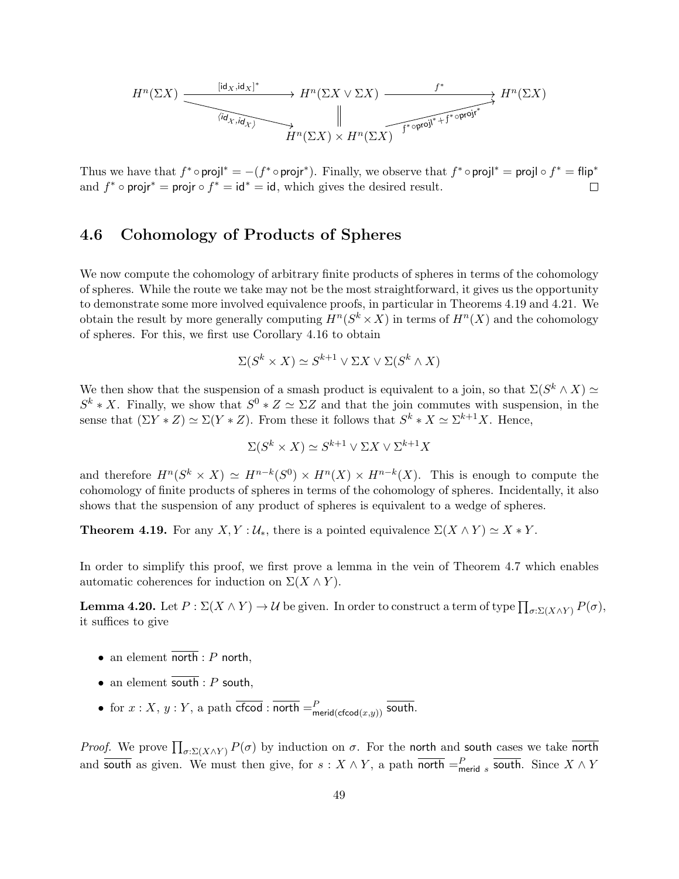$$
H^{n}(\Sigma X) \xrightarrow{\text{[id}_{X},\text{id}_{X}]^{*}} H^{n}(\Sigma X \vee \Sigma X) \xrightarrow{f^{*}} H^{n}(\Sigma X)
$$
  
\n
$$
\xrightarrow{\text{[id}_{X},\text{id}_{X}]^{*}} H^{n}(\Sigma X) \vee H^{n}(\Sigma X) \xrightarrow{f^{*} \circ \text{proj}^{*}+f^{*} \circ \text{proj}^{*}} H^{n}(\Sigma X)
$$

Thus we have that  $f^* \circ \text{proj}^* = -(f^* \circ \text{proj}^*)$ . Finally, we observe that  $f^* \circ \text{proj}^* = \text{proj} \circ f^* = \text{flip}^*$ and  $f^* \circ \text{proj}r^* = \text{proj}r \circ f^* = id^* = id$ , which gives the desired result.  $\Box$ 

## 4.6 Cohomology of Products of Spheres

We now compute the cohomology of arbitrary finite products of spheres in terms of the cohomology of spheres. While the route we take may not be the most straightforward, it gives us the opportunity to demonstrate some more involved equivalence proofs, in particular in Theorems 4.19 and 4.21. We obtain the result by more generally computing  $H^n(S^k \times X)$  in terms of  $H^n(X)$  and the cohomology of spheres. For this, we first use Corollary 4.16 to obtain

$$
\Sigma(S^k \times X) \simeq S^{k+1} \vee \Sigma X \vee \Sigma(S^k \wedge X)
$$

We then show that the suspension of a smash product is equivalent to a join, so that  $\Sigma(S^k \wedge X) \simeq$  $S^k * X$ . Finally, we show that  $S^0 * Z \simeq \Sigma Z$  and that the join commutes with suspension, in the sense that  $(\Sigma Y * Z) \simeq \Sigma (Y * Z)$ . From these it follows that  $S^k * X \simeq \Sigma^{k+1} X$ . Hence,

$$
\Sigma(S^k \times X) \simeq S^{k+1} \vee \Sigma X \vee \Sigma^{k+1} X
$$

and therefore  $H^n(S^k \times X) \simeq H^{n-k}(S^0) \times H^n(X) \times H^{n-k}(X)$ . This is enough to compute the cohomology of finite products of spheres in terms of the cohomology of spheres. Incidentally, it also shows that the suspension of any product of spheres is equivalent to a wedge of spheres.

**Theorem 4.19.** For any  $X, Y : U_*$ , there is a pointed equivalence  $\Sigma(X \wedge Y) \simeq X * Y$ .

In order to simplify this proof, we first prove a lemma in the vein of Theorem 4.7 which enables automatic coherences for induction on  $\Sigma(X \wedge Y)$ .

**Lemma 4.20.** Let  $P : \Sigma(X \wedge Y) \to \mathcal{U}$  be given. In order to construct a term of type  $\prod_{\sigma: \Sigma(X \wedge Y)} P(\sigma)$ , it suffices to give

- an element north :  $P$  north,
- an element south :  $P$  south,
- for  $x: X, y: Y$ , a path  $\overline{\textsf{cfcod}} : \overline{\textsf{north}} = P$ <sub>merid( $\textsf{cfcod}(x,y)$ )</sub> south.

*Proof.* We prove  $\prod_{\sigma: \Sigma(X \wedge Y)} P(\sigma)$  by induction on  $\sigma$ . For the north and south cases we take north and south as given. We must then give, for  $s: X \wedge Y$ , a path  $\overline{\text{north}} =_{\text{merid } s}^P \overline{\text{south}}$ . Since  $X \wedge Y$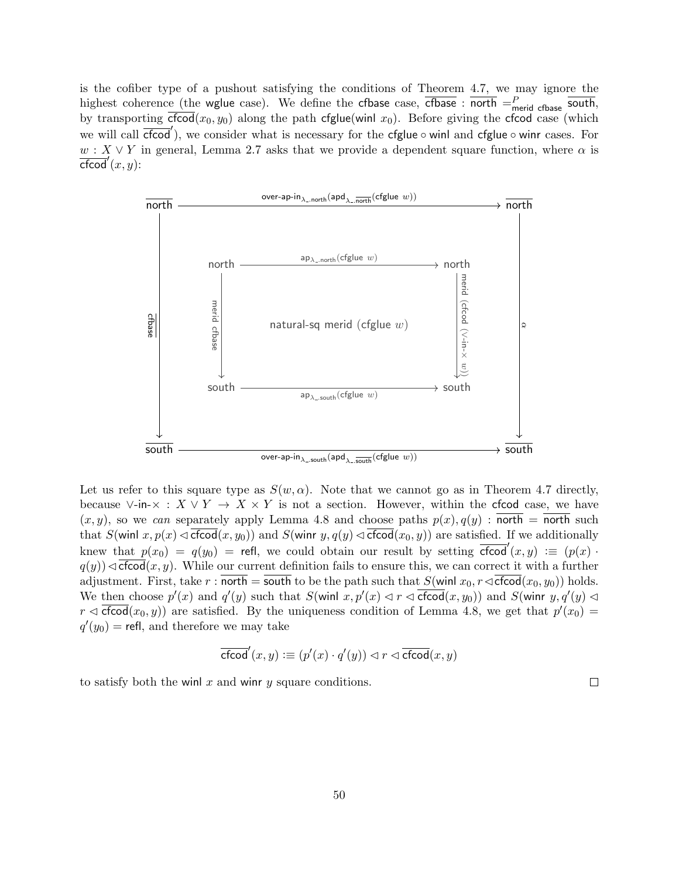is the cofiber type of a pushout satisfying the conditions of Theorem 4.7, we may ignore the highest coherence (the wglue case). We define the cfbase case,  $\overline{\text{cfbase}}$  :  $\overline{\text{north}} = \frac{P}{\text{merid}}$   $\overline{\text{cphase}}$  south, by transporting  $\overline{c}$  for  $(x_0, y_0)$  along the path cfglue(winl  $x_0$ ). Before giving the cfcod case (which we will call  $\overline{c$  food'), we consider what is necessary for the cfglue  $\circ$  winl and cfglue  $\circ$  winr cases. For  $w: X \vee Y$  in general, Lemma 2.7 asks that we provide a dependent square function, where  $\alpha$  is  $\overline{\textsf{cfood}}'(x,y)$ :



Let us refer to this square type as  $S(w, \alpha)$ . Note that we cannot go as in Theorem 4.7 directly, because ∨-in- $\times : X \vee Y \to X \times Y$  is not a section. However, within the cfcod case, we have  $(x, y)$ , so we can separately apply Lemma 4.8 and choose paths  $p(x), q(y)$ : north = north such that  $S(\text{winl } x, p(x) \triangleleft \overline{\text{cfood}}(x, y_0))$  and  $S(\text{winr } y, q(y) \triangleleft \overline{\text{cfood}}(x_0, y))$  are satisfied. If we additionally knew that  $p(x_0) = q(y_0) = \text{refl}$ , we could obtain our result by setting  $\overline{\text{cfcod}}'(x, y) := (p(x))$ .  $q(y)$ ) $\triangleleft \frac{c\cdot f(\cos(x, y))}{f(\cos(x, y))}$ . While our current definition fails to ensure this, we can correct it with a further adjustment. First, take r:  $\overline{\text{north}} = \overline{\text{south}}$  to be the path such that  $S(\text{winl } x_0, r \triangleleft \overline{\text{cfeed}}(x_0, y_0))$  holds. We then choose  $p'(x)$  and  $q'(y)$  such that  $S(\text{winl } x, p'(x) \le r \le \text{cfcod}(x, y_0))$  and  $S(\text{winr } y, q'(y) \le$  $r \triangleleft \overline{\text{cfcod}}(x_0, y)$  are satisfied. By the uniqueness condition of Lemma 4.8, we get that  $p'(x_0) =$  $q'(y_0) =$  refl, and therefore we may take

$$
\overline{\mathsf{cfcod}}'(x,y) : \equiv (p'(x) \cdot q'(y)) \lhd r \lhd \overline{\mathsf{cfcod}}(x,y)
$$

to satisfy both the winl x and winr y square conditions.

 $\Box$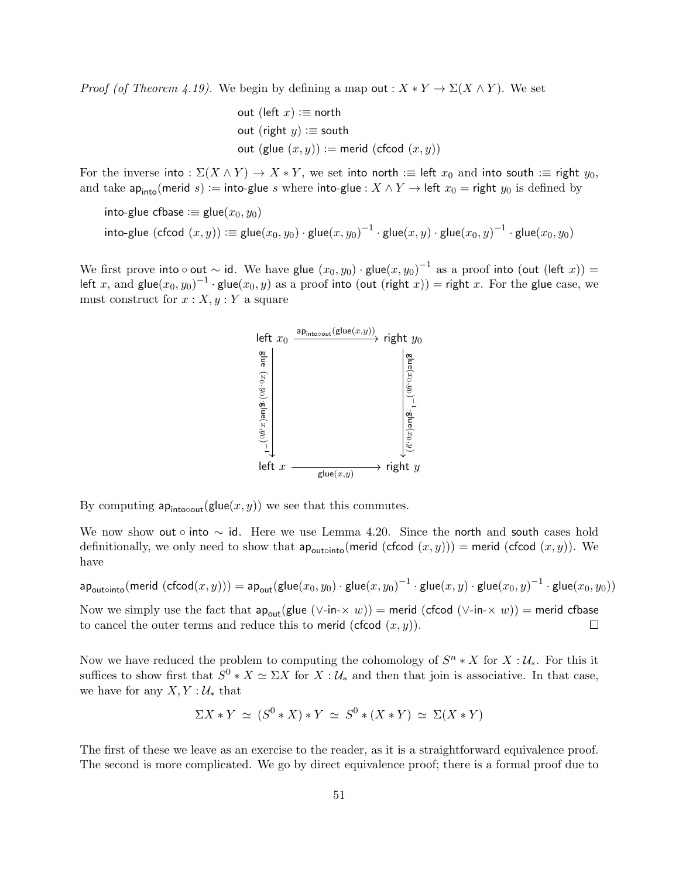*Proof (of Theorem 4.19).* We begin by defining a map out :  $X * Y \to \Sigma(X \wedge Y)$ . We set

out (left x) := north

\nout (right y) := south

\nout (glue 
$$
(x, y)
$$
) := merid (cfood  $(x, y)$ )

For the inverse into :  $\Sigma(X \wedge Y) \to X * Y$ , we set into north :  $\equiv$  left  $x_0$  and into south :  $\equiv$  right  $y_0$ , and take ap<sub>into</sub>(merid s) := into-glue s where into-glue :  $X \wedge Y \rightarrow$  left  $x_0 =$  right  $y_0$  is defined by

into-glue cfbase  $:=$  glue $(x_0, y_0)$ 

$$
\mathsf{into}\text{-}\mathsf{glue}\;(\mathsf{cfcod}\;(x,y))\mathrel{\mathop:}= \mathsf{glue}(x_0,y_0)\cdot \mathsf{glue}(x,y_0)^{-1}\cdot \mathsf{glue}(x,y)\cdot \mathsf{glue}(x_0,y)^{-1}\cdot \mathsf{glue}(x_0,y_0)
$$

We first prove into  $\circ$  out  $\sim$  id. We have glue  $(x_0,y_0)\cdot$  glue $(x,y_0)^{-1}$  as a proof into (out (left  $x))=0$ left  $x,$  and  $\mathsf{glue}(x_0, y_0)^{-1}\cdot \mathsf{glue}(x_0, y)$  as a proof into (out (right  $x)$ ) = right  $x.$  For the glue case, we must construct for  $x : X, y : Y$  a square



By computing  $ap_{intocout}(glue(x, y))$  we see that this commutes.

We now show out ∘ into  $\sim$  id. Here we use Lemma 4.20. Since the north and south cases hold definitionally, we only need to show that  $ap_{\text{outoint}}(\text{merid}(c\text{fcod}(x,y))) = \text{merid}(c\text{fcod}(x,y))$ . We have

 $\mathsf{ap}_\mathsf{outointo}(\mathsf{merid}\;(\mathsf{cfcod}(x,y))) = \mathsf{ap}_\mathsf{out}(\mathsf{glue}(x_0,y_0) \cdot \mathsf{glue}(x,y_0)^{-1} \cdot \mathsf{glue}(x,y) \cdot \mathsf{glue}(x_0,y)^{-1} \cdot \mathsf{glue}(x_0,y_0))$ Now we simply use the fact that  $ap_{out}(glue (\vee-in-x w)) = merid (cfcod (\vee-in-x w)) = merid cfbase$  $\Box$ to cancel the outer terms and reduce this to merid (cfcod  $(x, y)$ ).

Now we have reduced the problem to computing the cohomology of  $S<sup>n</sup> * X$  for  $X: U_*$ . For this it suffices to show first that  $S^0 * X \simeq \Sigma X$  for  $X : U_*$  and then that join is associative. In that case, we have for any  $X, Y : \mathcal{U}_{*}$  that

$$
\Sigma X * Y \simeq (S^0 * X) * Y \simeq S^0 * (X * Y) \simeq \Sigma (X * Y)
$$

The first of these we leave as an exercise to the reader, as it is a straightforward equivalence proof. The second is more complicated. We go by direct equivalence proof; there is a formal proof due to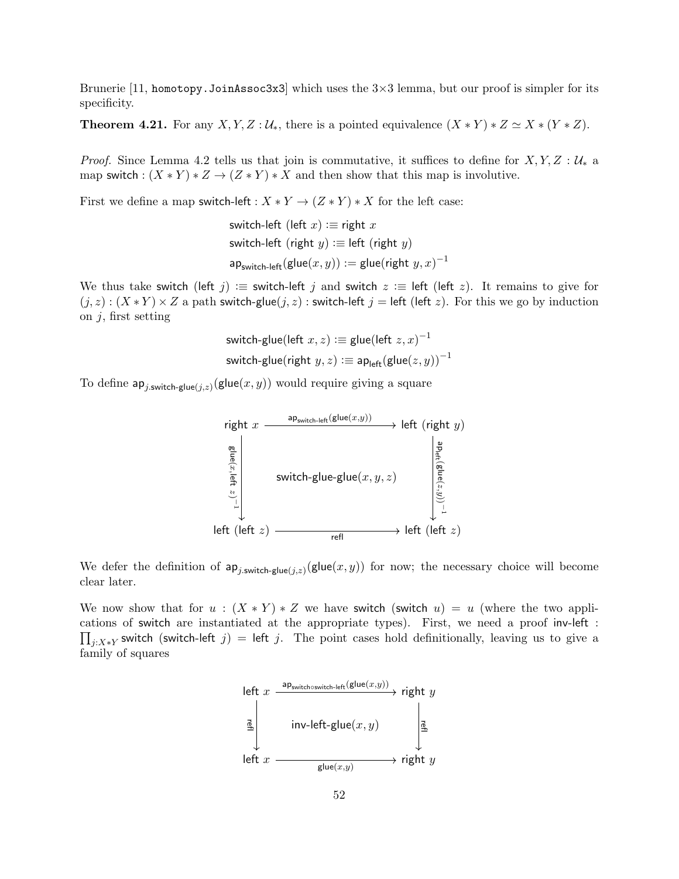Brunerie [11, homotopy. JoinAssoc3x3] which uses the  $3\times3$  lemma, but our proof is simpler for its specificity.

**Theorem 4.21.** For any  $X, Y, Z : U_*,$  there is a pointed equivalence  $(X * Y) * Z \simeq X * (Y * Z)$ .

*Proof.* Since Lemma 4.2 tells us that join is commutative, it suffices to define for  $X, Y, Z : U_*$  a map switch :  $(X * Y) * Z \to (Z * Y) * X$  and then show that this map is involutive.

First we define a map switch-left :  $X * Y \to (Z * Y) * X$  for the left case:

$$
\begin{aligned}\n\text{switch-left (left } x) &:= \text{right } x \\
\text{switch-left (right } y) &:= \text{left (right } y) \\
\text{ap}_{\text{switch-left}}(\text{glue}(x, y)) &:= \text{glue}(\text{right } y, x)^{-1}\n\end{aligned}
$$

We thus take switch (left j) : $\equiv$  switch-left j and switch  $z \equiv$  left (left z). It remains to give for  $(j, z) : (X * Y) \times Z$  a path switch-glue $(j, z)$ : switch-left  $j =$  left (left z). For this we go by induction on  $j$ , first setting

$$
\begin{aligned} \text{switch-glue}(\text{left }x,z):&\equiv \text{glue}(\text{left }z,x)^{-1} \\ \text{switch-glue}(\text{right }y,z):&\equiv \text{ap}_{\text{left}}(\text{glue}(z,y))^{-1} \end{aligned}
$$

To define  $\mathsf{ap}_{j.\mathsf{switch}\text{-}\mathsf{glue}(j,z)}(\mathsf{glue}(x,y))$  would require giving a square



We defer the definition of  $ap_{j,\text{switch-glue}(j,z)}(\text{glue}(x,y))$  for now; the necessary choice will become clear later.

We now show that for  $u : (X * Y) * Z$  we have switch (switch  $u) = u$  (where the two applications of switch are instantiated at the appropriate types). First, we need a proof inv-left :  $\prod_{j:X*Y}$  switch (switch-left j) = left j. The point cases hold definitionally, leaving us to give a family of squares

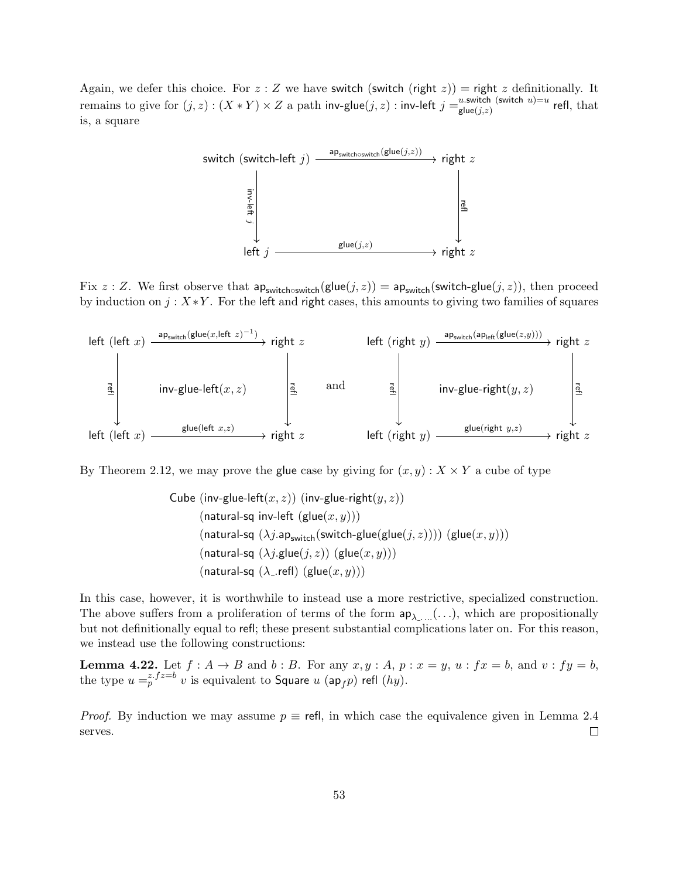Again, we defer this choice. For  $z : Z$  we have switch (switch (right  $z$ )) = right  $z$  definitionally. It remains to give for  $(j, z) : (X * Y) \times Z$  a path inv-glue $(j, z) :$  inv-left  $j = u$  switch (switch  $u$ )=u glue(*j*,z) which  $u$ )=u refl, that is, a square



Fix z : Z. We first observe that  $ap_{switch \text{switch}}(glue(j, z)) = ap_{switch}(switch\text{switch-glue}(j, z))$ , then proceed by induction on  $j: X \times Y$ . For the left and right cases, this amounts to giving two families of squares



By Theorem 2.12, we may prove the glue case by giving for  $(x, y) : X \times Y$  a cube of type

Cube (inv-glue-left
$$
(x, z)
$$
) (inv-glue-right $(y, z)$ ) (natural-sq inv-left (glue $(x, y)$ )) (natural-sq (λj.ap<sub>switch</sub>(switch-glue(glue(j, z)))) (glue $(x, y)$ )) (natural-sq (λj.glue(j, z)) (glue $(x, y)$ )) (natural-sq (λ<sub>-</sub>.refl) (glue $(x, y)$ )))

In this case, however, it is worthwhile to instead use a more restrictive, specialized construction. The above suffers from a proliferation of terms of the form  $ap_{\lambda_1,\ldots}(\ldots)$ , which are propositionally but not definitionally equal to refl; these present substantial complications later on. For this reason, we instead use the following constructions:

**Lemma 4.22.** Let  $f : A \rightarrow B$  and  $b : B$ . For any  $x, y : A, p : x = y, u : fx = b$ , and  $v : fy = b$ , the type  $u =_{p}^{z.fz=b} v$  is equivalent to Square  $u$  (ap<sub>f</sub>p) refl (hy).

*Proof.* By induction we may assume  $p \equiv$  refl, in which case the equivalence given in Lemma 2.4 serves.  $\Box$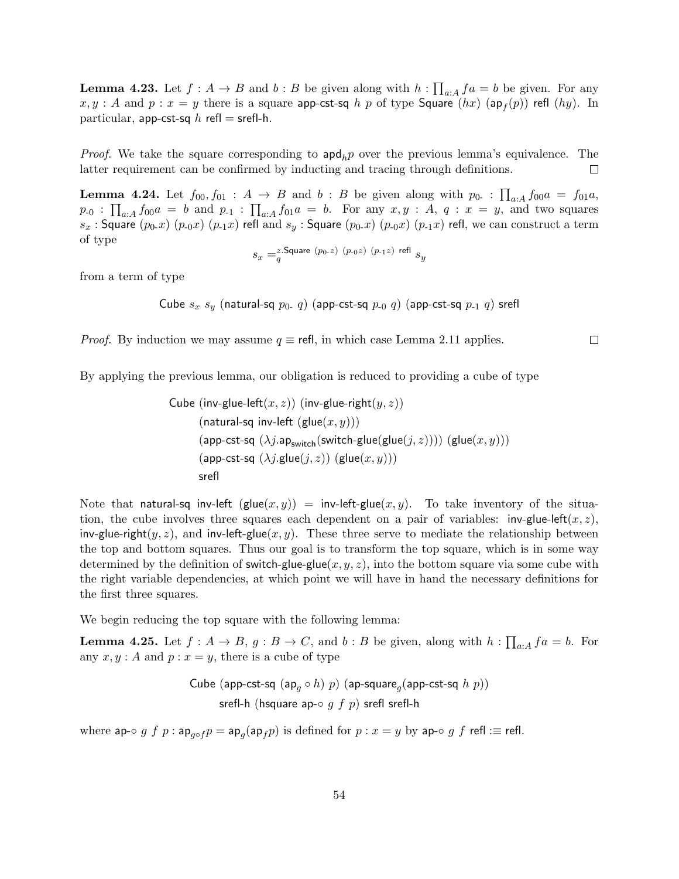**Lemma 4.23.** Let  $f : A \to B$  and  $b : B$  be given along with  $h : \prod_{a : A} f_a = b$  be given. For any  $x,y:A$  and  $p:x=y$  there is a square <code>app-cst-sq</code>  $h$   $p$  of type <code>Square</code>  $(hx)$   $(\mathsf{ap}_{f}(p))$  refl  $(hy).$  In particular, app-cst-sq  $h$  refl = srefl-h.

*Proof.* We take the square corresponding to  $\text{apd}_h p$  over the previous lemma's equivalence. The latter requirement can be confirmed by inducting and tracing through definitions.  $\Box$ 

**Lemma 4.24.** Let  $f_{00}, f_{01} : A \rightarrow B$  and  $b : B$  be given along with  $p_{0} : \prod_{a:A} f_{00}a = f_{01}a$ ,  $p_{-0}$ :  $\prod_{a:A} f_{00}a = b$  and  $p_{-1}$ :  $\prod_{a:A} f_{01}a = b$ . For any  $x, y : A, q : x = y$ , and two squares  $s_x$ : Square  $(p_0x)(p_0x)(p_1x)$  refl and  $s_y$ : Square  $(p_0x)(p_0x)(p_1x)$  refl, we can construct a term of type

$$
s_x =_q^{z.\mathsf{Square}~(p_{0\text{-}}z)~(p_{\text{-}0}z)~(p_{\text{-}1}z)~\text{refl}~s_y
$$

from a term of type

Cube 
$$
s_x
$$
  $s_y$  (natural-sq  $p_0$ . q) (app-cst-sq  $p_0$  q) (app-cst-sq  $p_1$  q) srefl

*Proof.* By induction we may assume  $q \equiv$  refl, in which case Lemma 2.11 applies.

 $\Box$ 

By applying the previous lemma, our obligation is reduced to providing a cube of type

Cube (inv-glue-left
$$
(x, z)
$$
) (inv-glue-right $(y, z)$ ) (natural-sq inv-left (glue $(x, y)$ ))

\n(app-cst-sq  $(\lambda j.\mathsf{ap}_{switch}(\text{switch-glue}(\text{glue}(j,z))))$  (glue $(x, y)$ ))

\n(app-cst-sq  $(\lambda j.\text{glue}(j, z))$  (glue $(x, y)$ ))

\nsrefl

Note that natural-sq inv-left  $(\text{glue}(x, y)) = \text{inv-left-glue}(x, y)$ . To take inventory of the situation, the cube involves three squares each dependent on a pair of variables: inv-glue-left $(x, z)$ , inv-glue-right(y, z), and inv-left-glue(x, y). These three serve to mediate the relationship between the top and bottom squares. Thus our goal is to transform the top square, which is in some way determined by the definition of switch-glue-glue $(x, y, z)$ , into the bottom square via some cube with the right variable dependencies, at which point we will have in hand the necessary definitions for the first three squares.

We begin reducing the top square with the following lemma:

**Lemma 4.25.** Let  $f: A \to B$ ,  $g: B \to C$ , and  $b: B$  be given, along with  $h: \prod_{a:A} fa = b$ . For any  $x, y : A$  and  $p : x = y$ , there is a cube of type

Cube (app-cst-sq (ap<sup>g</sup> ◦ h) p) (ap-square<sup>g</sup> (app-cst-sq h p)) srefl-h (hsquare ap-◦ g f p) srefl srefl-h

where ap-◦ g f p : ap<sub>g∘f</sub>  $p = \mathsf{ap}_g(\mathsf{ap}_f p)$  is defined for  $p : x = y$  by ap-◦ g f refl : $\equiv$  refl.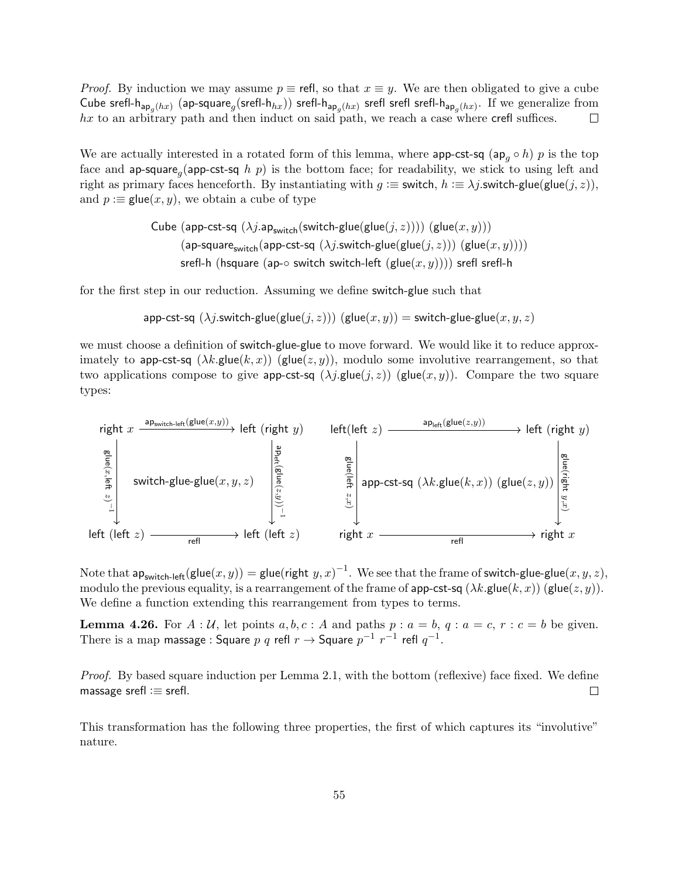*Proof.* By induction we may assume  $p \equiv$  refl, so that  $x \equiv y$ . We are then obligated to give a cube Cube srefl-h $_{\mathsf{ap}_g(hx)}$  (ap-square $_g(\text{srefl-h}_{hx}))$  srefl-h $_{\mathsf{ap}_g(hx)}$  srefl srefl-h $_{\mathsf{ap}_g(hx)}.$  If we generalize from  $hx$  to an arbitrary path and then induct on said path, we reach a case where crefl suffices.  $\Box$ 

We are actually interested in a rotated form of this lemma, where app-cst-sq (ap<sub>q</sub>  $\circ$  h) p is the top face and ap-square<sub>g</sub> (app-cst-sq h p) is the bottom face; for readability, we stick to using left and right as primary faces henceforth. By instantiating with  $g \equiv$  switch,  $h \equiv \lambda j$ . switch-glue(glue(j, z)), and  $p :=$  glue $(x, y)$ , we obtain a cube of type

> Cube (app-cst-sq  $(\lambda j.\text{ap}_{switch}(\text{switch-glue}(glue(j, z))))$  (glue $(x, y))$ ) (ap-square<sub>switch</sub>(app-cst-sq  $(\lambda j$ .switch-glue(glue( $j, z)$ )) (glue $(x, y)$ ))) srefl-h (hsquare (ap-∘ switch switch-left (glue $(x, y)$ ))) srefl srefl-h

for the first step in our reduction. Assuming we define switch-glue such that

app-cst-sq  $(\lambda j$ .switch-glue $(g\text{lie}(j, z)))$   $(g\text{lie}(x, y)) =$  switch-glue-glue $(x, y, z)$ 

we must choose a definition of switch-glue-glue to move forward. We would like it to reduce approximately to app-cst-sq  $(\lambda k.\text{glue}(k, x))$  (glue $(z, y)$ ), modulo some involutive rearrangement, so that two applications compose to give app-cst-sq  $(\lambda j.$ glue $(j, z))$  (glue $(x, y)$ ). Compare the two square types:



Note that  $\mathsf{ap}_{\mathsf{switch-left}}(\mathsf{glue}(x,y)) = \mathsf{glue}(\mathsf{right}\; y,x)^{-1}.$  We see that the frame of switch-glue-glue $(x,y,z),$ modulo the previous equality, is a rearrangement of the frame of app-cst-sq  $(\lambda k.\text{glue}(k, x))$  (glue $(z, y)$ ). We define a function extending this rearrangement from types to terms.

**Lemma 4.26.** For  $A : U$ , let points  $a, b, c : A$  and paths  $p : a = b, q : a = c, r : c = b$  be given. There is a map massage : Square  $p$   $q$  refl  $r \rightarrow$  Square  $p^{-1}$   $r^{-1}$  refl  $q^{-1}.$ 

Proof. By based square induction per Lemma 2.1, with the bottom (reflexive) face fixed. We define massage srefl  $:=$  srefl.  $\Box$ 

This transformation has the following three properties, the first of which captures its "involutive" nature.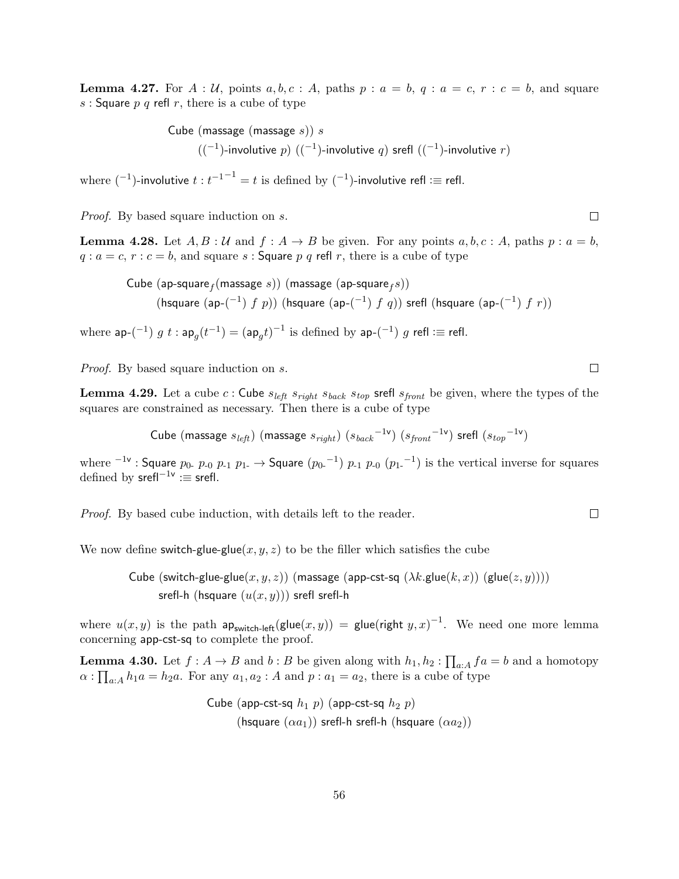**Lemma 4.27.** For  $A : \mathcal{U}$ , points  $a, b, c : A$ , paths  $p : a = b, q : a = c, r : c = b$ , and square s : Square  $p \, q$  refl  $r$ , there is a cube of type

> Cube (massage (massage  $s$ )) s  $((-1)$ -involutive  $p)$   $((-1)$ -involutive  $q)$  srefl  $((-1)$ -involutive  $r)$

where  $(^{-1})$ -involutive  $t : t^{-1^{-1}} = t$  is defined by  $(^{-1})$ -involutive refl :≡ refl.

Proof. By based square induction on s.

**Lemma 4.28.** Let  $A, B : \mathcal{U}$  and  $f : A \rightarrow B$  be given. For any points  $a, b, c : A$ , paths  $p : a = b$ ,  $q : a = c, r : c = b$ , and square s: Square p q refl r, there is a cube of type

 $\mathsf{Cube}\ (\mathsf{ap}\text{-}\mathsf{square}_f(\mathsf{massage}\ s))\ (\mathsf{massage}\ (\mathsf{ap}\text{-}\mathsf{square}_f s))$ (hsquare  $(ap-(^{-1})$   $f$   $p$ )) (hsquare  $(ap-(^{-1})$   $f$   $q$ )) srefl (hsquare  $(ap-(^{-1})$   $f$   $r$ ))

where  $\mathsf{ap}$ - $({}^{-1})$   $g$   $t:$   $\mathsf{ap}_g(t^{-1}) = (\mathsf{ap}_g t)^{-1}$  is defined by  $\mathsf{ap}$ - $({}^{-1})$   $g$  refl : $\equiv$  refl.

Proof. By based square induction on s.

**Lemma 4.29.** Let a cube c: Cube  $s_{left} s_{right} s_{right} s_{top}$  srefl  $s_{front}$  be given, where the types of the squares are constrained as necessary. Then there is a cube of type

Cube (massage  $s_{left}$ ) (massage  $s_{right}$ )  $(s_{back}^{-1}$ v)  $(s_{front}^{-1}$ v) srefl  $(s_{top}^{-1}$ v)

where  $^{-1}$ <sup>v</sup> : Square  $p_0$ .  $p_{\text{-}0}$   $p_{\text{-}1}$   $p_{\text{1}}$   $\rightarrow$  Square  $(p_0\text{-}{}^1)$   $p_{\text{-}1}$   $p_{\text{-}0}$   $(p_1\text{-}{}^1)$  is the vertical inverse for squares defined by  $\mathsf{srefl}^{-1\mathsf{v}}:\equiv \mathsf{srefl}.$ 

Proof. By based cube induction, with details left to the reader.

We now define switch-glue-glue(x, y, z) to be the filler which satisfies the cube

Cube (switch-glue-glue(x, y, z)) (massage (app-cst-sq  $(\lambda k.\text{glue}(k, x))$  (glue(z, y)))) srefl-h (hsquare  $(u(x, y))$ ) srefl srefl-h

where  $u(x, y)$  is the path ap<sub>switch-left</sub>(glue(x, y)) = glue(right  $y, x$ )<sup>-1</sup>. We need one more lemma concerning app-cst-sq to complete the proof.

**Lemma 4.30.** Let  $f : A \to B$  and  $b : B$  be given along with  $h_1, h_2 : \prod_{a : A} f_a = b$  and a homotopy  $\alpha$ :  $\prod_{a:A} h_1 a = h_2 a$ . For any  $a_1, a_2 : A$  and  $p : a_1 = a_2$ , there is a cube of type

> Cube (app-cst-sq  $h_1$  p) (app-cst-sq  $h_2$  p) (hsquare  $(\alpha a_1)$ ) srefl-h srefl-h (hsquare  $(\alpha a_2)$ )

 $\Box$ 

 $\Box$ 

 $\Box$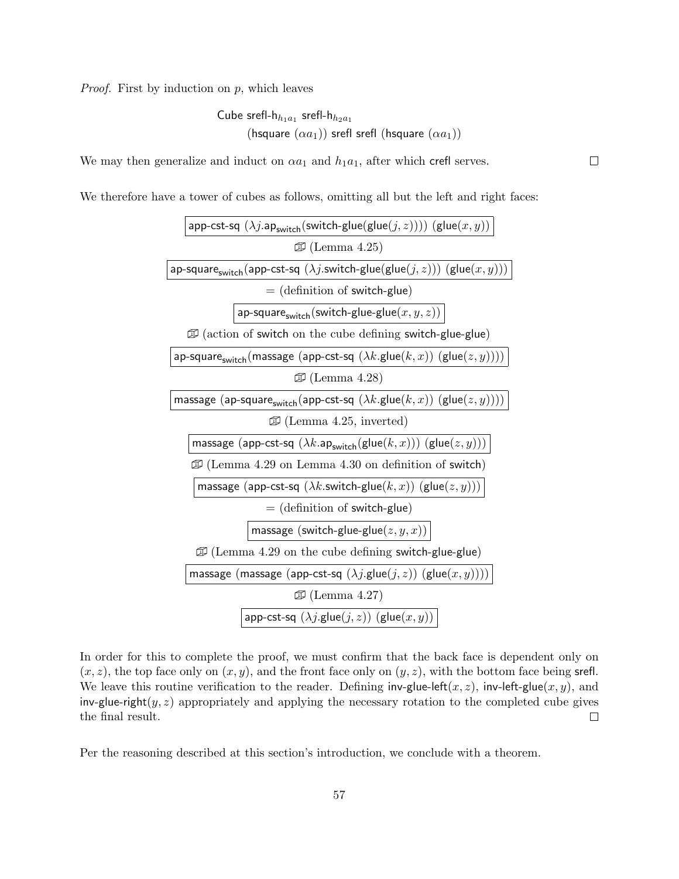*Proof.* First by induction on  $p$ , which leaves

Cube srefl-h<sub>h<sub>1</sub>a<sub>1</sub></sub> srefl-h<sub>h<sub>2</sub>a<sub>1</sub></sub>  
(hsquare (
$$
\alpha a_1
$$
)) srefl srefl (hsquare ( $\alpha a_1$ ))

We may then generalize and induct on  $\alpha a_1$  and  $h_1 a_1$ , after which crefl serves.

We therefore have a tower of cubes as follows, omitting all but the left and right faces:



In order for this to complete the proof, we must confirm that the back face is dependent only on  $(x, z)$ , the top face only on  $(x, y)$ , and the front face only on  $(y, z)$ , with the bottom face being srefl. We leave this routine verification to the reader. Defining inv-glue-left(x, z), inv-left-glue(x, y), and inv-glue-right( $y, z$ ) appropriately and applying the necessary rotation to the completed cube gives the final result.  $\Box$ 

Per the reasoning described at this section's introduction, we conclude with a theorem.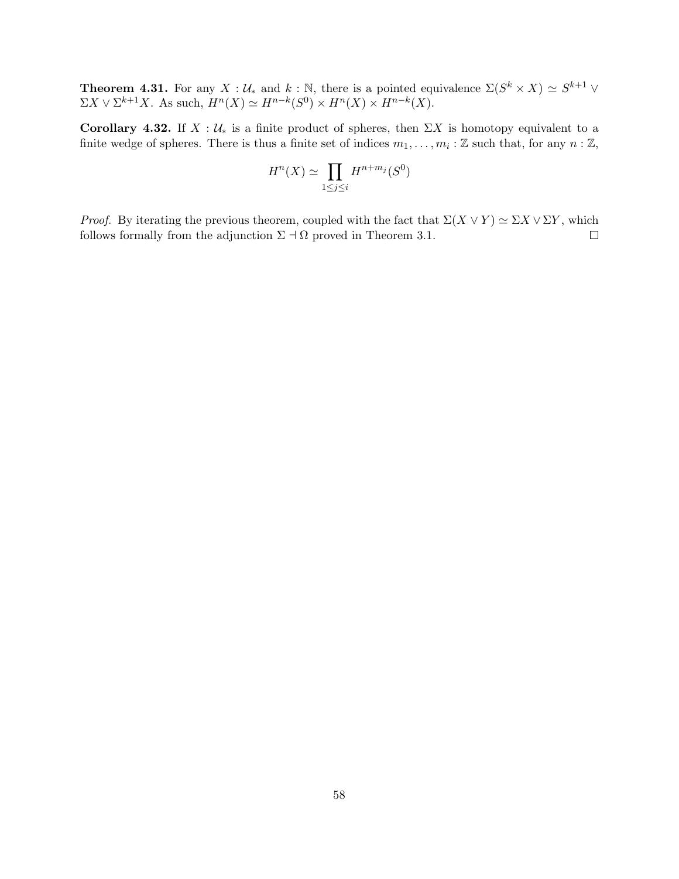**Theorem 4.31.** For any  $X : \mathcal{U}_*$  and  $k : \mathbb{N}$ , there is a pointed equivalence  $\Sigma(S^k \times X) \simeq S^{k+1} \vee$  $\Sigma X \vee \Sigma^{k+1} X$ . As such,  $H^n(X) \simeq H^{n-k}(S^0) \times H^n(X) \times H^{n-k}(X)$ .

Corollary 4.32. If  $X : U_*$  is a finite product of spheres, then  $\Sigma X$  is homotopy equivalent to a finite wedge of spheres. There is thus a finite set of indices  $m_1, \ldots, m_i : \mathbb{Z}$  such that, for any  $n : \mathbb{Z}$ ,

$$
H^n(X) \simeq \prod_{1 \le j \le i} H^{n+m_j}(S^0)
$$

*Proof.* By iterating the previous theorem, coupled with the fact that  $\Sigma(X \vee Y) \simeq \Sigma X \vee \Sigma Y$ , which follows formally from the adjunction  $\Sigma \dashv \Omega$  proved in Theorem 3.1.  $\Box$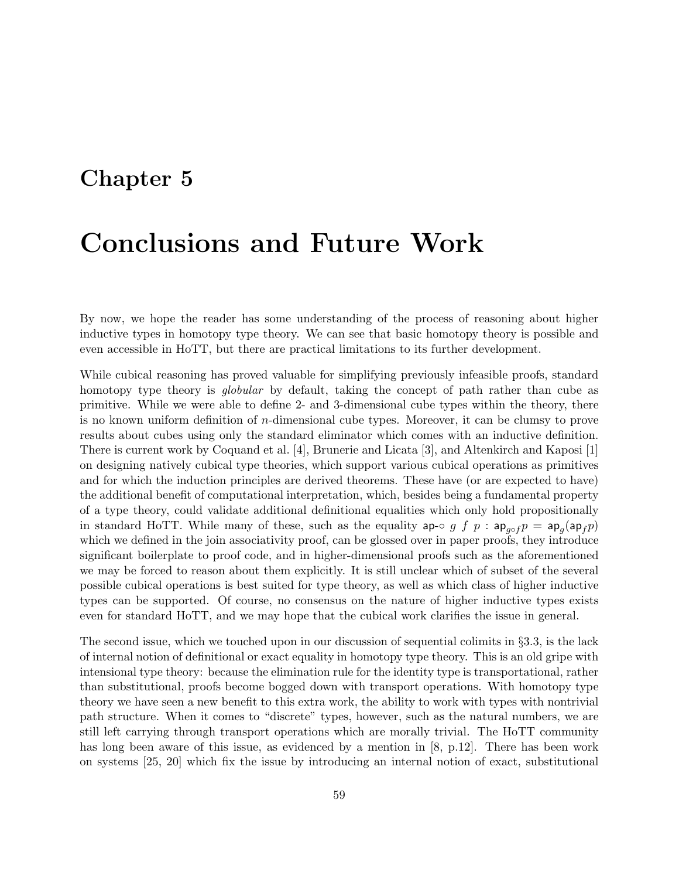# Chapter 5

# Conclusions and Future Work

By now, we hope the reader has some understanding of the process of reasoning about higher inductive types in homotopy type theory. We can see that basic homotopy theory is possible and even accessible in HoTT, but there are practical limitations to its further development.

While cubical reasoning has proved valuable for simplifying previously infeasible proofs, standard homotopy type theory is *globular* by default, taking the concept of path rather than cube as primitive. While we were able to define 2- and 3-dimensional cube types within the theory, there is no known uniform definition of n-dimensional cube types. Moreover, it can be clumsy to prove results about cubes using only the standard eliminator which comes with an inductive definition. There is current work by Coquand et al. [4], Brunerie and Licata [3], and Altenkirch and Kaposi [1] on designing natively cubical type theories, which support various cubical operations as primitives and for which the induction principles are derived theorems. These have (or are expected to have) the additional benefit of computational interpretation, which, besides being a fundamental property of a type theory, could validate additional definitional equalities which only hold propositionally in standard HoTT. While many of these, such as the equality ap-◦ g f p :  $ap_{g \circ f} p = ap_g(ap_f p)$ which we defined in the join associativity proof, can be glossed over in paper proofs, they introduce significant boilerplate to proof code, and in higher-dimensional proofs such as the aforementioned we may be forced to reason about them explicitly. It is still unclear which of subset of the several possible cubical operations is best suited for type theory, as well as which class of higher inductive types can be supported. Of course, no consensus on the nature of higher inductive types exists even for standard HoTT, and we may hope that the cubical work clarifies the issue in general.

The second issue, which we touched upon in our discussion of sequential colimits in §3.3, is the lack of internal notion of definitional or exact equality in homotopy type theory. This is an old gripe with intensional type theory: because the elimination rule for the identity type is transportational, rather than substitutional, proofs become bogged down with transport operations. With homotopy type theory we have seen a new benefit to this extra work, the ability to work with types with nontrivial path structure. When it comes to "discrete" types, however, such as the natural numbers, we are still left carrying through transport operations which are morally trivial. The HoTT community has long been aware of this issue, as evidenced by a mention in [8, p.12]. There has been work on systems [25, 20] which fix the issue by introducing an internal notion of exact, substitutional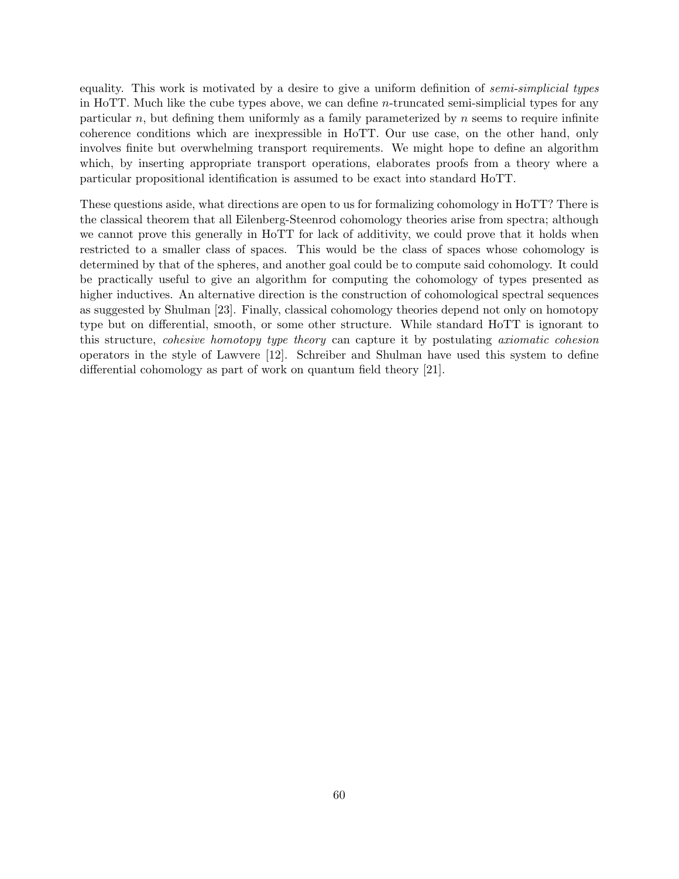equality. This work is motivated by a desire to give a uniform definition of *semi-simplicial types* in HoTT. Much like the cube types above, we can define  $n$ -truncated semi-simplicial types for any particular n, but defining them uniformly as a family parameterized by  $n$  seems to require infinite coherence conditions which are inexpressible in HoTT. Our use case, on the other hand, only involves finite but overwhelming transport requirements. We might hope to define an algorithm which, by inserting appropriate transport operations, elaborates proofs from a theory where a particular propositional identification is assumed to be exact into standard HoTT.

These questions aside, what directions are open to us for formalizing cohomology in HoTT? There is the classical theorem that all Eilenberg-Steenrod cohomology theories arise from spectra; although we cannot prove this generally in HoTT for lack of additivity, we could prove that it holds when restricted to a smaller class of spaces. This would be the class of spaces whose cohomology is determined by that of the spheres, and another goal could be to compute said cohomology. It could be practically useful to give an algorithm for computing the cohomology of types presented as higher inductives. An alternative direction is the construction of cohomological spectral sequences as suggested by Shulman [23]. Finally, classical cohomology theories depend not only on homotopy type but on differential, smooth, or some other structure. While standard HoTT is ignorant to this structure, cohesive homotopy type theory can capture it by postulating axiomatic cohesion operators in the style of Lawvere [12]. Schreiber and Shulman have used this system to define differential cohomology as part of work on quantum field theory [21].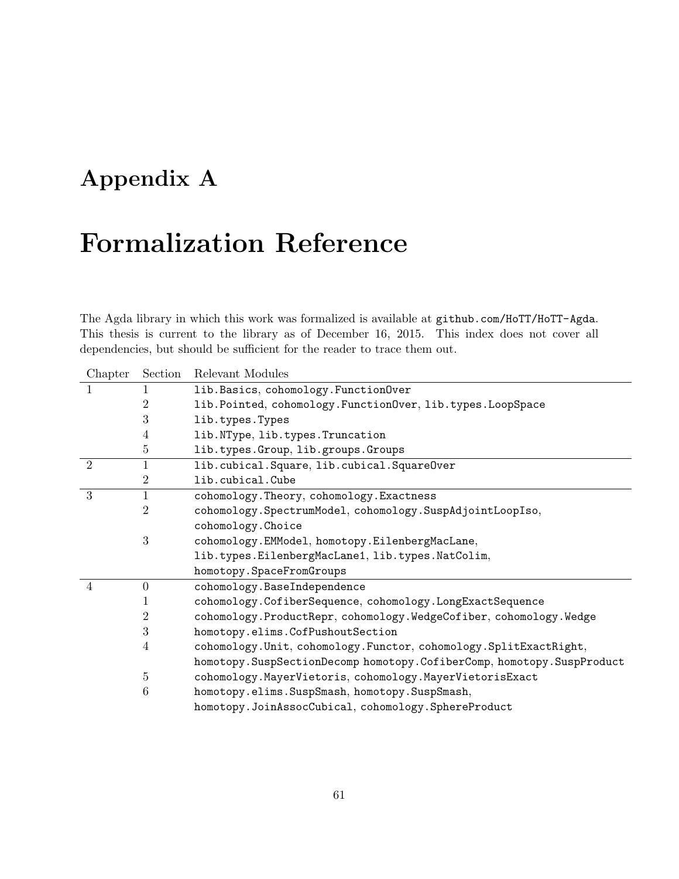# Appendix A

# Formalization Reference

The Agda library in which this work was formalized is available at github.com/HoTT/HoTT-Agda. This thesis is current to the library as of December 16, 2015. This index does not cover all dependencies, but should be sufficient for the reader to trace them out.

| Chapter        | Section        | Relevant Modules                                                         |
|----------------|----------------|--------------------------------------------------------------------------|
| 1              | 1              | lib. Basics, cohomology. FunctionOver                                    |
|                | $\overline{2}$ | lib.Pointed, cohomology.FunctionOver, lib.types.LoopSpace                |
|                | 3              | lib.types.Types                                                          |
|                | $\overline{4}$ | lib.NType, lib.types.Truncation                                          |
|                | 5              | lib.types.Group, lib.groups.Groups                                       |
| $\overline{2}$ | $\mathbf{1}$   | lib.cubical.Square, lib.cubical.SquareOver                               |
|                | $\overline{2}$ | lib.cubical.Cube                                                         |
| 3              | $\mathbf{1}$   | cohomology. Theory, cohomology. Exactness                                |
|                | 2              | cohomology.SpectrumModel, cohomology.SuspAdjointLoopIso,                 |
|                |                | cohomology. Choice                                                       |
|                | 3              | cohomology.EMModel, homotopy.EilenbergMacLane,                           |
|                |                | lib.types.EilenbergMacLane1, lib.types.NatColim,                         |
|                |                | homotopy. SpaceFromGroups                                                |
| $\overline{4}$ | $\overline{0}$ | cohomology.BaseIndependence                                              |
|                | 1              | cohomology.CofiberSequence, cohomology.LongExactSequence                 |
|                | $\overline{2}$ | cohomology.ProductRepr, cohomology.WedgeCofiber, cohomology.Wedge        |
|                | 3              | homotopy.elims.CofPushoutSection                                         |
|                | 4              | cohomology.Unit, cohomology.Functor, cohomology.SplitExactRight,         |
|                |                | homotopy. SuspSectionDecomp homotopy. CofiberComp, homotopy. SuspProduct |
|                | 5              | cohomology.MayerVietoris, cohomology.MayerVietorisExact                  |
|                | 6              | homotopy.elims.SuspSmash, homotopy.SuspSmash,                            |
|                |                | homotopy.JoinAssocCubical, cohomology.SphereProduct                      |
|                |                |                                                                          |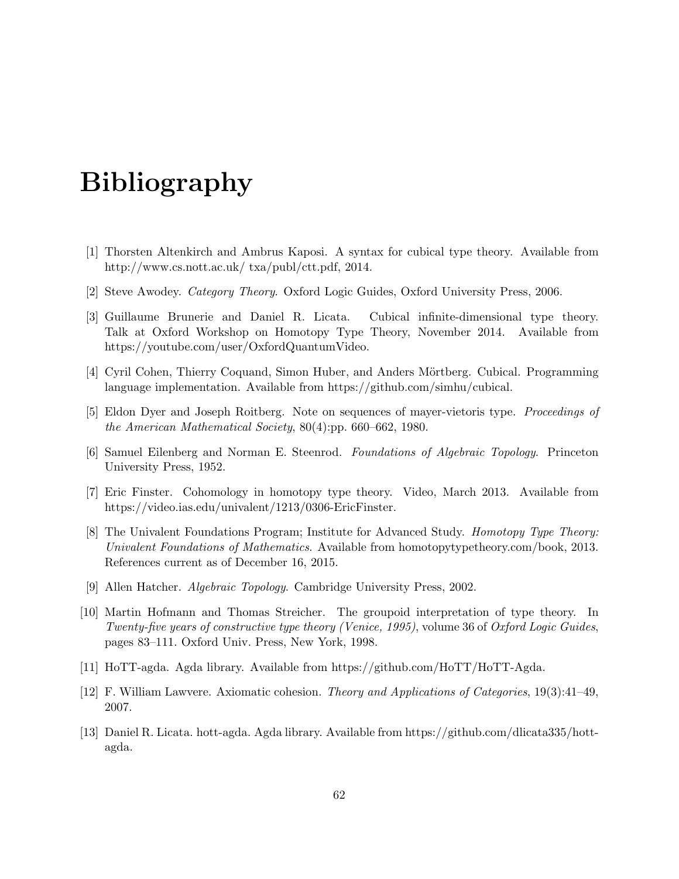# Bibliography

- [1] Thorsten Altenkirch and Ambrus Kaposi. A syntax for cubical type theory. Available from http://www.cs.nott.ac.uk/ txa/publ/ctt.pdf, 2014.
- [2] Steve Awodey. Category Theory. Oxford Logic Guides, Oxford University Press, 2006.
- [3] Guillaume Brunerie and Daniel R. Licata. Cubical infinite-dimensional type theory. Talk at Oxford Workshop on Homotopy Type Theory, November 2014. Available from https://youtube.com/user/OxfordQuantumVideo.
- [4] Cyril Cohen, Thierry Coquand, Simon Huber, and Anders Mörtberg. Cubical. Programming language implementation. Available from https://github.com/simhu/cubical.
- [5] Eldon Dyer and Joseph Roitberg. Note on sequences of mayer-vietoris type. Proceedings of the American Mathematical Society, 80(4):pp. 660–662, 1980.
- [6] Samuel Eilenberg and Norman E. Steenrod. Foundations of Algebraic Topology. Princeton University Press, 1952.
- [7] Eric Finster. Cohomology in homotopy type theory. Video, March 2013. Available from https://video.ias.edu/univalent/1213/0306-EricFinster.
- [8] The Univalent Foundations Program; Institute for Advanced Study. Homotopy Type Theory: Univalent Foundations of Mathematics. Available from homotopytypetheory.com/book, 2013. References current as of December 16, 2015.
- [9] Allen Hatcher. Algebraic Topology. Cambridge University Press, 2002.
- [10] Martin Hofmann and Thomas Streicher. The groupoid interpretation of type theory. In Twenty-five years of constructive type theory (Venice, 1995), volume 36 of Oxford Logic Guides, pages 83–111. Oxford Univ. Press, New York, 1998.
- [11] HoTT-agda. Agda library. Available from https://github.com/HoTT/HoTT-Agda.
- [12] F. William Lawvere. Axiomatic cohesion. Theory and Applications of Categories, 19(3):41–49, 2007.
- [13] Daniel R. Licata. hott-agda. Agda library. Available from https://github.com/dlicata335/hottagda.